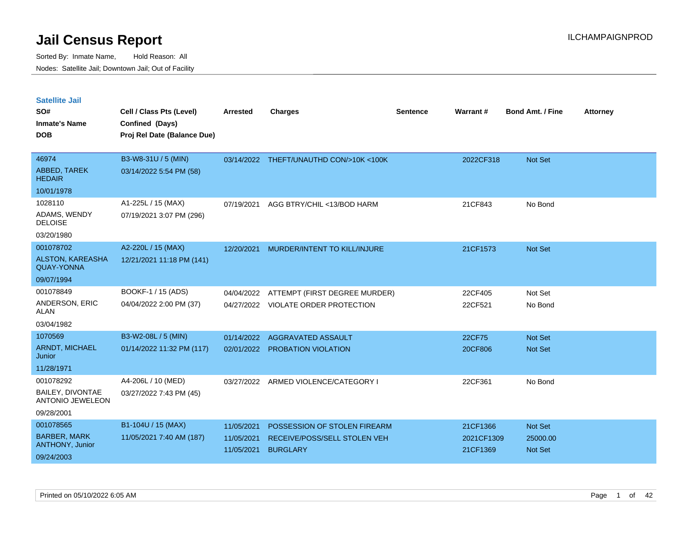| <b>Satellite Jail</b>                        |                             |                 |                                         |                 |            |                         |                 |
|----------------------------------------------|-----------------------------|-----------------|-----------------------------------------|-----------------|------------|-------------------------|-----------------|
| SO#                                          | Cell / Class Pts (Level)    | <b>Arrested</b> | <b>Charges</b>                          | <b>Sentence</b> | Warrant #  | <b>Bond Amt. / Fine</b> | <b>Attorney</b> |
| Inmate's Name                                | Confined (Days)             |                 |                                         |                 |            |                         |                 |
| <b>DOB</b>                                   | Proj Rel Date (Balance Due) |                 |                                         |                 |            |                         |                 |
|                                              |                             |                 |                                         |                 |            |                         |                 |
| 46974                                        | B3-W8-31U / 5 (MIN)         |                 | 03/14/2022 THEFT/UNAUTHD CON/>10K <100K |                 | 2022CF318  | <b>Not Set</b>          |                 |
| <b>ABBED, TAREK</b><br><b>HEDAIR</b>         | 03/14/2022 5:54 PM (58)     |                 |                                         |                 |            |                         |                 |
| 10/01/1978                                   |                             |                 |                                         |                 |            |                         |                 |
| 1028110                                      | A1-225L / 15 (MAX)          | 07/19/2021      | AGG BTRY/CHIL <13/BOD HARM              |                 | 21CF843    | No Bond                 |                 |
| ADAMS, WENDY<br><b>DELOISE</b>               | 07/19/2021 3:07 PM (296)    |                 |                                         |                 |            |                         |                 |
| 03/20/1980                                   |                             |                 |                                         |                 |            |                         |                 |
| 001078702                                    | A2-220L / 15 (MAX)          | 12/20/2021      | MURDER/INTENT TO KILL/INJURE            |                 | 21CF1573   | <b>Not Set</b>          |                 |
| <b>ALSTON, KAREASHA</b><br><b>QUAY-YONNA</b> | 12/21/2021 11:18 PM (141)   |                 |                                         |                 |            |                         |                 |
| 09/07/1994                                   |                             |                 |                                         |                 |            |                         |                 |
| 001078849                                    | BOOKF-1 / 15 (ADS)          | 04/04/2022      | ATTEMPT (FIRST DEGREE MURDER)           |                 | 22CF405    | Not Set                 |                 |
| ANDERSON, ERIC<br>ALAN                       | 04/04/2022 2:00 PM (37)     |                 | 04/27/2022 VIOLATE ORDER PROTECTION     |                 | 22CF521    | No Bond                 |                 |
| 03/04/1982                                   |                             |                 |                                         |                 |            |                         |                 |
| 1070569                                      | B3-W2-08L / 5 (MIN)         | 01/14/2022      | AGGRAVATED ASSAULT                      |                 | 22CF75     | <b>Not Set</b>          |                 |
| <b>ARNDT, MICHAEL</b><br>Junior              | 01/14/2022 11:32 PM (117)   |                 | 02/01/2022 PROBATION VIOLATION          |                 | 20CF806    | <b>Not Set</b>          |                 |
| 11/28/1971                                   |                             |                 |                                         |                 |            |                         |                 |
| 001078292                                    | A4-206L / 10 (MED)          | 03/27/2022      | ARMED VIOLENCE/CATEGORY I               |                 | 22CF361    | No Bond                 |                 |
| BAILEY, DIVONTAE<br><b>ANTONIO JEWELEON</b>  | 03/27/2022 7:43 PM (45)     |                 |                                         |                 |            |                         |                 |
| 09/28/2001                                   |                             |                 |                                         |                 |            |                         |                 |
| 001078565                                    | B1-104U / 15 (MAX)          | 11/05/2021      | POSSESSION OF STOLEN FIREARM            |                 | 21CF1366   | Not Set                 |                 |
| <b>BARBER, MARK</b>                          | 11/05/2021 7:40 AM (187)    | 11/05/2021      | RECEIVE/POSS/SELL STOLEN VEH            |                 | 2021CF1309 | 25000.00                |                 |
| <b>ANTHONY, Junior</b>                       |                             | 11/05/2021      | <b>BURGLARY</b>                         |                 | 21CF1369   | <b>Not Set</b>          |                 |
| 09/24/2003                                   |                             |                 |                                         |                 |            |                         |                 |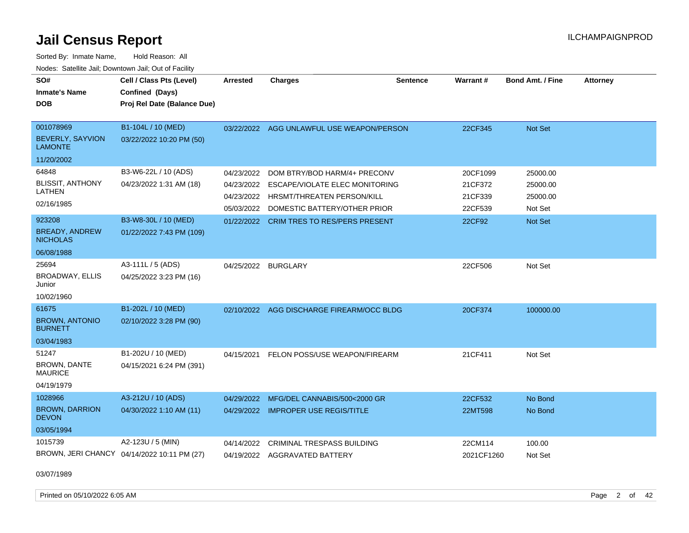Sorted By: Inmate Name, Hold Reason: All Nodes: Satellite Jail; Downtown Jail; Out of Facility

| SO#<br><b>Inmate's Name</b><br><b>DOB</b>          | Cell / Class Pts (Level)<br>Confined (Days)<br>Proj Rel Date (Balance Due) | <b>Arrested</b> | <b>Charges</b>                       | <b>Sentence</b> | Warrant#   | <b>Bond Amt. / Fine</b> | <b>Attorney</b> |
|----------------------------------------------------|----------------------------------------------------------------------------|-----------------|--------------------------------------|-----------------|------------|-------------------------|-----------------|
| 001078969<br>BEVERLY, SAYVION<br><b>LAMONTE</b>    | B1-104L / 10 (MED)<br>03/22/2022 10:20 PM (50)                             | 03/22/2022      | AGG UNLAWFUL USE WEAPON/PERSON       |                 | 22CF345    | Not Set                 |                 |
| 11/20/2002                                         |                                                                            |                 |                                      |                 |            |                         |                 |
| 64848                                              | B3-W6-22L / 10 (ADS)                                                       | 04/23/2022      | DOM BTRY/BOD HARM/4+ PRECONV         |                 | 20CF1099   | 25000.00                |                 |
| <b>BLISSIT, ANTHONY</b>                            | 04/23/2022 1:31 AM (18)                                                    | 04/23/2022      | ESCAPE/VIOLATE ELEC MONITORING       |                 | 21CF372    | 25000.00                |                 |
| LATHEN                                             |                                                                            | 04/23/2022      | <b>HRSMT/THREATEN PERSON/KILL</b>    |                 | 21CF339    | 25000.00                |                 |
| 02/16/1985                                         |                                                                            | 05/03/2022      | DOMESTIC BATTERY/OTHER PRIOR         |                 | 22CF539    | Not Set                 |                 |
| 923208<br><b>BREADY, ANDREW</b><br><b>NICHOLAS</b> | B3-W8-30L / 10 (MED)<br>01/22/2022 7:43 PM (109)                           | 01/22/2022      | <b>CRIM TRES TO RES/PERS PRESENT</b> |                 | 22CF92     | Not Set                 |                 |
| 06/08/1988                                         |                                                                            |                 |                                      |                 |            |                         |                 |
| 25694                                              | A3-111L / 5 (ADS)                                                          | 04/25/2022      | <b>BURGLARY</b>                      |                 | 22CF506    | Not Set                 |                 |
| <b>BROADWAY, ELLIS</b><br>Junior                   | 04/25/2022 3:23 PM (16)                                                    |                 |                                      |                 |            |                         |                 |
| 10/02/1960                                         |                                                                            |                 |                                      |                 |            |                         |                 |
| 61675                                              | B1-202L / 10 (MED)                                                         | 02/10/2022      | AGG DISCHARGE FIREARM/OCC BLDG       |                 | 20CF374    | 100000.00               |                 |
| <b>BROWN, ANTONIO</b><br><b>BURNETT</b>            | 02/10/2022 3:28 PM (90)                                                    |                 |                                      |                 |            |                         |                 |
| 03/04/1983                                         |                                                                            |                 |                                      |                 |            |                         |                 |
| 51247                                              | B1-202U / 10 (MED)                                                         | 04/15/2021      | FELON POSS/USE WEAPON/FIREARM        |                 | 21CF411    | Not Set                 |                 |
| <b>BROWN, DANTE</b><br><b>MAURICE</b>              | 04/15/2021 6:24 PM (391)                                                   |                 |                                      |                 |            |                         |                 |
| 04/19/1979                                         |                                                                            |                 |                                      |                 |            |                         |                 |
| 1028966                                            | A3-212U / 10 (ADS)                                                         | 04/29/2022      | MFG/DEL CANNABIS/500<2000 GR         |                 | 22CF532    | No Bond                 |                 |
| <b>BROWN, DARRION</b><br><b>DEVON</b>              | 04/30/2022 1:10 AM (11)                                                    | 04/29/2022      | <b>IMPROPER USE REGIS/TITLE</b>      |                 | 22MT598    | No Bond                 |                 |
| 03/05/1994                                         |                                                                            |                 |                                      |                 |            |                         |                 |
| 1015739                                            | A2-123U / 5 (MIN)                                                          | 04/14/2022      | <b>CRIMINAL TRESPASS BUILDING</b>    |                 | 22CM114    | 100.00                  |                 |
|                                                    | BROWN, JERI CHANCY 04/14/2022 10:11 PM (27)                                |                 | 04/19/2022 AGGRAVATED BATTERY        |                 | 2021CF1260 | Not Set                 |                 |

03/07/1989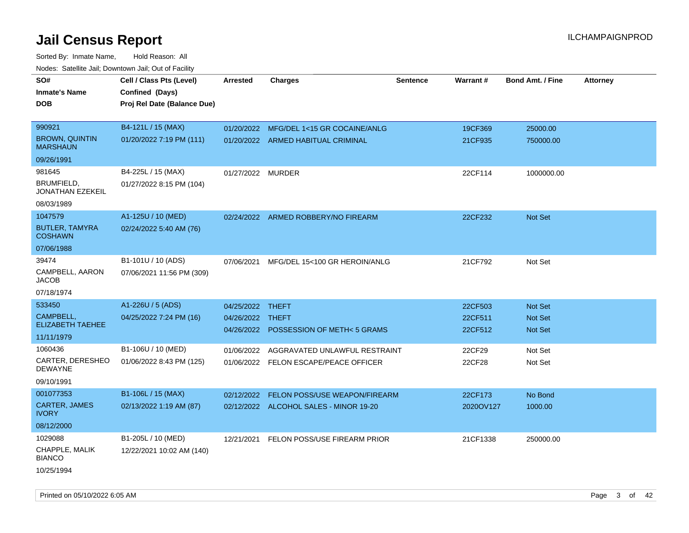Sorted By: Inmate Name, Hold Reason: All Nodes: Satellite Jail; Downtown Jail; Out of Facility

| SO#                                      | Cell / Class Pts (Level)    | <b>Arrested</b>   | <b>Charges</b>                           | <b>Sentence</b> | Warrant#  | <b>Bond Amt. / Fine</b> | <b>Attorney</b> |
|------------------------------------------|-----------------------------|-------------------|------------------------------------------|-----------------|-----------|-------------------------|-----------------|
|                                          |                             |                   |                                          |                 |           |                         |                 |
| <b>Inmate's Name</b>                     | Confined (Days)             |                   |                                          |                 |           |                         |                 |
| <b>DOB</b>                               | Proj Rel Date (Balance Due) |                   |                                          |                 |           |                         |                 |
|                                          |                             |                   |                                          |                 |           |                         |                 |
| 990921                                   | B4-121L / 15 (MAX)          | 01/20/2022        | MFG/DEL 1<15 GR COCAINE/ANLG             |                 | 19CF369   | 25000.00                |                 |
| <b>BROWN, QUINTIN</b><br><b>MARSHAUN</b> | 01/20/2022 7:19 PM (111)    |                   | 01/20/2022 ARMED HABITUAL CRIMINAL       |                 | 21CF935   | 750000.00               |                 |
| 09/26/1991                               |                             |                   |                                          |                 |           |                         |                 |
| 981645                                   | B4-225L / 15 (MAX)          | 01/27/2022 MURDER |                                          |                 | 22CF114   | 1000000.00              |                 |
| BRUMFIELD,<br><b>JONATHAN EZEKEIL</b>    | 01/27/2022 8:15 PM (104)    |                   |                                          |                 |           |                         |                 |
| 08/03/1989                               |                             |                   |                                          |                 |           |                         |                 |
| 1047579                                  | A1-125U / 10 (MED)          |                   | 02/24/2022 ARMED ROBBERY/NO FIREARM      |                 | 22CF232   | Not Set                 |                 |
| <b>BUTLER, TAMYRA</b><br><b>COSHAWN</b>  | 02/24/2022 5:40 AM (76)     |                   |                                          |                 |           |                         |                 |
| 07/06/1988                               |                             |                   |                                          |                 |           |                         |                 |
| 39474                                    | B1-101U / 10 (ADS)          | 07/06/2021        | MFG/DEL 15<100 GR HEROIN/ANLG            |                 | 21CF792   | Not Set                 |                 |
| CAMPBELL, AARON<br><b>JACOB</b>          | 07/06/2021 11:56 PM (309)   |                   |                                          |                 |           |                         |                 |
| 07/18/1974                               |                             |                   |                                          |                 |           |                         |                 |
| 533450                                   | A1-226U / 5 (ADS)           | 04/25/2022 THEFT  |                                          |                 | 22CF503   | Not Set                 |                 |
| CAMPBELL,                                | 04/25/2022 7:24 PM (16)     | 04/26/2022 THEFT  |                                          |                 | 22CF511   | Not Set                 |                 |
| <b>ELIZABETH TAEHEE</b>                  |                             |                   | 04/26/2022 POSSESSION OF METH<5 GRAMS    |                 | 22CF512   | <b>Not Set</b>          |                 |
| 11/11/1979                               |                             |                   |                                          |                 |           |                         |                 |
| 1060436                                  | B1-106U / 10 (MED)          | 01/06/2022        | AGGRAVATED UNLAWFUL RESTRAINT            |                 | 22CF29    | Not Set                 |                 |
| CARTER, DERESHEO<br><b>DEWAYNE</b>       | 01/06/2022 8:43 PM (125)    |                   | 01/06/2022 FELON ESCAPE/PEACE OFFICER    |                 | 22CF28    | Not Set                 |                 |
| 09/10/1991                               |                             |                   |                                          |                 |           |                         |                 |
| 001077353                                | B1-106L / 15 (MAX)          |                   | 02/12/2022 FELON POSS/USE WEAPON/FIREARM |                 | 22CF173   | No Bond                 |                 |
| <b>CARTER, JAMES</b><br><b>IVORY</b>     | 02/13/2022 1:19 AM (87)     |                   | 02/12/2022 ALCOHOL SALES - MINOR 19-20   |                 | 2020OV127 | 1000.00                 |                 |
| 08/12/2000                               |                             |                   |                                          |                 |           |                         |                 |
| 1029088                                  | B1-205L / 10 (MED)          |                   | 12/21/2021 FELON POSS/USE FIREARM PRIOR  |                 | 21CF1338  | 250000.00               |                 |
| CHAPPLE, MALIK<br><b>BIANCO</b>          | 12/22/2021 10:02 AM (140)   |                   |                                          |                 |           |                         |                 |
| 10/25/1994                               |                             |                   |                                          |                 |           |                         |                 |

Printed on 05/10/2022 6:05 AM **Page 3 of 42** Page 3 of 42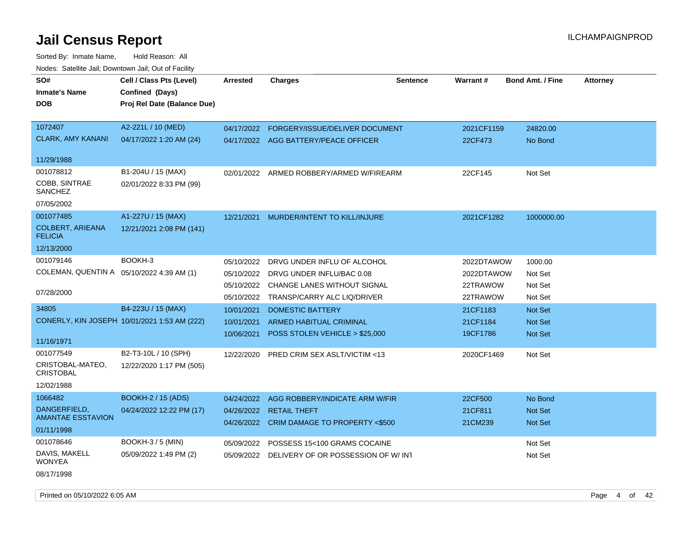| SO#<br><b>Inmate's Name</b>               | Cell / Class Pts (Level)<br>Confined (Days)  | <b>Arrested</b>          | <b>Charges</b>                                        | <b>Sentence</b> | Warrant#           | <b>Bond Amt. / Fine</b>   | <b>Attorney</b> |
|-------------------------------------------|----------------------------------------------|--------------------------|-------------------------------------------------------|-----------------|--------------------|---------------------------|-----------------|
| <b>DOB</b>                                | Proj Rel Date (Balance Due)                  |                          |                                                       |                 |                    |                           |                 |
| 1072407                                   | A2-221L / 10 (MED)                           | 04/17/2022               | FORGERY/ISSUE/DELIVER DOCUMENT                        |                 | 2021CF1159         | 24820.00                  |                 |
| <b>CLARK, AMY KANANI</b>                  | 04/17/2022 1:20 AM (24)                      | 04/17/2022               | AGG BATTERY/PEACE OFFICER                             |                 | 22CF473            | No Bond                   |                 |
| 11/29/1988                                |                                              |                          |                                                       |                 |                    |                           |                 |
| 001078812                                 | B1-204U / 15 (MAX)                           | 02/01/2022               | ARMED ROBBERY/ARMED W/FIREARM                         |                 | 22CF145            | Not Set                   |                 |
| COBB, SINTRAE<br>SANCHEZ                  | 02/01/2022 8:33 PM (99)                      |                          |                                                       |                 |                    |                           |                 |
| 07/05/2002                                |                                              |                          |                                                       |                 |                    |                           |                 |
| 001077485                                 | A1-227U / 15 (MAX)                           | 12/21/2021               | MURDER/INTENT TO KILL/INJURE                          |                 | 2021CF1282         | 1000000.00                |                 |
| <b>COLBERT, ARIEANA</b><br><b>FELICIA</b> | 12/21/2021 2:08 PM (141)                     |                          |                                                       |                 |                    |                           |                 |
| 12/13/2000                                |                                              |                          |                                                       |                 |                    |                           |                 |
| 001079146                                 | BOOKH-3                                      | 05/10/2022               | DRVG UNDER INFLU OF ALCOHOL                           |                 | 2022DTAWOW         | 1000.00                   |                 |
| COLEMAN, QUENTIN A 05/10/2022 4:39 AM (1) |                                              | 05/10/2022               | DRVG UNDER INFLU/BAC 0.08                             |                 | 2022DTAWOW         | Not Set                   |                 |
|                                           |                                              | 05/10/2022               | CHANGE LANES WITHOUT SIGNAL                           |                 | 22TRAWOW           | Not Set                   |                 |
| 07/28/2000                                |                                              | 05/10/2022               | TRANSP/CARRY ALC LIQ/DRIVER                           |                 | 22TRAWOW           | Not Set                   |                 |
| 34805                                     | B4-223U / 15 (MAX)                           | 10/01/2021               | <b>DOMESTIC BATTERY</b>                               |                 | 21CF1183           | <b>Not Set</b>            |                 |
|                                           | CONERLY, KIN JOSEPH 10/01/2021 1:53 AM (222) | 10/01/2021               | <b>ARMED HABITUAL CRIMINAL</b>                        |                 | 21CF1184           | Not Set                   |                 |
| 11/16/1971                                |                                              | 10/06/2021               | POSS STOLEN VEHICLE > \$25,000                        |                 | 19CF1786           | <b>Not Set</b>            |                 |
| 001077549                                 | B2-T3-10L / 10 (SPH)                         | 12/22/2020               | PRED CRIM SEX ASLT/VICTIM <13                         |                 | 2020CF1469         | Not Set                   |                 |
| CRISTOBAL-MATEO,<br><b>CRISTOBAL</b>      | 12/22/2020 1:17 PM (505)                     |                          |                                                       |                 |                    |                           |                 |
| 12/02/1988                                |                                              |                          |                                                       |                 |                    |                           |                 |
| 1066482                                   | <b>BOOKH-2 / 15 (ADS)</b>                    | 04/24/2022               | AGG ROBBERY/INDICATE ARM W/FIR                        |                 | 22CF500            | No Bond                   |                 |
| DANGERFIELD,<br><b>AMANTAE ESSTAVION</b>  | 04/24/2022 12:22 PM (17)                     | 04/26/2022<br>04/26/2022 | <b>RETAIL THEFT</b><br>CRIM DAMAGE TO PROPERTY <\$500 |                 | 21CF811<br>21CM239 | Not Set<br><b>Not Set</b> |                 |
| 01/11/1998                                |                                              |                          |                                                       |                 |                    |                           |                 |
| 001078646                                 | <b>BOOKH-3/5 (MIN)</b>                       | 05/09/2022               | POSSESS 15<100 GRAMS COCAINE                          |                 |                    | Not Set                   |                 |
| DAVIS, MAKELL<br><b>WONYEA</b>            | 05/09/2022 1:49 PM (2)                       | 05/09/2022               | DELIVERY OF OR POSSESSION OF W/INT                    |                 |                    | Not Set                   |                 |
| 08/17/1998                                |                                              |                          |                                                       |                 |                    |                           |                 |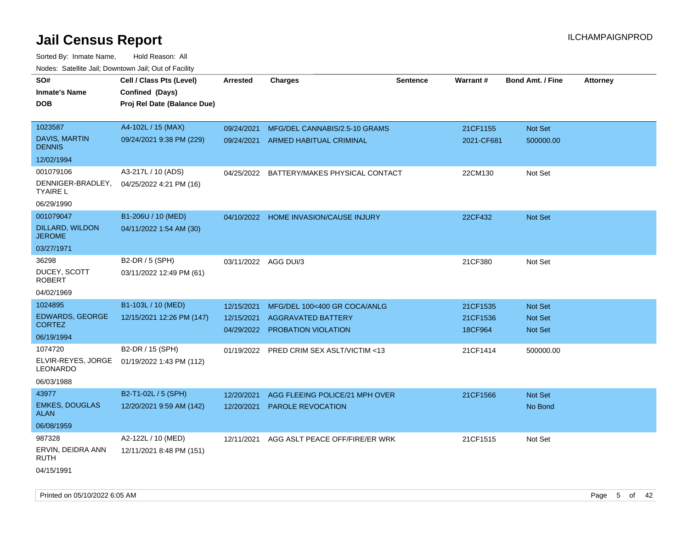| SO#<br><b>Inmate's Name</b><br><b>DOB</b>                                                                     | Cell / Class Pts (Level)<br>Confined (Days)<br>Proj Rel Date (Balance Due)                      | Arrested                               | <b>Charges</b>                                                                                                               | <b>Sentence</b> | <b>Warrant#</b>                             | <b>Bond Amt. / Fine</b>                                  | <b>Attorney</b> |
|---------------------------------------------------------------------------------------------------------------|-------------------------------------------------------------------------------------------------|----------------------------------------|------------------------------------------------------------------------------------------------------------------------------|-----------------|---------------------------------------------|----------------------------------------------------------|-----------------|
| 1023587<br><b>DAVIS, MARTIN</b><br><b>DENNIS</b><br>12/02/1994                                                | A4-102L / 15 (MAX)<br>09/24/2021 9:38 PM (229)                                                  | 09/24/2021                             | MFG/DEL CANNABIS/2.5-10 GRAMS<br>09/24/2021 ARMED HABITUAL CRIMINAL                                                          |                 | 21CF1155<br>2021-CF681                      | Not Set<br>500000.00                                     |                 |
| 001079106<br>DENNIGER-BRADLEY,<br>TYAIRE L<br>06/29/1990                                                      | A3-217L / 10 (ADS)<br>04/25/2022 4:21 PM (16)                                                   | 04/25/2022                             | BATTERY/MAKES PHYSICAL CONTACT                                                                                               |                 | 22CM130                                     | Not Set                                                  |                 |
| 001079047<br>DILLARD, WILDON<br><b>JEROME</b><br>03/27/1971                                                   | B1-206U / 10 (MED)<br>04/11/2022 1:54 AM (30)                                                   |                                        | 04/10/2022 HOME INVASION/CAUSE INJURY                                                                                        |                 | 22CF432                                     | <b>Not Set</b>                                           |                 |
| 36298<br>DUCEY, SCOTT<br><b>ROBERT</b><br>04/02/1969                                                          | B2-DR / 5 (SPH)<br>03/11/2022 12:49 PM (61)                                                     | 03/11/2022 AGG DUI/3                   |                                                                                                                              |                 | 21CF380                                     | Not Set                                                  |                 |
| 1024895<br><b>EDWARDS, GEORGE</b><br><b>CORTEZ</b><br>06/19/1994<br>1074720<br>ELVIR-REYES, JORGE<br>LEONARDO | B1-103L / 10 (MED)<br>12/15/2021 12:26 PM (147)<br>B2-DR / 15 (SPH)<br>01/19/2022 1:43 PM (112) | 12/15/2021<br>12/15/2021<br>04/29/2022 | MFG/DEL 100<400 GR COCA/ANLG<br>AGGRAVATED BATTERY<br><b>PROBATION VIOLATION</b><br>01/19/2022 PRED CRIM SEX ASLT/VICTIM <13 |                 | 21CF1535<br>21CF1536<br>18CF964<br>21CF1414 | <b>Not Set</b><br>Not Set<br><b>Not Set</b><br>500000.00 |                 |
| 06/03/1988<br>43977<br><b>EMKES, DOUGLAS</b><br>ALAN<br>06/08/1959                                            | B2-T1-02L / 5 (SPH)<br>12/20/2021 9:59 AM (142)                                                 | 12/20/2021<br>12/20/2021               | AGG FLEEING POLICE/21 MPH OVER<br><b>PAROLE REVOCATION</b>                                                                   |                 | 21CF1566                                    | <b>Not Set</b><br>No Bond                                |                 |
| 987328<br>ERVIN, DEIDRA ANN<br>RUTH<br>04/15/1991                                                             | A2-122L / 10 (MED)<br>12/11/2021 8:48 PM (151)                                                  | 12/11/2021                             | AGG ASLT PEACE OFF/FIRE/ER WRK                                                                                               |                 | 21CF1515                                    | Not Set                                                  |                 |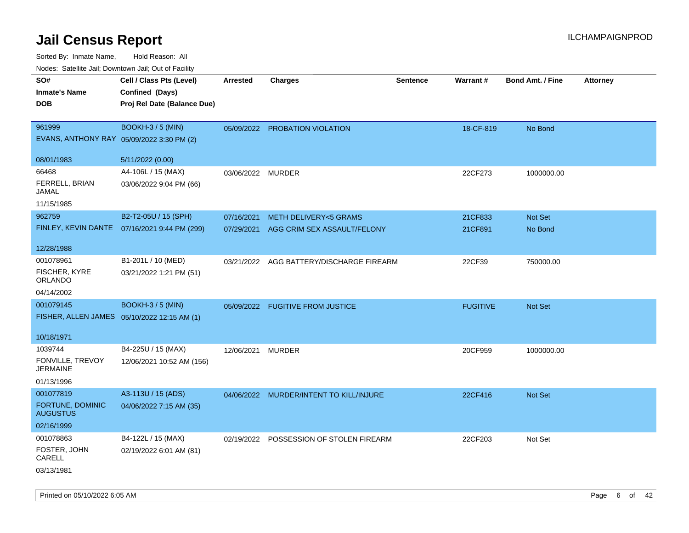| roaco. Catolino dall, Downtown dall, Out of Fability |                                              |                   |                                          |                 |                 |                         |                 |
|------------------------------------------------------|----------------------------------------------|-------------------|------------------------------------------|-----------------|-----------------|-------------------------|-----------------|
| SO#                                                  | Cell / Class Pts (Level)                     | <b>Arrested</b>   | <b>Charges</b>                           | <b>Sentence</b> | Warrant#        | <b>Bond Amt. / Fine</b> | <b>Attorney</b> |
| <b>Inmate's Name</b>                                 | Confined (Days)                              |                   |                                          |                 |                 |                         |                 |
| <b>DOB</b>                                           | Proj Rel Date (Balance Due)                  |                   |                                          |                 |                 |                         |                 |
|                                                      |                                              |                   |                                          |                 |                 |                         |                 |
| 961999                                               | <b>BOOKH-3 / 5 (MIN)</b>                     |                   | 05/09/2022 PROBATION VIOLATION           |                 | 18-CF-819       | No Bond                 |                 |
| EVANS, ANTHONY RAY 05/09/2022 3:30 PM (2)            |                                              |                   |                                          |                 |                 |                         |                 |
| 08/01/1983                                           | 5/11/2022 (0.00)                             |                   |                                          |                 |                 |                         |                 |
| 66468                                                | A4-106L / 15 (MAX)                           | 03/06/2022 MURDER |                                          |                 | 22CF273         | 1000000.00              |                 |
| FERRELL, BRIAN<br>JAMAL                              | 03/06/2022 9:04 PM (66)                      |                   |                                          |                 |                 |                         |                 |
| 11/15/1985                                           |                                              |                   |                                          |                 |                 |                         |                 |
| 962759                                               | B2-T2-05U / 15 (SPH)                         | 07/16/2021        | <b>METH DELIVERY&lt;5 GRAMS</b>          |                 | 21CF833         | Not Set                 |                 |
|                                                      | FINLEY, KEVIN DANTE 07/16/2021 9:44 PM (299) | 07/29/2021        | AGG CRIM SEX ASSAULT/FELONY              |                 | 21CF891         | No Bond                 |                 |
| 12/28/1988                                           |                                              |                   |                                          |                 |                 |                         |                 |
| 001078961                                            | B1-201L / 10 (MED)                           |                   | 03/21/2022 AGG BATTERY/DISCHARGE FIREARM |                 | 22CF39          | 750000.00               |                 |
| FISCHER, KYRE<br>ORLANDO                             | 03/21/2022 1:21 PM (51)                      |                   |                                          |                 |                 |                         |                 |
| 04/14/2002                                           |                                              |                   |                                          |                 |                 |                         |                 |
| 001079145                                            | <b>BOOKH-3/5 (MIN)</b>                       |                   | 05/09/2022 FUGITIVE FROM JUSTICE         |                 | <b>FUGITIVE</b> | Not Set                 |                 |
| FISHER, ALLEN JAMES 05/10/2022 12:15 AM (1)          |                                              |                   |                                          |                 |                 |                         |                 |
| 10/18/1971                                           |                                              |                   |                                          |                 |                 |                         |                 |
| 1039744                                              | B4-225U / 15 (MAX)                           | 12/06/2021 MURDER |                                          |                 | 20CF959         | 1000000.00              |                 |
| FONVILLE, TREVOY<br><b>JERMAINE</b>                  | 12/06/2021 10:52 AM (156)                    |                   |                                          |                 |                 |                         |                 |
| 01/13/1996                                           |                                              |                   |                                          |                 |                 |                         |                 |
| 001077819                                            | A3-113U / 15 (ADS)                           |                   | 04/06/2022 MURDER/INTENT TO KILL/INJURE  |                 | 22CF416         | <b>Not Set</b>          |                 |
| FORTUNE, DOMINIC<br><b>AUGUSTUS</b>                  | 04/06/2022 7:15 AM (35)                      |                   |                                          |                 |                 |                         |                 |
| 02/16/1999                                           |                                              |                   |                                          |                 |                 |                         |                 |
| 001078863                                            | B4-122L / 15 (MAX)                           |                   | 02/19/2022 POSSESSION OF STOLEN FIREARM  |                 | 22CF203         | Not Set                 |                 |
| FOSTER, JOHN<br>CARELL                               | 02/19/2022 6:01 AM (81)                      |                   |                                          |                 |                 |                         |                 |
| 03/13/1981                                           |                                              |                   |                                          |                 |                 |                         |                 |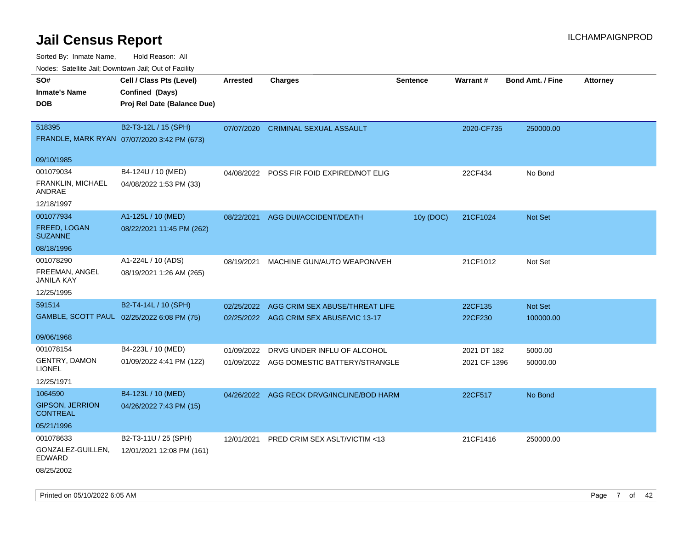Sorted By: Inmate Name, Hold Reason: All

Nodes: Satellite Jail; Downtown Jail; Out of Facility

| rouce. Calcillic Jali, Downtown Jali, Out of Facility |                                             |                 |                                           |                 |              |                         |                 |
|-------------------------------------------------------|---------------------------------------------|-----------------|-------------------------------------------|-----------------|--------------|-------------------------|-----------------|
| SO#                                                   | Cell / Class Pts (Level)                    | <b>Arrested</b> | <b>Charges</b>                            | <b>Sentence</b> | Warrant#     | <b>Bond Amt. / Fine</b> | <b>Attorney</b> |
| <b>Inmate's Name</b>                                  | Confined (Days)                             |                 |                                           |                 |              |                         |                 |
| <b>DOB</b>                                            | Proj Rel Date (Balance Due)                 |                 |                                           |                 |              |                         |                 |
|                                                       |                                             |                 |                                           |                 |              |                         |                 |
| 518395                                                | B2-T3-12L / 15 (SPH)                        | 07/07/2020      | <b>CRIMINAL SEXUAL ASSAULT</b>            |                 | 2020-CF735   | 250000.00               |                 |
|                                                       | FRANDLE, MARK RYAN 07/07/2020 3:42 PM (673) |                 |                                           |                 |              |                         |                 |
|                                                       |                                             |                 |                                           |                 |              |                         |                 |
| 09/10/1985                                            |                                             |                 |                                           |                 |              |                         |                 |
| 001079034                                             | B4-124U / 10 (MED)                          |                 | 04/08/2022 POSS FIR FOID EXPIRED/NOT ELIG |                 | 22CF434      | No Bond                 |                 |
| <b>FRANKLIN, MICHAEL</b><br>ANDRAE                    | 04/08/2022 1:53 PM (33)                     |                 |                                           |                 |              |                         |                 |
| 12/18/1997                                            |                                             |                 |                                           |                 |              |                         |                 |
| 001077934                                             | A1-125L / 10 (MED)                          | 08/22/2021      | AGG DUI/ACCIDENT/DEATH                    | 10y (DOC)       | 21CF1024     | Not Set                 |                 |
| FREED, LOGAN<br><b>SUZANNE</b>                        | 08/22/2021 11:45 PM (262)                   |                 |                                           |                 |              |                         |                 |
| 08/18/1996                                            |                                             |                 |                                           |                 |              |                         |                 |
| 001078290                                             | A1-224L / 10 (ADS)                          | 08/19/2021      | MACHINE GUN/AUTO WEAPON/VEH               |                 | 21CF1012     | Not Set                 |                 |
| FREEMAN, ANGEL<br><b>JANILA KAY</b>                   | 08/19/2021 1:26 AM (265)                    |                 |                                           |                 |              |                         |                 |
| 12/25/1995                                            |                                             |                 |                                           |                 |              |                         |                 |
| 591514                                                | B2-T4-14L / 10 (SPH)                        | 02/25/2022      | AGG CRIM SEX ABUSE/THREAT LIFE            |                 | 22CF135      | <b>Not Set</b>          |                 |
|                                                       | GAMBLE, SCOTT PAUL 02/25/2022 6:08 PM (75)  |                 | 02/25/2022 AGG CRIM SEX ABUSE/VIC 13-17   |                 | 22CF230      | 100000.00               |                 |
|                                                       |                                             |                 |                                           |                 |              |                         |                 |
| 09/06/1968                                            |                                             |                 |                                           |                 |              |                         |                 |
| 001078154                                             | B4-223L / 10 (MED)                          | 01/09/2022      | DRVG UNDER INFLU OF ALCOHOL               |                 | 2021 DT 182  | 5000.00                 |                 |
| <b>GENTRY, DAMON</b><br><b>LIONEL</b>                 | 01/09/2022 4:41 PM (122)                    |                 | 01/09/2022 AGG DOMESTIC BATTERY/STRANGLE  |                 | 2021 CF 1396 | 50000.00                |                 |
| 12/25/1971                                            |                                             |                 |                                           |                 |              |                         |                 |
| 1064590                                               | B4-123L / 10 (MED)                          |                 | 04/26/2022 AGG RECK DRVG/INCLINE/BOD HARM |                 | 22CF517      | No Bond                 |                 |
| <b>GIPSON, JERRION</b><br><b>CONTREAL</b>             | 04/26/2022 7:43 PM (15)                     |                 |                                           |                 |              |                         |                 |
| 05/21/1996                                            |                                             |                 |                                           |                 |              |                         |                 |
| 001078633                                             | B2-T3-11U / 25 (SPH)                        |                 | 12/01/2021 PRED CRIM SEX ASLT/VICTIM <13  |                 | 21CF1416     | 250000.00               |                 |
| GONZALEZ-GUILLEN,<br><b>EDWARD</b>                    | 12/01/2021 12:08 PM (161)                   |                 |                                           |                 |              |                         |                 |
| 08/25/2002                                            |                                             |                 |                                           |                 |              |                         |                 |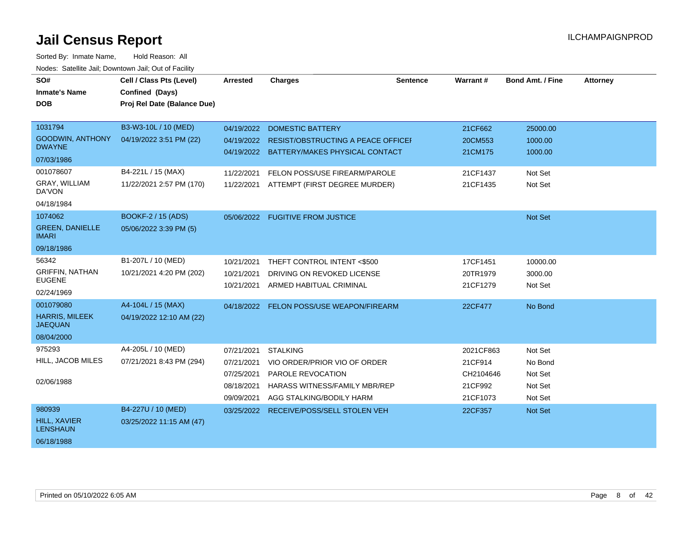| SO#<br><b>Inmate's Name</b><br><b>DOB</b>                                                          | Cell / Class Pts (Level)<br>Confined (Days)<br>Proj Rel Date (Balance Due)                        | Arrested                                                           | <b>Charges</b>                                                                                                                                                                      | <b>Sentence</b> | Warrant#                                                 | <b>Bond Amt. / Fine</b>                              | <b>Attorney</b> |
|----------------------------------------------------------------------------------------------------|---------------------------------------------------------------------------------------------------|--------------------------------------------------------------------|-------------------------------------------------------------------------------------------------------------------------------------------------------------------------------------|-----------------|----------------------------------------------------------|------------------------------------------------------|-----------------|
| 1031794<br>GOODWIN, ANTHONY<br><b>DWAYNE</b><br>07/03/1986<br>001078607<br>GRAY, WILLIAM<br>DA'VON | B3-W3-10L / 10 (MED)<br>04/19/2022 3:51 PM (22)<br>B4-221L / 15 (MAX)<br>11/22/2021 2:57 PM (170) | 04/19/2022<br>04/19/2022<br>11/22/2021<br>11/22/2021               | <b>DOMESTIC BATTERY</b><br><b>RESIST/OBSTRUCTING A PEACE OFFICEF</b><br>04/19/2022 BATTERY/MAKES PHYSICAL CONTACT<br>FELON POSS/USE FIREARM/PAROLE<br>ATTEMPT (FIRST DEGREE MURDER) |                 | 21CF662<br>20CM553<br>21CM175<br>21CF1437<br>21CF1435    | 25000.00<br>1000.00<br>1000.00<br>Not Set<br>Not Set |                 |
| 04/18/1984<br>1074062<br><b>GREEN, DANIELLE</b><br><b>IMARI</b><br>09/18/1986                      | BOOKF-2 / 15 (ADS)<br>05/06/2022 3:39 PM (5)                                                      |                                                                    | 05/06/2022 FUGITIVE FROM JUSTICE                                                                                                                                                    |                 |                                                          | Not Set                                              |                 |
| 56342<br><b>GRIFFIN, NATHAN</b><br><b>EUGENE</b><br>02/24/1969                                     | B1-207L / 10 (MED)<br>10/21/2021 4:20 PM (202)                                                    | 10/21/2021<br>10/21/2021<br>10/21/2021                             | THEFT CONTROL INTENT <\$500<br>DRIVING ON REVOKED LICENSE<br>ARMED HABITUAL CRIMINAL                                                                                                |                 | 17CF1451<br>20TR1979<br>21CF1279                         | 10000.00<br>3000.00<br>Not Set                       |                 |
| 001079080<br><b>HARRIS, MILEEK</b><br><b>JAEQUAN</b><br>08/04/2000                                 | A4-104L / 15 (MAX)<br>04/19/2022 12:10 AM (22)                                                    | 04/18/2022                                                         | FELON POSS/USE WEAPON/FIREARM                                                                                                                                                       |                 | 22CF477                                                  | No Bond                                              |                 |
| 975293<br>HILL, JACOB MILES<br>02/06/1988                                                          | A4-205L / 10 (MED)<br>07/21/2021 8:43 PM (294)                                                    | 07/21/2021<br>07/21/2021<br>07/25/2021<br>08/18/2021<br>09/09/2021 | <b>STALKING</b><br>VIO ORDER/PRIOR VIO OF ORDER<br><b>PAROLE REVOCATION</b><br>HARASS WITNESS/FAMILY MBR/REP<br>AGG STALKING/BODILY HARM                                            |                 | 2021CF863<br>21CF914<br>CH2104646<br>21CF992<br>21CF1073 | Not Set<br>No Bond<br>Not Set<br>Not Set<br>Not Set  |                 |
| 980939<br><b>HILL, XAVIER</b><br><b>LENSHAUN</b><br>06/18/1988                                     | B4-227U / 10 (MED)<br>03/25/2022 11:15 AM (47)                                                    | 03/25/2022                                                         | <b>RECEIVE/POSS/SELL STOLEN VEH</b>                                                                                                                                                 |                 | 22CF357                                                  | <b>Not Set</b>                                       |                 |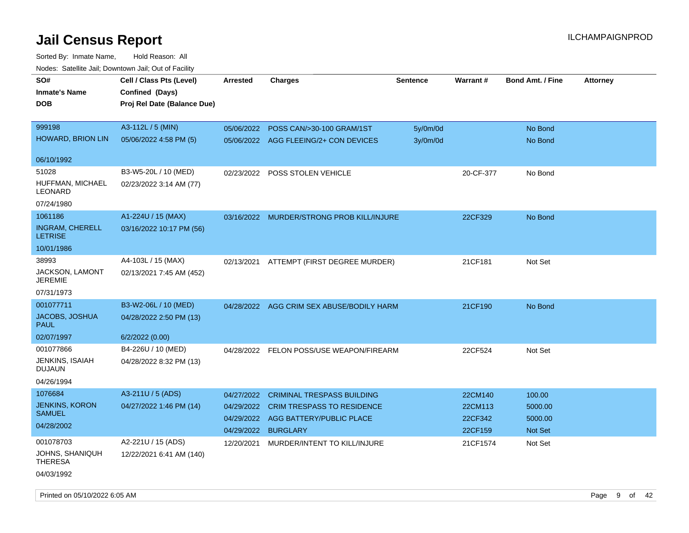| rougs. Calcing Jan, Downtown Jan, Out of Facility |                             |                 |                                           |                 |           |                         |                 |
|---------------------------------------------------|-----------------------------|-----------------|-------------------------------------------|-----------------|-----------|-------------------------|-----------------|
| SO#                                               | Cell / Class Pts (Level)    | <b>Arrested</b> | <b>Charges</b>                            | <b>Sentence</b> | Warrant#  | <b>Bond Amt. / Fine</b> | <b>Attorney</b> |
| <b>Inmate's Name</b>                              | Confined (Days)             |                 |                                           |                 |           |                         |                 |
| <b>DOB</b>                                        | Proj Rel Date (Balance Due) |                 |                                           |                 |           |                         |                 |
|                                                   |                             |                 |                                           |                 |           |                         |                 |
| 999198                                            | A3-112L / 5 (MIN)           | 05/06/2022      | POSS CAN/>30-100 GRAM/1ST                 | 5y/0m/0d        |           | No Bond                 |                 |
| HOWARD, BRION LIN                                 | 05/06/2022 4:58 PM (5)      | 05/06/2022      | AGG FLEEING/2+ CON DEVICES                | 3y/0m/0d        |           | No Bond                 |                 |
|                                                   |                             |                 |                                           |                 |           |                         |                 |
| 06/10/1992                                        |                             |                 |                                           |                 |           |                         |                 |
| 51028                                             | B3-W5-20L / 10 (MED)        | 02/23/2022      | <b>POSS STOLEN VEHICLE</b>                |                 | 20-CF-377 | No Bond                 |                 |
| HUFFMAN, MICHAEL<br>LEONARD                       | 02/23/2022 3:14 AM (77)     |                 |                                           |                 |           |                         |                 |
| 07/24/1980                                        |                             |                 |                                           |                 |           |                         |                 |
| 1061186                                           | A1-224U / 15 (MAX)          |                 | 03/16/2022 MURDER/STRONG PROB KILL/INJURE |                 | 22CF329   | No Bond                 |                 |
| <b>INGRAM, CHERELL</b><br><b>LETRISE</b>          | 03/16/2022 10:17 PM (56)    |                 |                                           |                 |           |                         |                 |
| 10/01/1986                                        |                             |                 |                                           |                 |           |                         |                 |
| 38993                                             | A4-103L / 15 (MAX)          |                 | 02/13/2021 ATTEMPT (FIRST DEGREE MURDER)  |                 | 21CF181   | Not Set                 |                 |
| <b>JACKSON, LAMONT</b><br>JEREMIE                 | 02/13/2021 7:45 AM (452)    |                 |                                           |                 |           |                         |                 |
| 07/31/1973                                        |                             |                 |                                           |                 |           |                         |                 |
| 001077711                                         | B3-W2-06L / 10 (MED)        |                 | 04/28/2022 AGG CRIM SEX ABUSE/BODILY HARM |                 | 21CF190   | No Bond                 |                 |
| JACOBS, JOSHUA<br><b>PAUL</b>                     | 04/28/2022 2:50 PM (13)     |                 |                                           |                 |           |                         |                 |
| 02/07/1997                                        | 6/2/2022(0.00)              |                 |                                           |                 |           |                         |                 |
| 001077866                                         | B4-226U / 10 (MED)          | 04/28/2022      | FELON POSS/USE WEAPON/FIREARM             |                 | 22CF524   | Not Set                 |                 |
| JENKINS, ISAIAH<br><b>DUJAUN</b>                  | 04/28/2022 8:32 PM (13)     |                 |                                           |                 |           |                         |                 |
| 04/26/1994                                        |                             |                 |                                           |                 |           |                         |                 |
| 1076684                                           | A3-211U / 5 (ADS)           | 04/27/2022      | <b>CRIMINAL TRESPASS BUILDING</b>         |                 | 22CM140   | 100.00                  |                 |
| <b>JENKINS, KORON</b>                             | 04/27/2022 1:46 PM (14)     | 04/29/2022      | CRIM TRESPASS TO RESIDENCE                |                 | 22CM113   | 5000.00                 |                 |
| <b>SAMUEL</b>                                     |                             | 04/29/2022      | AGG BATTERY/PUBLIC PLACE                  |                 | 22CF342   | 5000.00                 |                 |
| 04/28/2002                                        |                             | 04/29/2022      | <b>BURGLARY</b>                           |                 | 22CF159   | Not Set                 |                 |
| 001078703                                         | A2-221U / 15 (ADS)          | 12/20/2021      | MURDER/INTENT TO KILL/INJURE              |                 | 21CF1574  | Not Set                 |                 |
| JOHNS, SHANIQUH<br><b>THERESA</b>                 | 12/22/2021 6:41 AM (140)    |                 |                                           |                 |           |                         |                 |
| 04/03/1992                                        |                             |                 |                                           |                 |           |                         |                 |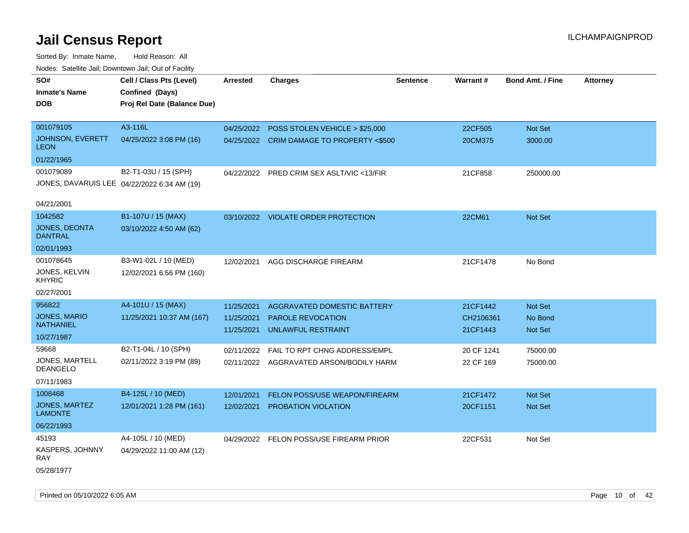| SO#<br><b>Inmate's Name</b><br><b>DOB</b> | Cell / Class Pts (Level)<br>Confined (Days)<br>Proj Rel Date (Balance Due) | <b>Arrested</b>          | <b>Charges</b>                            | <b>Sentence</b> | Warrant#              | <b>Bond Amt. / Fine</b> | <b>Attorney</b> |
|-------------------------------------------|----------------------------------------------------------------------------|--------------------------|-------------------------------------------|-----------------|-----------------------|-------------------------|-----------------|
| 001079105                                 | A3-116L                                                                    | 04/25/2022               | POSS STOLEN VEHICLE > \$25,000            |                 | 22CF505               | Not Set                 |                 |
| JOHNSON, EVERETT<br><b>LEON</b>           | 04/25/2022 3:08 PM (16)                                                    |                          | 04/25/2022 CRIM DAMAGE TO PROPERTY <\$500 |                 | 20CM375               | 3000.00                 |                 |
| 01/22/1965                                |                                                                            |                          |                                           |                 |                       |                         |                 |
| 001079089                                 | B2-T1-03U / 15 (SPH)                                                       |                          | 04/22/2022 PRED CRIM SEX ASLT/VIC <13/FIR |                 | 21CF858               | 250000.00               |                 |
|                                           | JONES, DAVARUIS LEE 04/22/2022 6:34 AM (19)                                |                          |                                           |                 |                       |                         |                 |
| 04/21/2001                                |                                                                            |                          |                                           |                 |                       |                         |                 |
| 1042582                                   | B1-107U / 15 (MAX)                                                         |                          | 03/10/2022 VIOLATE ORDER PROTECTION       |                 | 22CM61                | Not Set                 |                 |
| <b>JONES, DEONTA</b><br><b>DANTRAL</b>    | 03/10/2022 4:50 AM (62)                                                    |                          |                                           |                 |                       |                         |                 |
| 02/01/1993                                |                                                                            |                          |                                           |                 |                       |                         |                 |
| 001078645                                 | B3-W1-02L / 10 (MED)                                                       | 12/02/2021               | AGG DISCHARGE FIREARM                     |                 | 21CF1478              | No Bond                 |                 |
| JONES, KELVIN<br><b>KHYRIC</b>            | 12/02/2021 6:56 PM (160)                                                   |                          |                                           |                 |                       |                         |                 |
| 02/27/2001                                |                                                                            |                          |                                           |                 |                       |                         |                 |
| 956822                                    | A4-101U / 15 (MAX)                                                         | 11/25/2021               | <b>AGGRAVATED DOMESTIC BATTERY</b>        |                 | 21CF1442              | <b>Not Set</b>          |                 |
| <b>JONES, MARIO</b><br><b>NATHANIEL</b>   | 11/25/2021 10:37 AM (167)                                                  | 11/25/2021<br>11/25/2021 | PAROLE REVOCATION<br>UNLAWFUL RESTRAINT   |                 | CH2106361<br>21CF1443 | No Bond<br>Not Set      |                 |
| 10/27/1987                                |                                                                            |                          |                                           |                 |                       |                         |                 |
| 59668                                     | B2-T1-04L / 10 (SPH)                                                       | 02/11/2022               | FAIL TO RPT CHNG ADDRESS/EMPL             |                 | 20 CF 1241            | 75000.00                |                 |
| <b>JONES, MARTELL</b><br><b>DEANGELO</b>  | 02/11/2022 3:19 PM (89)                                                    |                          | 02/11/2022 AGGRAVATED ARSON/BODILY HARM   |                 | 22 CF 169             | 75000.00                |                 |
| 07/11/1983                                |                                                                            |                          |                                           |                 |                       |                         |                 |
| 1008468                                   | B4-125L / 10 (MED)                                                         | 12/01/2021               | FELON POSS/USE WEAPON/FIREARM             |                 | 21CF1472              | Not Set                 |                 |
| JONES, MARTEZ<br><b>LAMONTE</b>           | 12/01/2021 1:28 PM (161)                                                   | 12/02/2021               | PROBATION VIOLATION                       |                 | 20CF1151              | Not Set                 |                 |
| 06/22/1993                                |                                                                            |                          |                                           |                 |                       |                         |                 |
| 45193                                     | A4-105L / 10 (MED)                                                         |                          | 04/29/2022 FELON POSS/USE FIREARM PRIOR   |                 | 22CF531               | Not Set                 |                 |
| <b>KASPERS, JOHNNY</b><br>RAY             | 04/29/2022 11:00 AM (12)                                                   |                          |                                           |                 |                       |                         |                 |
| 05/28/1977                                |                                                                            |                          |                                           |                 |                       |                         |                 |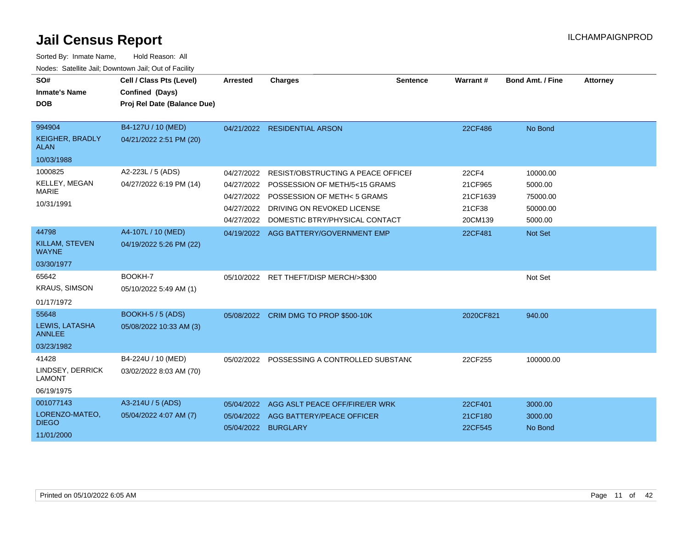| SO#                                   | Cell / Class Pts (Level)    | <b>Arrested</b> | <b>Charges</b>                            | <b>Sentence</b> | Warrant#     | <b>Bond Amt. / Fine</b> | <b>Attorney</b> |
|---------------------------------------|-----------------------------|-----------------|-------------------------------------------|-----------------|--------------|-------------------------|-----------------|
| <b>Inmate's Name</b>                  | Confined (Days)             |                 |                                           |                 |              |                         |                 |
| <b>DOB</b>                            | Proj Rel Date (Balance Due) |                 |                                           |                 |              |                         |                 |
|                                       |                             |                 |                                           |                 |              |                         |                 |
| 994904                                | B4-127U / 10 (MED)          |                 | 04/21/2022 RESIDENTIAL ARSON              |                 | 22CF486      | No Bond                 |                 |
| <b>KEIGHER, BRADLY</b><br><b>ALAN</b> | 04/21/2022 2:51 PM (20)     |                 |                                           |                 |              |                         |                 |
| 10/03/1988                            |                             |                 |                                           |                 |              |                         |                 |
| 1000825                               | A2-223L / 5 (ADS)           | 04/27/2022      | <b>RESIST/OBSTRUCTING A PEACE OFFICEF</b> |                 | <b>22CF4</b> | 10000.00                |                 |
| <b>KELLEY, MEGAN</b>                  | 04/27/2022 6:19 PM (14)     | 04/27/2022      | POSSESSION OF METH/5<15 GRAMS             |                 | 21CF965      | 5000.00                 |                 |
| <b>MARIE</b>                          |                             | 04/27/2022      | POSSESSION OF METH< 5 GRAMS               |                 | 21CF1639     | 75000.00                |                 |
| 10/31/1991                            |                             | 04/27/2022      | DRIVING ON REVOKED LICENSE                |                 | 21CF38       | 50000.00                |                 |
|                                       |                             | 04/27/2022      | DOMESTIC BTRY/PHYSICAL CONTACT            |                 | 20CM139      | 5000.00                 |                 |
| 44798                                 | A4-107L / 10 (MED)          |                 | 04/19/2022 AGG BATTERY/GOVERNMENT EMP     |                 | 22CF481      | Not Set                 |                 |
| <b>KILLAM, STEVEN</b><br><b>WAYNE</b> | 04/19/2022 5:26 PM (22)     |                 |                                           |                 |              |                         |                 |
| 03/30/1977                            |                             |                 |                                           |                 |              |                         |                 |
| 65642                                 | BOOKH-7                     |                 | 05/10/2022 RET THEFT/DISP MERCH/>\$300    |                 |              | Not Set                 |                 |
| <b>KRAUS, SIMSON</b>                  | 05/10/2022 5:49 AM (1)      |                 |                                           |                 |              |                         |                 |
| 01/17/1972                            |                             |                 |                                           |                 |              |                         |                 |
| 55648                                 | <b>BOOKH-5 / 5 (ADS)</b>    |                 | 05/08/2022 CRIM DMG TO PROP \$500-10K     |                 | 2020CF821    | 940.00                  |                 |
| LEWIS, LATASHA<br><b>ANNLEE</b>       | 05/08/2022 10:33 AM (3)     |                 |                                           |                 |              |                         |                 |
| 03/23/1982                            |                             |                 |                                           |                 |              |                         |                 |
| 41428                                 | B4-224U / 10 (MED)          | 05/02/2022      | POSSESSING A CONTROLLED SUBSTANC          |                 | 22CF255      | 100000.00               |                 |
| LINDSEY, DERRICK<br><b>LAMONT</b>     | 03/02/2022 8:03 AM (70)     |                 |                                           |                 |              |                         |                 |
| 06/19/1975                            |                             |                 |                                           |                 |              |                         |                 |
| 001077143                             | A3-214U / 5 (ADS)           | 05/04/2022      | AGG ASLT PEACE OFF/FIRE/ER WRK            |                 | 22CF401      | 3000.00                 |                 |
| LORENZO-MATEO,                        | 05/04/2022 4:07 AM (7)      |                 | 05/04/2022 AGG BATTERY/PEACE OFFICER      |                 | 21CF180      | 3000.00                 |                 |
| <b>DIEGO</b>                          |                             |                 | 05/04/2022 BURGLARY                       |                 | 22CF545      | No Bond                 |                 |
| 11/01/2000                            |                             |                 |                                           |                 |              |                         |                 |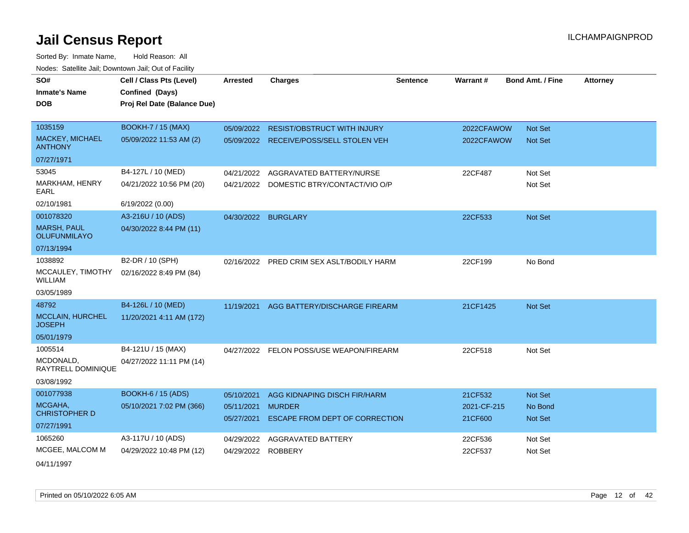| SO#                                       | Cell / Class Pts (Level)    | <b>Arrested</b> | <b>Charges</b>                            | Sentence | <b>Warrant#</b> | <b>Bond Amt. / Fine</b> | Attorney |
|-------------------------------------------|-----------------------------|-----------------|-------------------------------------------|----------|-----------------|-------------------------|----------|
| <b>Inmate's Name</b>                      | Confined (Days)             |                 |                                           |          |                 |                         |          |
| <b>DOB</b>                                | Proj Rel Date (Balance Due) |                 |                                           |          |                 |                         |          |
|                                           |                             |                 |                                           |          |                 |                         |          |
| 1035159                                   | <b>BOOKH-7 / 15 (MAX)</b>   |                 | 05/09/2022 RESIST/OBSTRUCT WITH INJURY    |          | 2022CFAWOW      | Not Set                 |          |
| MACKEY, MICHAEL<br><b>ANTHONY</b>         | 05/09/2022 11:53 AM (2)     |                 | 05/09/2022 RECEIVE/POSS/SELL STOLEN VEH   |          | 2022CFAWOW      | <b>Not Set</b>          |          |
| 07/27/1971                                |                             |                 |                                           |          |                 |                         |          |
| 53045                                     | B4-127L / 10 (MED)          | 04/21/2022      | AGGRAVATED BATTERY/NURSE                  |          | 22CF487         | Not Set                 |          |
| MARKHAM, HENRY<br>EARL                    | 04/21/2022 10:56 PM (20)    | 04/21/2022      | DOMESTIC BTRY/CONTACT/VIO O/P             |          |                 | Not Set                 |          |
| 02/10/1981                                | 6/19/2022 (0.00)            |                 |                                           |          |                 |                         |          |
| 001078320                                 | A3-216U / 10 (ADS)          |                 | 04/30/2022 BURGLARY                       |          | 22CF533         | Not Set                 |          |
| <b>MARSH, PAUL</b><br><b>OLUFUNMILAYO</b> | 04/30/2022 8:44 PM (11)     |                 |                                           |          |                 |                         |          |
| 07/13/1994                                |                             |                 |                                           |          |                 |                         |          |
| 1038892                                   | B2-DR / 10 (SPH)            |                 | 02/16/2022 PRED CRIM SEX ASLT/BODILY HARM |          | 22CF199         | No Bond                 |          |
| MCCAULEY, TIMOTHY<br>WILLIAM              | 02/16/2022 8:49 PM (84)     |                 |                                           |          |                 |                         |          |
| 03/05/1989                                |                             |                 |                                           |          |                 |                         |          |
| 48792                                     | B4-126L / 10 (MED)          | 11/19/2021      | AGG BATTERY/DISCHARGE FIREARM             |          | 21CF1425        | Not Set                 |          |
| <b>MCCLAIN, HURCHEL</b><br><b>JOSEPH</b>  | 11/20/2021 4:11 AM (172)    |                 |                                           |          |                 |                         |          |
| 05/01/1979                                |                             |                 |                                           |          |                 |                         |          |
| 1005514                                   | B4-121U / 15 (MAX)          | 04/27/2022      | FELON POSS/USE WEAPON/FIREARM             |          | 22CF518         | Not Set                 |          |
| MCDONALD,<br>RAYTRELL DOMINIQUE           | 04/27/2022 11:11 PM (14)    |                 |                                           |          |                 |                         |          |
| 03/08/1992                                |                             |                 |                                           |          |                 |                         |          |
| 001077938                                 | <b>BOOKH-6 / 15 (ADS)</b>   | 05/10/2021      | AGG KIDNAPING DISCH FIR/HARM              |          | 21CF532         | Not Set                 |          |
| MCGAHA,                                   | 05/10/2021 7:02 PM (366)    | 05/11/2021      | <b>MURDER</b>                             |          | 2021-CF-215     | No Bond                 |          |
| <b>CHRISTOPHER D</b>                      |                             | 05/27/2021      | ESCAPE FROM DEPT OF CORRECTION            |          | 21CF600         | <b>Not Set</b>          |          |
| 07/27/1991                                |                             |                 |                                           |          |                 |                         |          |
| 1065260                                   | A3-117U / 10 (ADS)          | 04/29/2022      | <b>AGGRAVATED BATTERY</b>                 |          | 22CF536         | Not Set                 |          |
| MCGEE, MALCOM M                           | 04/29/2022 10:48 PM (12)    | 04/29/2022      | <b>ROBBERY</b>                            |          | 22CF537         | Not Set                 |          |
| 04/11/1997                                |                             |                 |                                           |          |                 |                         |          |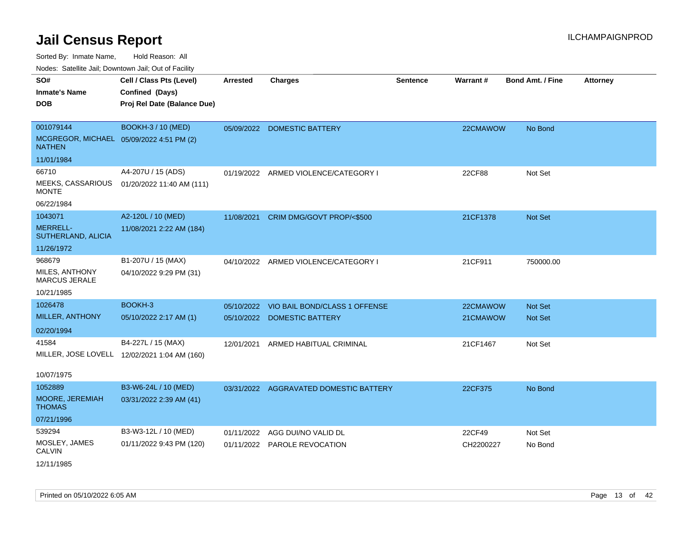Sorted By: Inmate Name, Hold Reason: All

Nodes: Satellite Jail; Downtown Jail; Out of Facility

| SO#<br><b>Inmate's Name</b><br><b>DOB</b>                              | Cell / Class Pts (Level)<br>Confined (Days)<br>Proj Rel Date (Balance Due) | <b>Arrested</b> | <b>Charges</b>                                      | <b>Sentence</b> | <b>Warrant#</b>     | <b>Bond Amt. / Fine</b> | <b>Attorney</b> |
|------------------------------------------------------------------------|----------------------------------------------------------------------------|-----------------|-----------------------------------------------------|-----------------|---------------------|-------------------------|-----------------|
| 001079144<br>MCGREGOR, MICHAEL 05/09/2022 4:51 PM (2)<br><b>NATHEN</b> | BOOKH-3 / 10 (MED)                                                         |                 | 05/09/2022 DOMESTIC BATTERY                         |                 | 22CMAWOW            | No Bond                 |                 |
| 11/01/1984                                                             |                                                                            |                 |                                                     |                 |                     |                         |                 |
| 66710<br>MEEKS, CASSARIOUS<br><b>MONTE</b>                             | A4-207U / 15 (ADS)<br>01/20/2022 11:40 AM (111)                            |                 | 01/19/2022 ARMED VIOLENCE/CATEGORY I                |                 | 22CF88              | Not Set                 |                 |
| 06/22/1984                                                             |                                                                            |                 |                                                     |                 |                     |                         |                 |
| 1043071<br><b>MERRELL-</b><br>SUTHERLAND, ALICIA                       | A2-120L / 10 (MED)<br>11/08/2021 2:22 AM (184)                             | 11/08/2021      | CRIM DMG/GOVT PROP/<\$500                           |                 | 21CF1378            | Not Set                 |                 |
| 11/26/1972                                                             |                                                                            |                 |                                                     |                 |                     |                         |                 |
| 968679<br>MILES, ANTHONY<br>MARCUS JERALE<br>10/21/1985                | B1-207U / 15 (MAX)<br>04/10/2022 9:29 PM (31)                              |                 | 04/10/2022 ARMED VIOLENCE/CATEGORY I                |                 | 21CF911             | 750000.00               |                 |
| 1026478                                                                | BOOKH-3                                                                    | 05/10/2022      | VIO BAIL BOND/CLASS 1 OFFENSE                       |                 | 22CMAWOW            | Not Set                 |                 |
| MILLER, ANTHONY<br>02/20/1994                                          | 05/10/2022 2:17 AM (1)                                                     |                 | 05/10/2022 DOMESTIC BATTERY                         |                 | 21CMAWOW            | <b>Not Set</b>          |                 |
| 41584<br>10/07/1975                                                    | B4-227L / 15 (MAX)<br>MILLER, JOSE LOVELL 12/02/2021 1:04 AM (160)         | 12/01/2021      | ARMED HABITUAL CRIMINAL                             |                 | 21CF1467            | Not Set                 |                 |
| 1052889<br>MOORE, JEREMIAH<br><b>THOMAS</b><br>07/21/1996              | B3-W6-24L / 10 (MED)<br>03/31/2022 2:39 AM (41)                            |                 | 03/31/2022 AGGRAVATED DOMESTIC BATTERY              |                 | 22CF375             | No Bond                 |                 |
| 539294                                                                 | B3-W3-12L / 10 (MED)                                                       |                 |                                                     |                 |                     |                         |                 |
| MOSLEY, JAMES<br><b>CALVIN</b>                                         | 01/11/2022 9:43 PM (120)                                                   | 01/11/2022      | AGG DUI/NO VALID DL<br>01/11/2022 PAROLE REVOCATION |                 | 22CF49<br>CH2200227 | Not Set<br>No Bond      |                 |
| 12/11/1985                                                             |                                                                            |                 |                                                     |                 |                     |                         |                 |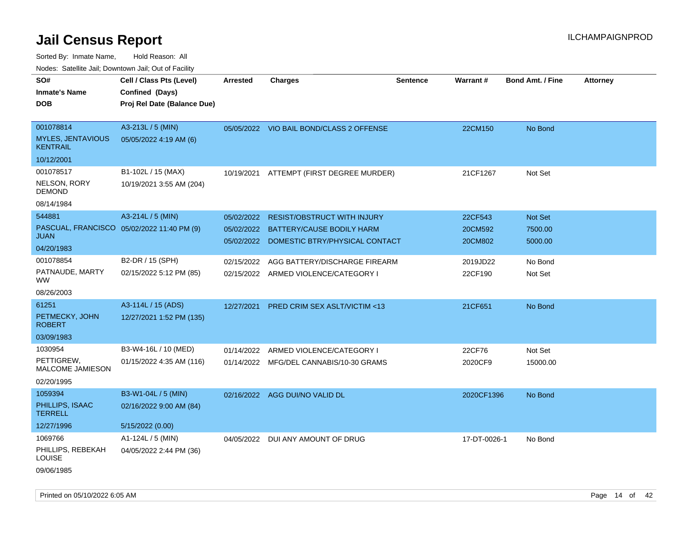Sorted By: Inmate Name, Hold Reason: All

Nodes: Satellite Jail; Downtown Jail; Out of Facility

| SO#                                         | Cell / Class Pts (Level)                   | Arrested   | <b>Charges</b>                           | Sentence | Warrant#     | <b>Bond Amt. / Fine</b> | <b>Attorney</b> |
|---------------------------------------------|--------------------------------------------|------------|------------------------------------------|----------|--------------|-------------------------|-----------------|
| <b>Inmate's Name</b>                        | Confined (Days)                            |            |                                          |          |              |                         |                 |
| <b>DOB</b>                                  | Proj Rel Date (Balance Due)                |            |                                          |          |              |                         |                 |
|                                             |                                            |            |                                          |          |              |                         |                 |
| 001078814                                   | A3-213L / 5 (MIN)                          |            | 05/05/2022 VIO BAIL BOND/CLASS 2 OFFENSE |          | 22CM150      | No Bond                 |                 |
| <b>MYLES, JENTAVIOUS</b><br><b>KENTRAIL</b> | 05/05/2022 4:19 AM (6)                     |            |                                          |          |              |                         |                 |
| 10/12/2001                                  |                                            |            |                                          |          |              |                         |                 |
| 001078517                                   | B1-102L / 15 (MAX)                         | 10/19/2021 | ATTEMPT (FIRST DEGREE MURDER)            |          | 21CF1267     | Not Set                 |                 |
| NELSON, RORY<br><b>DEMOND</b>               | 10/19/2021 3:55 AM (204)                   |            |                                          |          |              |                         |                 |
| 08/14/1984                                  |                                            |            |                                          |          |              |                         |                 |
| 544881                                      | A3-214L / 5 (MIN)                          | 05/02/2022 | <b>RESIST/OBSTRUCT WITH INJURY</b>       |          | 22CF543      | Not Set                 |                 |
|                                             | PASCUAL, FRANCISCO 05/02/2022 11:40 PM (9) | 05/02/2022 | <b>BATTERY/CAUSE BODILY HARM</b>         |          | 20CM592      | 7500.00                 |                 |
| <b>JUAN</b>                                 |                                            | 05/02/2022 | DOMESTIC BTRY/PHYSICAL CONTACT           |          | 20CM802      | 5000.00                 |                 |
| 04/20/1983                                  |                                            |            |                                          |          |              |                         |                 |
| 001078854                                   | B2-DR / 15 (SPH)                           | 02/15/2022 | AGG BATTERY/DISCHARGE FIREARM            |          | 2019JD22     | No Bond                 |                 |
| PATNAUDE, MARTY<br>WW.                      | 02/15/2022 5:12 PM (85)                    |            | 02/15/2022 ARMED VIOLENCE/CATEGORY I     |          | 22CF190      | Not Set                 |                 |
| 08/26/2003                                  |                                            |            |                                          |          |              |                         |                 |
| 61251                                       | A3-114L / 15 (ADS)                         | 12/27/2021 | <b>PRED CRIM SEX ASLT/VICTIM &lt;13</b>  |          | 21CF651      | No Bond                 |                 |
| PETMECKY, JOHN<br><b>ROBERT</b>             | 12/27/2021 1:52 PM (135)                   |            |                                          |          |              |                         |                 |
| 03/09/1983                                  |                                            |            |                                          |          |              |                         |                 |
| 1030954                                     | B3-W4-16L / 10 (MED)                       | 01/14/2022 | ARMED VIOLENCE/CATEGORY I                |          | 22CF76       | Not Set                 |                 |
| PETTIGREW,<br><b>MALCOME JAMIESON</b>       | 01/15/2022 4:35 AM (116)                   |            | 01/14/2022 MFG/DEL CANNABIS/10-30 GRAMS  |          | 2020CF9      | 15000.00                |                 |
| 02/20/1995                                  |                                            |            |                                          |          |              |                         |                 |
| 1059394                                     | B3-W1-04L / 5 (MIN)                        |            | 02/16/2022 AGG DUI/NO VALID DL           |          | 2020CF1396   | No Bond                 |                 |
| PHILLIPS, ISAAC<br><b>TERRELL</b>           | 02/16/2022 9:00 AM (84)                    |            |                                          |          |              |                         |                 |
| 12/27/1996                                  | 5/15/2022 (0.00)                           |            |                                          |          |              |                         |                 |
| 1069766                                     | A1-124L / 5 (MIN)                          |            | 04/05/2022 DUI ANY AMOUNT OF DRUG        |          | 17-DT-0026-1 | No Bond                 |                 |
| PHILLIPS, REBEKAH<br><b>LOUISE</b>          | 04/05/2022 2:44 PM (36)                    |            |                                          |          |              |                         |                 |
| 09/06/1985                                  |                                            |            |                                          |          |              |                         |                 |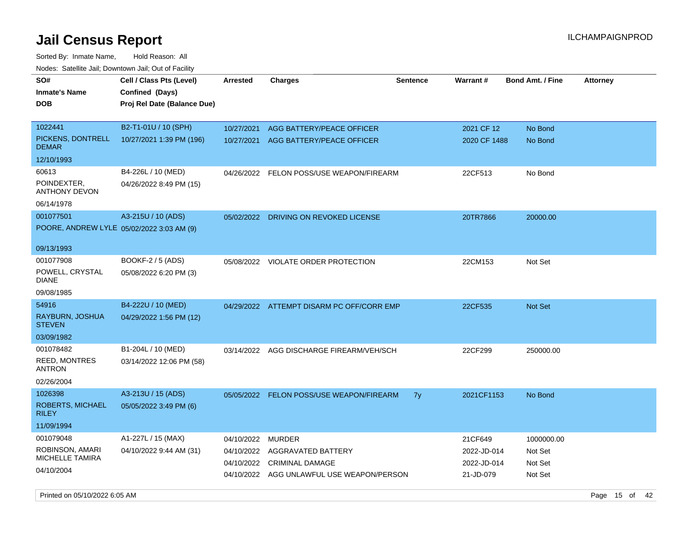| roaco. Catolino cali, Downtown cali, Out of Fability |                                                                            |            |                                           |                 |                 |                         |                 |
|------------------------------------------------------|----------------------------------------------------------------------------|------------|-------------------------------------------|-----------------|-----------------|-------------------------|-----------------|
| SO#<br>Inmate's Name<br><b>DOB</b>                   | Cell / Class Pts (Level)<br>Confined (Days)<br>Proj Rel Date (Balance Due) | Arrested   | <b>Charges</b>                            | <b>Sentence</b> | <b>Warrant#</b> | <b>Bond Amt. / Fine</b> | <b>Attorney</b> |
|                                                      |                                                                            |            |                                           |                 |                 |                         |                 |
| 1022441                                              | B2-T1-01U / 10 (SPH)                                                       | 10/27/2021 | AGG BATTERY/PEACE OFFICER                 |                 | 2021 CF 12      | No Bond                 |                 |
| PICKENS, DONTRELL<br><b>DEMAR</b>                    | 10/27/2021 1:39 PM (196)                                                   | 10/27/2021 | AGG BATTERY/PEACE OFFICER                 |                 | 2020 CF 1488    | No Bond                 |                 |
| 12/10/1993                                           |                                                                            |            |                                           |                 |                 |                         |                 |
| 60613                                                | B4-226L / 10 (MED)                                                         |            | 04/26/2022 FELON POSS/USE WEAPON/FIREARM  |                 | 22CF513         | No Bond                 |                 |
| POINDEXTER,<br><b>ANTHONY DEVON</b>                  | 04/26/2022 8:49 PM (15)                                                    |            |                                           |                 |                 |                         |                 |
| 06/14/1978                                           |                                                                            |            |                                           |                 |                 |                         |                 |
| 001077501                                            | A3-215U / 10 (ADS)                                                         |            | 05/02/2022 DRIVING ON REVOKED LICENSE     |                 | 20TR7866        | 20000.00                |                 |
| POORE, ANDREW LYLE 05/02/2022 3:03 AM (9)            |                                                                            |            |                                           |                 |                 |                         |                 |
|                                                      |                                                                            |            |                                           |                 |                 |                         |                 |
| 09/13/1993                                           |                                                                            |            |                                           |                 |                 |                         |                 |
| 001077908                                            | BOOKF-2 / 5 (ADS)                                                          |            | 05/08/2022 VIOLATE ORDER PROTECTION       |                 | 22CM153         | Not Set                 |                 |
| POWELL, CRYSTAL<br>DIANE                             | 05/08/2022 6:20 PM (3)                                                     |            |                                           |                 |                 |                         |                 |
| 09/08/1985                                           |                                                                            |            |                                           |                 |                 |                         |                 |
| 54916                                                | B4-222U / 10 (MED)                                                         |            | 04/29/2022 ATTEMPT DISARM PC OFF/CORR EMP |                 | 22CF535         | <b>Not Set</b>          |                 |
| RAYBURN, JOSHUA<br><b>STEVEN</b>                     | 04/29/2022 1:56 PM (12)                                                    |            |                                           |                 |                 |                         |                 |
| 03/09/1982                                           |                                                                            |            |                                           |                 |                 |                         |                 |
| 001078482                                            | B1-204L / 10 (MED)                                                         |            | 03/14/2022 AGG DISCHARGE FIREARM/VEH/SCH  |                 | 22CF299         | 250000.00               |                 |
| <b>REED, MONTRES</b><br>ANTRON                       | 03/14/2022 12:06 PM (58)                                                   |            |                                           |                 |                 |                         |                 |
| 02/26/2004                                           |                                                                            |            |                                           |                 |                 |                         |                 |
| 1026398                                              | A3-213U / 15 (ADS)                                                         |            | 05/05/2022 FELON POSS/USE WEAPON/FIREARM  | 7y              | 2021CF1153      | No Bond                 |                 |
| ROBERTS, MICHAEL<br>RILEY                            | 05/05/2022 3:49 PM (6)                                                     |            |                                           |                 |                 |                         |                 |
| 11/09/1994                                           |                                                                            |            |                                           |                 |                 |                         |                 |
| 001079048                                            | A1-227L / 15 (MAX)                                                         | 04/10/2022 | <b>MURDER</b>                             |                 | 21CF649         | 1000000.00              |                 |
| ROBINSON, AMARI                                      | 04/10/2022 9:44 AM (31)                                                    | 04/10/2022 | AGGRAVATED BATTERY                        |                 | 2022-JD-014     | Not Set                 |                 |
| <b>MICHELLE TAMIRA</b>                               |                                                                            | 04/10/2022 | <b>CRIMINAL DAMAGE</b>                    |                 | 2022-JD-014     | Not Set                 |                 |
| 04/10/2004                                           |                                                                            | 04/10/2022 | AGG UNLAWFUL USE WEAPON/PERSON            |                 | 21-JD-079       | Not Set                 |                 |
|                                                      |                                                                            |            |                                           |                 |                 |                         |                 |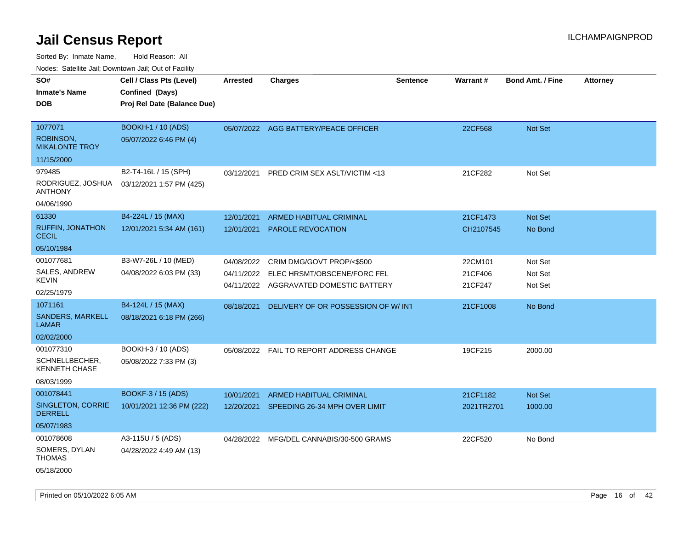Sorted By: Inmate Name, Hold Reason: All

| Nodes: Satellite Jail; Downtown Jail; Out of Facility |  |
|-------------------------------------------------------|--|
|                                                       |  |

| SO#<br><b>Inmate's Name</b><br><b>DOB</b> | Cell / Class Pts (Level)<br>Confined (Days)<br>Proj Rel Date (Balance Due) | <b>Arrested</b> | <b>Charges</b>                            | <b>Sentence</b> | Warrant#   | Bond Amt. / Fine | <b>Attorney</b> |
|-------------------------------------------|----------------------------------------------------------------------------|-----------------|-------------------------------------------|-----------------|------------|------------------|-----------------|
|                                           |                                                                            |                 |                                           |                 |            |                  |                 |
| 1077071                                   | <b>BOOKH-1 / 10 (ADS)</b>                                                  |                 | 05/07/2022 AGG BATTERY/PEACE OFFICER      |                 | 22CF568    | Not Set          |                 |
| <b>ROBINSON,</b><br><b>MIKALONTE TROY</b> | 05/07/2022 6:46 PM (4)                                                     |                 |                                           |                 |            |                  |                 |
| 11/15/2000                                |                                                                            |                 |                                           |                 |            |                  |                 |
| 979485                                    | B2-T4-16L / 15 (SPH)                                                       | 03/12/2021      | PRED CRIM SEX ASLT/VICTIM <13             |                 | 21CF282    | Not Set          |                 |
| RODRIGUEZ, JOSHUA<br><b>ANTHONY</b>       | 03/12/2021 1:57 PM (425)                                                   |                 |                                           |                 |            |                  |                 |
| 04/06/1990                                |                                                                            |                 |                                           |                 |            |                  |                 |
| 61330                                     | B4-224L / 15 (MAX)                                                         | 12/01/2021      | <b>ARMED HABITUAL CRIMINAL</b>            |                 | 21CF1473   | Not Set          |                 |
| <b>RUFFIN, JONATHON</b><br><b>CECIL</b>   | 12/01/2021 5:34 AM (161)                                                   | 12/01/2021      | PAROLE REVOCATION                         |                 | CH2107545  | No Bond          |                 |
| 05/10/1984                                |                                                                            |                 |                                           |                 |            |                  |                 |
| 001077681                                 | B3-W7-26L / 10 (MED)                                                       |                 | 04/08/2022 CRIM DMG/GOVT PROP/<\$500      |                 | 22CM101    | Not Set          |                 |
| SALES, ANDREW                             | 04/08/2022 6:03 PM (33)                                                    | 04/11/2022      | ELEC HRSMT/OBSCENE/FORC FEL               |                 | 21CF406    | Not Set          |                 |
| <b>KEVIN</b>                              |                                                                            |                 | 04/11/2022 AGGRAVATED DOMESTIC BATTERY    |                 | 21CF247    | Not Set          |                 |
| 02/25/1979                                |                                                                            |                 |                                           |                 |            |                  |                 |
| 1071161                                   | B4-124L / 15 (MAX)                                                         | 08/18/2021      | DELIVERY OF OR POSSESSION OF W/INT        |                 | 21CF1008   | No Bond          |                 |
| <b>SANDERS, MARKELL</b><br><b>LAMAR</b>   | 08/18/2021 6:18 PM (266)                                                   |                 |                                           |                 |            |                  |                 |
| 02/02/2000                                |                                                                            |                 |                                           |                 |            |                  |                 |
| 001077310                                 | BOOKH-3 / 10 (ADS)                                                         |                 | 05/08/2022  FAIL TO REPORT ADDRESS CHANGE |                 | 19CF215    | 2000.00          |                 |
| SCHNELLBECHER,<br><b>KENNETH CHASE</b>    | 05/08/2022 7:33 PM (3)                                                     |                 |                                           |                 |            |                  |                 |
| 08/03/1999                                |                                                                            |                 |                                           |                 |            |                  |                 |
| 001078441                                 | <b>BOOKF-3 / 15 (ADS)</b>                                                  | 10/01/2021      | <b>ARMED HABITUAL CRIMINAL</b>            |                 | 21CF1182   | Not Set          |                 |
| SINGLETON, CORRIE<br><b>DERRELL</b>       | 10/01/2021 12:36 PM (222)                                                  | 12/20/2021      | SPEEDING 26-34 MPH OVER LIMIT             |                 | 2021TR2701 | 1000.00          |                 |
| 05/07/1983                                |                                                                            |                 |                                           |                 |            |                  |                 |
| 001078608                                 | A3-115U / 5 (ADS)                                                          |                 | 04/28/2022 MFG/DEL CANNABIS/30-500 GRAMS  |                 | 22CF520    | No Bond          |                 |
| SOMERS, DYLAN<br><b>THOMAS</b>            | 04/28/2022 4:49 AM (13)                                                    |                 |                                           |                 |            |                  |                 |
| 05/18/2000                                |                                                                            |                 |                                           |                 |            |                  |                 |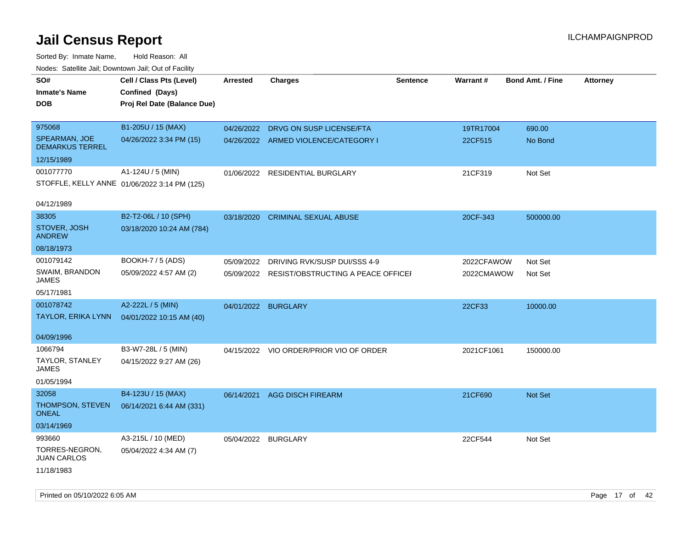| rouce. Calcinic Jan, Downtown Jan, Out or Facility |                                              |                     |                                               |                 |                 |                         |                 |
|----------------------------------------------------|----------------------------------------------|---------------------|-----------------------------------------------|-----------------|-----------------|-------------------------|-----------------|
| SO#                                                | Cell / Class Pts (Level)                     | <b>Arrested</b>     | <b>Charges</b>                                | <b>Sentence</b> | <b>Warrant#</b> | <b>Bond Amt. / Fine</b> | <b>Attorney</b> |
| <b>Inmate's Name</b>                               | Confined (Days)                              |                     |                                               |                 |                 |                         |                 |
| <b>DOB</b>                                         | Proj Rel Date (Balance Due)                  |                     |                                               |                 |                 |                         |                 |
|                                                    |                                              |                     |                                               |                 |                 |                         |                 |
| 975068                                             | B1-205U / 15 (MAX)                           |                     | 04/26/2022 DRVG ON SUSP LICENSE/FTA           |                 | 19TR17004       | 690.00                  |                 |
| SPEARMAN, JOE<br><b>DEMARKUS TERREL</b>            | 04/26/2022 3:34 PM (15)                      |                     | 04/26/2022 ARMED VIOLENCE/CATEGORY I          |                 | 22CF515         | No Bond                 |                 |
| 12/15/1989                                         |                                              |                     |                                               |                 |                 |                         |                 |
| 001077770                                          | A1-124U / 5 (MIN)                            |                     | 01/06/2022 RESIDENTIAL BURGLARY               |                 | 21CF319         | Not Set                 |                 |
|                                                    | STOFFLE, KELLY ANNE 01/06/2022 3:14 PM (125) |                     |                                               |                 |                 |                         |                 |
|                                                    |                                              |                     |                                               |                 |                 |                         |                 |
| 04/12/1989                                         |                                              |                     |                                               |                 |                 |                         |                 |
| 38305                                              | B2-T2-06L / 10 (SPH)                         | 03/18/2020          | <b>CRIMINAL SEXUAL ABUSE</b>                  |                 | 20CF-343        | 500000.00               |                 |
| STOVER, JOSH<br><b>ANDREW</b>                      | 03/18/2020 10:24 AM (784)                    |                     |                                               |                 |                 |                         |                 |
| 08/18/1973                                         |                                              |                     |                                               |                 |                 |                         |                 |
| 001079142                                          | BOOKH-7 / 5 (ADS)                            | 05/09/2022          | DRIVING RVK/SUSP DUI/SSS 4-9                  |                 | 2022CFAWOW      | Not Set                 |                 |
| SWAIM, BRANDON<br><b>JAMES</b>                     | 05/09/2022 4:57 AM (2)                       |                     | 05/09/2022 RESIST/OBSTRUCTING A PEACE OFFICEF |                 | 2022CMAWOW      | Not Set                 |                 |
| 05/17/1981                                         |                                              |                     |                                               |                 |                 |                         |                 |
| 001078742                                          | A2-222L / 5 (MIN)                            | 04/01/2022 BURGLARY |                                               |                 | 22CF33          | 10000.00                |                 |
| TAYLOR, ERIKA LYNN                                 | 04/01/2022 10:15 AM (40)                     |                     |                                               |                 |                 |                         |                 |
|                                                    |                                              |                     |                                               |                 |                 |                         |                 |
| 04/09/1996                                         |                                              |                     |                                               |                 |                 |                         |                 |
| 1066794                                            | B3-W7-28L / 5 (MIN)                          |                     | 04/15/2022 VIO ORDER/PRIOR VIO OF ORDER       |                 | 2021CF1061      | 150000.00               |                 |
| <b>TAYLOR, STANLEY</b><br>JAMES                    | 04/15/2022 9:27 AM (26)                      |                     |                                               |                 |                 |                         |                 |
| 01/05/1994                                         |                                              |                     |                                               |                 |                 |                         |                 |
| 32058                                              | B4-123U / 15 (MAX)                           | 06/14/2021          | <b>AGG DISCH FIREARM</b>                      |                 | 21CF690         | <b>Not Set</b>          |                 |
| THOMPSON, STEVEN<br>ONEAL                          | 06/14/2021 6:44 AM (331)                     |                     |                                               |                 |                 |                         |                 |
| 03/14/1969                                         |                                              |                     |                                               |                 |                 |                         |                 |
| 993660                                             | A3-215L / 10 (MED)                           | 05/04/2022 BURGLARY |                                               |                 | 22CF544         | Not Set                 |                 |
| TORRES-NEGRON,<br><b>JUAN CARLOS</b>               | 05/04/2022 4:34 AM (7)                       |                     |                                               |                 |                 |                         |                 |
| 11/18/1983                                         |                                              |                     |                                               |                 |                 |                         |                 |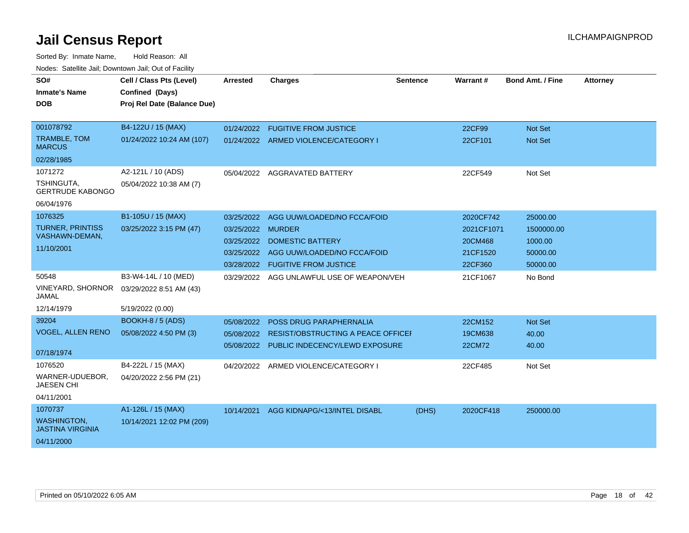| roaco. Calcinio can, Downlown can, Out or Facility |                             |                   |                                           |                 |                 |                         |                 |
|----------------------------------------------------|-----------------------------|-------------------|-------------------------------------------|-----------------|-----------------|-------------------------|-----------------|
| SO#                                                | Cell / Class Pts (Level)    | Arrested          | <b>Charges</b>                            | <b>Sentence</b> | <b>Warrant#</b> | <b>Bond Amt. / Fine</b> | <b>Attorney</b> |
| <b>Inmate's Name</b>                               | Confined (Days)             |                   |                                           |                 |                 |                         |                 |
| <b>DOB</b>                                         | Proj Rel Date (Balance Due) |                   |                                           |                 |                 |                         |                 |
|                                                    |                             |                   |                                           |                 |                 |                         |                 |
| 001078792                                          | B4-122U / 15 (MAX)          |                   | 01/24/2022 FUGITIVE FROM JUSTICE          |                 | 22CF99          | Not Set                 |                 |
| <b>TRAMBLE, TOM</b><br><b>MARCUS</b>               | 01/24/2022 10:24 AM (107)   |                   | 01/24/2022 ARMED VIOLENCE/CATEGORY I      |                 | 22CF101         | <b>Not Set</b>          |                 |
| 02/28/1985                                         |                             |                   |                                           |                 |                 |                         |                 |
| 1071272                                            | A2-121L / 10 (ADS)          |                   | 05/04/2022 AGGRAVATED BATTERY             |                 | 22CF549         | Not Set                 |                 |
| TSHINGUTA,<br><b>GERTRUDE KABONGO</b>              | 05/04/2022 10:38 AM (7)     |                   |                                           |                 |                 |                         |                 |
| 06/04/1976                                         |                             |                   |                                           |                 |                 |                         |                 |
| 1076325                                            | B1-105U / 15 (MAX)          | 03/25/2022        | AGG UUW/LOADED/NO FCCA/FOID               |                 | 2020CF742       | 25000.00                |                 |
| <b>TURNER, PRINTISS</b>                            | 03/25/2022 3:15 PM (47)     | 03/25/2022 MURDER |                                           |                 | 2021CF1071      | 1500000.00              |                 |
| VASHAWN-DEMAN,                                     |                             |                   | 03/25/2022 DOMESTIC BATTERY               |                 | 20CM468         | 1000.00                 |                 |
| 11/10/2001                                         |                             | 03/25/2022        | AGG UUW/LOADED/NO FCCA/FOID               |                 | 21CF1520        | 50000.00                |                 |
|                                                    |                             |                   | 03/28/2022 FUGITIVE FROM JUSTICE          |                 | 22CF360         | 50000.00                |                 |
| 50548                                              | B3-W4-14L / 10 (MED)        |                   | 03/29/2022 AGG UNLAWFUL USE OF WEAPON/VEH |                 | 21CF1067        | No Bond                 |                 |
| <b>VINEYARD, SHORNOR</b><br>JAMAL                  | 03/29/2022 8:51 AM (43)     |                   |                                           |                 |                 |                         |                 |
| 12/14/1979                                         | 5/19/2022 (0.00)            |                   |                                           |                 |                 |                         |                 |
| 39204                                              | <b>BOOKH-8 / 5 (ADS)</b>    | 05/08/2022        | <b>POSS DRUG PARAPHERNALIA</b>            |                 | 22CM152         | <b>Not Set</b>          |                 |
| <b>VOGEL, ALLEN RENO</b>                           | 05/08/2022 4:50 PM (3)      | 05/08/2022        | RESIST/OBSTRUCTING A PEACE OFFICEI        |                 | 19CM638         | 40.00                   |                 |
| 07/18/1974                                         |                             |                   | 05/08/2022 PUBLIC INDECENCY/LEWD EXPOSURE |                 | 22CM72          | 40.00                   |                 |
| 1076520                                            | B4-222L / 15 (MAX)          |                   | 04/20/2022 ARMED VIOLENCE/CATEGORY I      |                 | 22CF485         | Not Set                 |                 |
| WARNER-UDUEBOR,<br><b>JAESEN CHI</b>               | 04/20/2022 2:56 PM (21)     |                   |                                           |                 |                 |                         |                 |
| 04/11/2001                                         |                             |                   |                                           |                 |                 |                         |                 |
| 1070737                                            | A1-126L / 15 (MAX)          | 10/14/2021        | AGG KIDNAPG/<13/INTEL DISABL              | (DHS)           | 2020CF418       | 250000.00               |                 |
| <b>WASHINGTON,</b><br><b>JASTINA VIRGINIA</b>      | 10/14/2021 12:02 PM (209)   |                   |                                           |                 |                 |                         |                 |
| 04/11/2000                                         |                             |                   |                                           |                 |                 |                         |                 |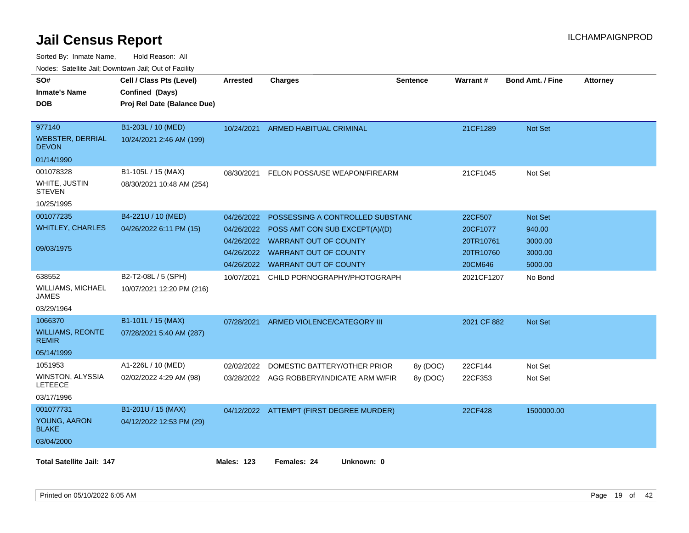| rouce. Calcillic Jali, Downtown Jali, Out of Facility |                             |                   |                                           |                 |             |                         |                 |
|-------------------------------------------------------|-----------------------------|-------------------|-------------------------------------------|-----------------|-------------|-------------------------|-----------------|
| SO#                                                   | Cell / Class Pts (Level)    | <b>Arrested</b>   | <b>Charges</b>                            | <b>Sentence</b> | Warrant#    | <b>Bond Amt. / Fine</b> | <b>Attorney</b> |
| <b>Inmate's Name</b>                                  | Confined (Days)             |                   |                                           |                 |             |                         |                 |
| DOB                                                   | Proj Rel Date (Balance Due) |                   |                                           |                 |             |                         |                 |
|                                                       |                             |                   |                                           |                 |             |                         |                 |
| 977140                                                | B1-203L / 10 (MED)          | 10/24/2021        | ARMED HABITUAL CRIMINAL                   |                 | 21CF1289    | Not Set                 |                 |
| <b>WEBSTER, DERRIAL</b><br><b>DEVON</b>               | 10/24/2021 2:46 AM (199)    |                   |                                           |                 |             |                         |                 |
| 01/14/1990                                            |                             |                   |                                           |                 |             |                         |                 |
| 001078328                                             | B1-105L / 15 (MAX)          | 08/30/2021        | FELON POSS/USE WEAPON/FIREARM             |                 | 21CF1045    | Not Set                 |                 |
| WHITE, JUSTIN<br><b>STEVEN</b>                        | 08/30/2021 10:48 AM (254)   |                   |                                           |                 |             |                         |                 |
| 10/25/1995                                            |                             |                   |                                           |                 |             |                         |                 |
| 001077235                                             | B4-221U / 10 (MED)          | 04/26/2022        | POSSESSING A CONTROLLED SUBSTANC          |                 | 22CF507     | Not Set                 |                 |
| <b>WHITLEY, CHARLES</b>                               | 04/26/2022 6:11 PM (15)     | 04/26/2022        | POSS AMT CON SUB EXCEPT(A)/(D)            |                 | 20CF1077    | 940.00                  |                 |
|                                                       |                             |                   | 04/26/2022 WARRANT OUT OF COUNTY          |                 | 20TR10761   | 3000.00                 |                 |
| 09/03/1975                                            |                             |                   | 04/26/2022 WARRANT OUT OF COUNTY          |                 | 20TR10760   | 3000.00                 |                 |
|                                                       |                             | 04/26/2022        | <b>WARRANT OUT OF COUNTY</b>              |                 | 20CM646     | 5000.00                 |                 |
| 638552                                                | B2-T2-08L / 5 (SPH)         | 10/07/2021        | CHILD PORNOGRAPHY/PHOTOGRAPH              |                 | 2021CF1207  | No Bond                 |                 |
| <b>WILLIAMS, MICHAEL</b><br>JAMES                     | 10/07/2021 12:20 PM (216)   |                   |                                           |                 |             |                         |                 |
| 03/29/1964                                            |                             |                   |                                           |                 |             |                         |                 |
| 1066370                                               | B1-101L / 15 (MAX)          | 07/28/2021        | ARMED VIOLENCE/CATEGORY III               |                 | 2021 CF 882 | Not Set                 |                 |
| <b>WILLIAMS, REONTE</b><br><b>REMIR</b>               | 07/28/2021 5:40 AM (287)    |                   |                                           |                 |             |                         |                 |
| 05/14/1999                                            |                             |                   |                                           |                 |             |                         |                 |
| 1051953                                               | A1-226L / 10 (MED)          | 02/02/2022        | DOMESTIC BATTERY/OTHER PRIOR              | 8y (DOC)        | 22CF144     | Not Set                 |                 |
| WINSTON, ALYSSIA<br><b>LETEECE</b>                    | 02/02/2022 4:29 AM (98)     |                   | 03/28/2022 AGG ROBBERY/INDICATE ARM W/FIR | 8y (DOC)        | 22CF353     | Not Set                 |                 |
| 03/17/1996                                            |                             |                   |                                           |                 |             |                         |                 |
| 001077731                                             | B1-201U / 15 (MAX)          |                   | 04/12/2022 ATTEMPT (FIRST DEGREE MURDER)  |                 | 22CF428     | 1500000.00              |                 |
| YOUNG, AARON<br><b>BLAKE</b>                          | 04/12/2022 12:53 PM (29)    |                   |                                           |                 |             |                         |                 |
| 03/04/2000                                            |                             |                   |                                           |                 |             |                         |                 |
| <b>Total Satellite Jail: 147</b>                      |                             | <b>Males: 123</b> | Unknown: 0<br>Females: 24                 |                 |             |                         |                 |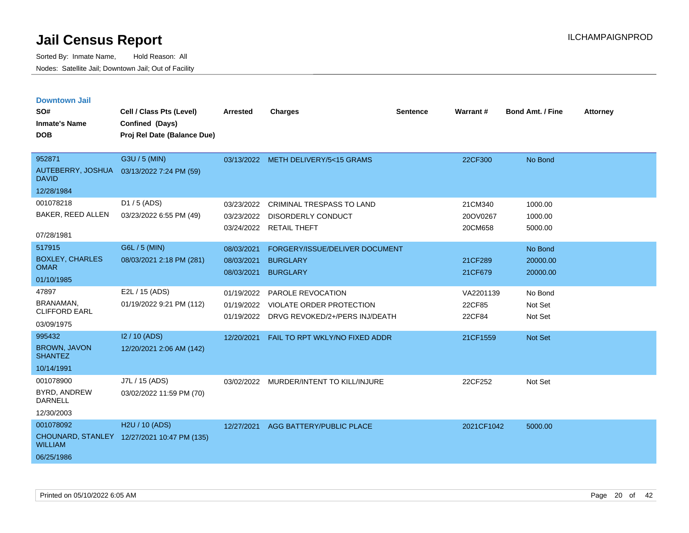| <b>Downtown Jail</b>                  |                                             |                 |                                           |                 |                 |                         |                 |
|---------------------------------------|---------------------------------------------|-----------------|-------------------------------------------|-----------------|-----------------|-------------------------|-----------------|
| SO#                                   | Cell / Class Pts (Level)                    | <b>Arrested</b> | <b>Charges</b>                            | <b>Sentence</b> | <b>Warrant#</b> | <b>Bond Amt. / Fine</b> | <b>Attorney</b> |
| <b>Inmate's Name</b>                  | Confined (Days)                             |                 |                                           |                 |                 |                         |                 |
| <b>DOB</b>                            | Proj Rel Date (Balance Due)                 |                 |                                           |                 |                 |                         |                 |
|                                       |                                             |                 |                                           |                 |                 |                         |                 |
| 952871                                | G3U / 5 (MIN)                               |                 | 03/13/2022 METH DELIVERY/5<15 GRAMS       |                 | 22CF300         | No Bond                 |                 |
| AUTEBERRY, JOSHUA<br><b>DAVID</b>     | 03/13/2022 7:24 PM (59)                     |                 |                                           |                 |                 |                         |                 |
| 12/28/1984                            |                                             |                 |                                           |                 |                 |                         |                 |
| 001078218                             | D1 / 5 (ADS)                                | 03/23/2022      | <b>CRIMINAL TRESPASS TO LAND</b>          |                 | 21CM340         | 1000.00                 |                 |
| BAKER, REED ALLEN                     | 03/23/2022 6:55 PM (49)                     | 03/23/2022      | <b>DISORDERLY CONDUCT</b>                 |                 | 20OV0267        | 1000.00                 |                 |
| 07/28/1981                            |                                             | 03/24/2022      | <b>RETAIL THEFT</b>                       |                 | 20CM658         | 5000.00                 |                 |
| 517915                                | G6L / 5 (MIN)                               | 08/03/2021      | FORGERY/ISSUE/DELIVER DOCUMENT            |                 |                 | No Bond                 |                 |
| <b>BOXLEY, CHARLES</b>                | 08/03/2021 2:18 PM (281)                    | 08/03/2021      | <b>BURGLARY</b>                           |                 | 21CF289         | 20000.00                |                 |
| <b>OMAR</b>                           |                                             | 08/03/2021      | <b>BURGLARY</b>                           |                 | 21CF679         | 20000.00                |                 |
| 01/10/1985                            |                                             |                 |                                           |                 |                 |                         |                 |
| 47897                                 | E2L / 15 (ADS)                              | 01/19/2022      | PAROLE REVOCATION                         |                 | VA2201139       | No Bond                 |                 |
| BRANAMAN,<br><b>CLIFFORD EARL</b>     | 01/19/2022 9:21 PM (112)                    | 01/19/2022      | <b>VIOLATE ORDER PROTECTION</b>           |                 | 22CF85          | Not Set                 |                 |
| 03/09/1975                            |                                             |                 | 01/19/2022 DRVG REVOKED/2+/PERS INJ/DEATH |                 | 22CF84          | Not Set                 |                 |
| 995432                                | I2 / 10 (ADS)                               | 12/20/2021      | FAIL TO RPT WKLY/NO FIXED ADDR            |                 | 21CF1559        | <b>Not Set</b>          |                 |
| <b>BROWN, JAVON</b><br><b>SHANTEZ</b> | 12/20/2021 2:06 AM (142)                    |                 |                                           |                 |                 |                         |                 |
| 10/14/1991                            |                                             |                 |                                           |                 |                 |                         |                 |
| 001078900                             | J7L / 15 (ADS)                              | 03/02/2022      | MURDER/INTENT TO KILL/INJURE              |                 | 22CF252         | Not Set                 |                 |
| BYRD, ANDREW<br><b>DARNELL</b>        | 03/02/2022 11:59 PM (70)                    |                 |                                           |                 |                 |                         |                 |
| 12/30/2003                            |                                             |                 |                                           |                 |                 |                         |                 |
| 001078092                             | H <sub>2</sub> U / 10 (ADS)                 | 12/27/2021      | AGG BATTERY/PUBLIC PLACE                  |                 | 2021CF1042      | 5000.00                 |                 |
| <b>WILLIAM</b>                        | CHOUNARD, STANLEY 12/27/2021 10:47 PM (135) |                 |                                           |                 |                 |                         |                 |
| 06/25/1986                            |                                             |                 |                                           |                 |                 |                         |                 |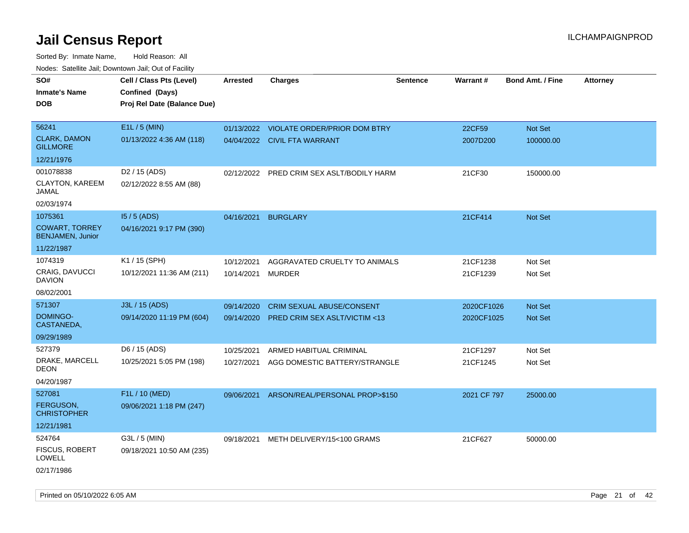| SO#<br><b>Inmate's Name</b><br><b>DOB</b>        | Cell / Class Pts (Level)<br>Confined (Days)<br>Proj Rel Date (Balance Due) | <b>Arrested</b> | <b>Charges</b>                            | <b>Sentence</b> | Warrant#    | <b>Bond Amt. / Fine</b> | <b>Attorney</b> |
|--------------------------------------------------|----------------------------------------------------------------------------|-----------------|-------------------------------------------|-----------------|-------------|-------------------------|-----------------|
| 56241                                            | E1L / 5 (MIN)                                                              |                 | 01/13/2022 VIOLATE ORDER/PRIOR DOM BTRY   |                 | 22CF59      | Not Set                 |                 |
| <b>CLARK, DAMON</b><br><b>GILLMORE</b>           | 01/13/2022 4:36 AM (118)                                                   |                 | 04/04/2022 CIVIL FTA WARRANT              |                 | 2007D200    | 100000.00               |                 |
| 12/21/1976                                       |                                                                            |                 |                                           |                 |             |                         |                 |
| 001078838                                        | D <sub>2</sub> / 15 (ADS)                                                  |                 | 02/12/2022 PRED CRIM SEX ASLT/BODILY HARM |                 | 21CF30      | 150000.00               |                 |
| <b>CLAYTON, KAREEM</b><br>JAMAL                  | 02/12/2022 8:55 AM (88)                                                    |                 |                                           |                 |             |                         |                 |
| 02/03/1974                                       |                                                                            |                 |                                           |                 |             |                         |                 |
| 1075361                                          | $15/5$ (ADS)                                                               | 04/16/2021      | <b>BURGLARY</b>                           |                 | 21CF414     | Not Set                 |                 |
| <b>COWART, TORREY</b><br><b>BENJAMEN, Junior</b> | 04/16/2021 9:17 PM (390)                                                   |                 |                                           |                 |             |                         |                 |
| 11/22/1987                                       |                                                                            |                 |                                           |                 |             |                         |                 |
| 1074319                                          | K1 / 15 (SPH)                                                              | 10/12/2021      | AGGRAVATED CRUELTY TO ANIMALS             |                 | 21CF1238    | Not Set                 |                 |
| <b>CRAIG, DAVUCCI</b><br><b>DAVION</b>           | 10/12/2021 11:36 AM (211)                                                  | 10/14/2021      | MURDER                                    |                 | 21CF1239    | Not Set                 |                 |
| 08/02/2001                                       |                                                                            |                 |                                           |                 |             |                         |                 |
| 571307                                           | J3L / 15 (ADS)                                                             | 09/14/2020      | <b>CRIM SEXUAL ABUSE/CONSENT</b>          |                 | 2020CF1026  | <b>Not Set</b>          |                 |
| DOMINGO-<br>CASTANEDA,                           | 09/14/2020 11:19 PM (604)                                                  | 09/14/2020      | PRED CRIM SEX ASLT/VICTIM <13             |                 | 2020CF1025  | Not Set                 |                 |
| 09/29/1989                                       |                                                                            |                 |                                           |                 |             |                         |                 |
| 527379                                           | D6 / 15 (ADS)                                                              | 10/25/2021      | ARMED HABITUAL CRIMINAL                   |                 | 21CF1297    | Not Set                 |                 |
| DRAKE, MARCELL<br>DEON                           | 10/25/2021 5:05 PM (198)                                                   | 10/27/2021      | AGG DOMESTIC BATTERY/STRANGLE             |                 | 21CF1245    | Not Set                 |                 |
| 04/20/1987                                       |                                                                            |                 |                                           |                 |             |                         |                 |
| 527081                                           | F1L / 10 (MED)                                                             | 09/06/2021      | ARSON/REAL/PERSONAL PROP>\$150            |                 | 2021 CF 797 | 25000.00                |                 |
| <b>FERGUSON.</b><br><b>CHRISTOPHER</b>           | 09/06/2021 1:18 PM (247)                                                   |                 |                                           |                 |             |                         |                 |
| 12/21/1981                                       |                                                                            |                 |                                           |                 |             |                         |                 |
| 524764                                           | G3L / 5 (MIN)                                                              | 09/18/2021      | METH DELIVERY/15<100 GRAMS                |                 | 21CF627     | 50000.00                |                 |
| <b>FISCUS, ROBERT</b><br>LOWELL                  | 09/18/2021 10:50 AM (235)                                                  |                 |                                           |                 |             |                         |                 |
| 02/17/1986                                       |                                                                            |                 |                                           |                 |             |                         |                 |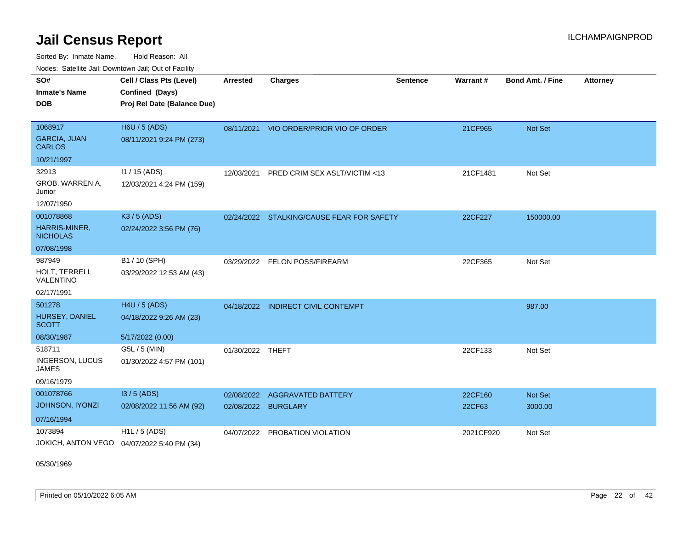Sorted By: Inmate Name, Hold Reason: All Nodes: Satellite Jail; Downtown Jail; Out of Facility

| <b>Houce.</b> Catellite ball, Downtown ball, Out of Fability |                             |                  |                                           |                 |                 |                         |                 |
|--------------------------------------------------------------|-----------------------------|------------------|-------------------------------------------|-----------------|-----------------|-------------------------|-----------------|
| SO#                                                          | Cell / Class Pts (Level)    | Arrested         | <b>Charges</b>                            | <b>Sentence</b> | <b>Warrant#</b> | <b>Bond Amt. / Fine</b> | <b>Attorney</b> |
| <b>Inmate's Name</b>                                         | Confined (Days)             |                  |                                           |                 |                 |                         |                 |
| <b>DOB</b>                                                   | Proj Rel Date (Balance Due) |                  |                                           |                 |                 |                         |                 |
|                                                              |                             |                  |                                           |                 |                 |                         |                 |
| 1068917                                                      | H6U / 5 (ADS)               |                  | 08/11/2021 VIO ORDER/PRIOR VIO OF ORDER   |                 | 21CF965         | <b>Not Set</b>          |                 |
| <b>GARCIA, JUAN</b><br><b>CARLOS</b>                         | 08/11/2021 9:24 PM (273)    |                  |                                           |                 |                 |                         |                 |
| 10/21/1997                                                   |                             |                  |                                           |                 |                 |                         |                 |
| 32913                                                        | I1 / 15 (ADS)               | 12/03/2021       | PRED CRIM SEX ASLT/VICTIM <13             |                 | 21CF1481        | Not Set                 |                 |
| GROB, WARREN A,<br>Junior                                    | 12/03/2021 4:24 PM (159)    |                  |                                           |                 |                 |                         |                 |
| 12/07/1950                                                   |                             |                  |                                           |                 |                 |                         |                 |
| 001078868                                                    | K3 / 5 (ADS)                |                  | 02/24/2022 STALKING/CAUSE FEAR FOR SAFETY |                 | 22CF227         | 150000.00               |                 |
| HARRIS-MINER,<br><b>NICHOLAS</b>                             | 02/24/2022 3:56 PM (76)     |                  |                                           |                 |                 |                         |                 |
| 07/08/1998                                                   |                             |                  |                                           |                 |                 |                         |                 |
| 987949                                                       | B1 / 10 (SPH)               | 03/29/2022       | <b>FELON POSS/FIREARM</b>                 |                 | 22CF365         | Not Set                 |                 |
| HOLT, TERRELL<br>VALENTINO                                   | 03/29/2022 12:53 AM (43)    |                  |                                           |                 |                 |                         |                 |
| 02/17/1991                                                   |                             |                  |                                           |                 |                 |                         |                 |
| 501278                                                       | H4U / 5 (ADS)               |                  | 04/18/2022 INDIRECT CIVIL CONTEMPT        |                 |                 | 987.00                  |                 |
| HURSEY, DANIEL<br><b>SCOTT</b>                               | 04/18/2022 9:26 AM (23)     |                  |                                           |                 |                 |                         |                 |
| 08/30/1987                                                   | 5/17/2022 (0.00)            |                  |                                           |                 |                 |                         |                 |
| 518711                                                       | G5L / 5 (MIN)               | 01/30/2022 THEFT |                                           |                 | 22CF133         | Not Set                 |                 |
| INGERSON, LUCUS<br><b>JAMES</b>                              | 01/30/2022 4:57 PM (101)    |                  |                                           |                 |                 |                         |                 |
| 09/16/1979                                                   |                             |                  |                                           |                 |                 |                         |                 |
| 001078766                                                    | $13/5$ (ADS)                | 02/08/2022       | <b>AGGRAVATED BATTERY</b>                 |                 | 22CF160         | <b>Not Set</b>          |                 |
| <b>JOHNSON, IYONZI</b>                                       | 02/08/2022 11:56 AM (92)    | 02/08/2022       | <b>BURGLARY</b>                           |                 | 22CF63          | 3000.00                 |                 |
| 07/16/1994                                                   |                             |                  |                                           |                 |                 |                         |                 |
| 1073894                                                      | H1L / 5 (ADS)               | 04/07/2022       | PROBATION VIOLATION                       |                 | 2021CF920       | Not Set                 |                 |
| JOKICH, ANTON VEGO  04/07/2022 5:40 PM (34)                  |                             |                  |                                           |                 |                 |                         |                 |

05/30/1969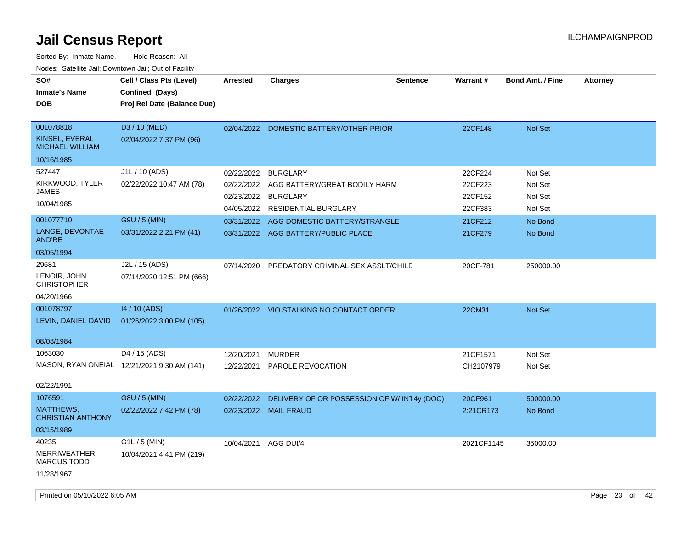| SO#<br><b>Inmate's Name</b><br><b>DOB</b>                                               | Cell / Class Pts (Level)<br>Confined (Days)<br>Proj Rel Date (Balance Due)             | <b>Arrested</b>                                                    | <b>Charges</b>                                                                                                                                                             | <b>Warrant#</b><br><b>Sentence</b>                             | <b>Bond Amt. / Fine</b>                                        | <b>Attorney</b> |
|-----------------------------------------------------------------------------------------|----------------------------------------------------------------------------------------|--------------------------------------------------------------------|----------------------------------------------------------------------------------------------------------------------------------------------------------------------------|----------------------------------------------------------------|----------------------------------------------------------------|-----------------|
| 001078818<br>KINSEL, EVERAL<br><b>MICHAEL WILLIAM</b><br>10/16/1985                     | D3 / 10 (MED)<br>02/04/2022 7:37 PM (96)                                               |                                                                    | 02/04/2022 DOMESTIC BATTERY/OTHER PRIOR                                                                                                                                    | 22CF148                                                        | Not Set                                                        |                 |
| 527447<br>KIRKWOOD, TYLER<br><b>JAMES</b><br>10/04/1985<br>001077710<br>LANGE, DEVONTAE | J1L / 10 (ADS)<br>02/22/2022 10:47 AM (78)<br>G9U / 5 (MIN)<br>03/31/2022 2:21 PM (41) | 02/22/2022<br>02/22/2022<br>02/23/2022<br>04/05/2022<br>03/31/2022 | <b>BURGLARY</b><br>AGG BATTERY/GREAT BODILY HARM<br><b>BURGLARY</b><br><b>RESIDENTIAL BURGLARY</b><br>AGG DOMESTIC BATTERY/STRANGLE<br>03/31/2022 AGG BATTERY/PUBLIC PLACE | 22CF224<br>22CF223<br>22CF152<br>22CF383<br>21CF212<br>21CF279 | Not Set<br>Not Set<br>Not Set<br>Not Set<br>No Bond<br>No Bond |                 |
| AND'RE<br>03/05/1994<br>29681<br>LENOIR, JOHN<br><b>CHRISTOPHER</b><br>04/20/1966       | J2L / 15 (ADS)<br>07/14/2020 12:51 PM (666)                                            | 07/14/2020                                                         | PREDATORY CRIMINAL SEX ASSLT/CHILE                                                                                                                                         | 20CF-781                                                       | 250000.00                                                      |                 |
| 001078797<br>LEVIN, DANIEL DAVID<br>08/08/1984                                          | 14 / 10 (ADS)<br>01/26/2022 3:00 PM (105)                                              |                                                                    | 01/26/2022 VIO STALKING NO CONTACT ORDER                                                                                                                                   | 22CM31                                                         | Not Set                                                        |                 |
| 1063030<br>02/22/1991                                                                   | D4 / 15 (ADS)<br>MASON, RYAN ONEIAL 12/21/2021 9:30 AM (141)                           | 12/20/2021<br>12/22/2021                                           | <b>MURDER</b><br>PAROLE REVOCATION                                                                                                                                         | 21CF1571<br>CH2107979                                          | Not Set<br>Not Set                                             |                 |
| 1076591<br><b>MATTHEWS,</b><br><b>CHRISTIAN ANTHONY</b><br>03/15/1989                   | G8U / 5 (MIN)<br>02/22/2022 7:42 PM (78)                                               | 02/22/2022                                                         | DELIVERY OF OR POSSESSION OF W/IN14y (DOC)<br>02/23/2022 MAIL FRAUD                                                                                                        | 20CF961<br>2:21CR173                                           | 500000.00<br>No Bond                                           |                 |
| 40235<br>MERRIWEATHER,<br><b>MARCUS TODD</b><br>11/28/1967                              | G1L / 5 (MIN)<br>10/04/2021 4:41 PM (219)                                              | 10/04/2021                                                         | AGG DUI/4                                                                                                                                                                  | 2021CF1145                                                     | 35000.00                                                       |                 |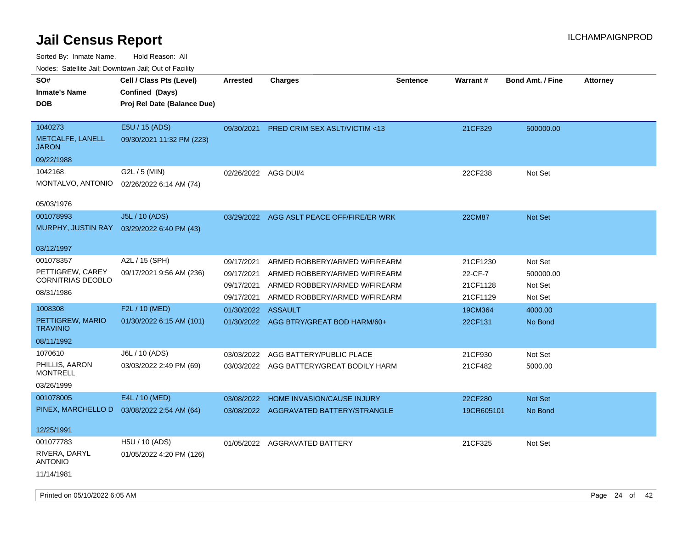| roaco. Odichile Jan, Downtown Jan, Out of Facility |                             |                      |                                           |                 |               |                         |                 |
|----------------------------------------------------|-----------------------------|----------------------|-------------------------------------------|-----------------|---------------|-------------------------|-----------------|
| SO#                                                | Cell / Class Pts (Level)    | Arrested             | <b>Charges</b>                            | <b>Sentence</b> | Warrant#      | <b>Bond Amt. / Fine</b> | <b>Attorney</b> |
| <b>Inmate's Name</b>                               | Confined (Days)             |                      |                                           |                 |               |                         |                 |
| <b>DOB</b>                                         | Proj Rel Date (Balance Due) |                      |                                           |                 |               |                         |                 |
|                                                    |                             |                      |                                           |                 |               |                         |                 |
| 1040273                                            | E5U / 15 (ADS)              | 09/30/2021           | <b>PRED CRIM SEX ASLT/VICTIM &lt;13</b>   |                 | 21CF329       | 500000.00               |                 |
| METCALFE, LANELL<br><b>JARON</b>                   | 09/30/2021 11:32 PM (223)   |                      |                                           |                 |               |                         |                 |
| 09/22/1988                                         |                             |                      |                                           |                 |               |                         |                 |
| 1042168                                            | G2L / 5 (MIN)               | 02/26/2022 AGG DUI/4 |                                           |                 | 22CF238       | Not Set                 |                 |
| MONTALVO, ANTONIO                                  | 02/26/2022 6:14 AM (74)     |                      |                                           |                 |               |                         |                 |
|                                                    |                             |                      |                                           |                 |               |                         |                 |
| 05/03/1976                                         |                             |                      |                                           |                 |               |                         |                 |
| 001078993                                          | J5L / 10 (ADS)              |                      | 03/29/2022 AGG ASLT PEACE OFF/FIRE/ER WRK |                 | <b>22CM87</b> | <b>Not Set</b>          |                 |
| MURPHY, JUSTIN RAY                                 | 03/29/2022 6:40 PM (43)     |                      |                                           |                 |               |                         |                 |
|                                                    |                             |                      |                                           |                 |               |                         |                 |
| 03/12/1997                                         |                             |                      |                                           |                 |               |                         |                 |
| 001078357                                          | A2L / 15 (SPH)              | 09/17/2021           | ARMED ROBBERY/ARMED W/FIREARM             |                 | 21CF1230      | Not Set                 |                 |
| PETTIGREW, CAREY                                   | 09/17/2021 9:56 AM (236)    | 09/17/2021           | ARMED ROBBERY/ARMED W/FIREARM             |                 | 22-CF-7       | 500000.00               |                 |
| CORNITRIAS DEOBLO                                  |                             | 09/17/2021           | ARMED ROBBERY/ARMED W/FIREARM             |                 | 21CF1128      | Not Set                 |                 |
| 08/31/1986                                         |                             | 09/17/2021           | ARMED ROBBERY/ARMED W/FIREARM             |                 | 21CF1129      | Not Set                 |                 |
| 1008308                                            | F2L / 10 (MED)              | 01/30/2022 ASSAULT   |                                           |                 | 19CM364       | 4000.00                 |                 |
| PETTIGREW, MARIO                                   | 01/30/2022 6:15 AM (101)    |                      | 01/30/2022 AGG BTRY/GREAT BOD HARM/60+    |                 | 22CF131       | No Bond                 |                 |
| <b>TRAVINIO</b>                                    |                             |                      |                                           |                 |               |                         |                 |
| 08/11/1992                                         |                             |                      |                                           |                 |               |                         |                 |
| 1070610                                            | J6L / 10 (ADS)              | 03/03/2022           | AGG BATTERY/PUBLIC PLACE                  |                 | 21CF930       | Not Set                 |                 |
| PHILLIS, AARON                                     | 03/03/2022 2:49 PM (69)     |                      | 03/03/2022 AGG BATTERY/GREAT BODILY HARM  |                 | 21CF482       | 5000.00                 |                 |
| <b>MONTRELL</b>                                    |                             |                      |                                           |                 |               |                         |                 |
| 03/26/1999                                         |                             |                      |                                           |                 |               |                         |                 |
| 001078005                                          | E4L / 10 (MED)              | 03/08/2022           | HOME INVASION/CAUSE INJURY                |                 | 22CF280       | <b>Not Set</b>          |                 |
| PINEX, MARCHELLO D                                 | 03/08/2022 2:54 AM (64)     |                      | 03/08/2022 AGGRAVATED BATTERY/STRANGLE    |                 | 19CR605101    | No Bond                 |                 |
|                                                    |                             |                      |                                           |                 |               |                         |                 |
| 12/25/1991                                         |                             |                      |                                           |                 |               |                         |                 |
| 001077783                                          | H5U / 10 (ADS)              |                      | 01/05/2022 AGGRAVATED BATTERY             |                 | 21CF325       | Not Set                 |                 |
| RIVERA, DARYL<br><b>ANTONIO</b>                    | 01/05/2022 4:20 PM (126)    |                      |                                           |                 |               |                         |                 |
| 11/14/1981                                         |                             |                      |                                           |                 |               |                         |                 |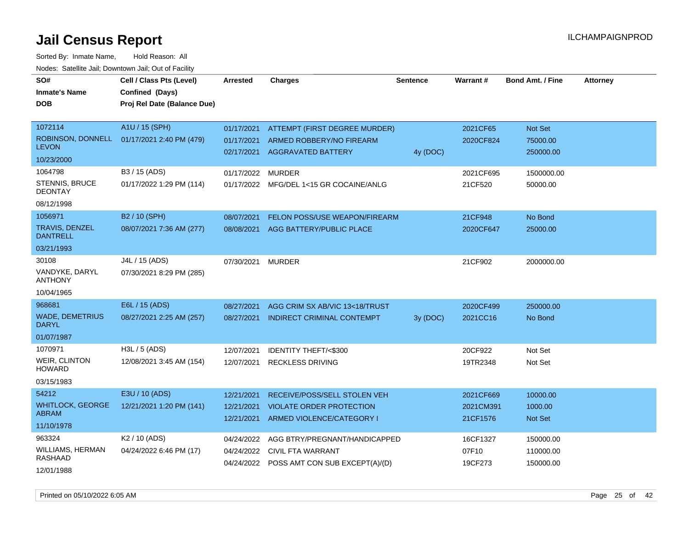Sorted By: Inmate Name, Hold Reason: All Nodes: Satellite Jail; Downtown Jail; Out of Facility

| SO#                                    | Cell / Class Pts (Level)    | <b>Arrested</b> | <b>Charges</b>                                                        | <b>Sentence</b> | Warrant#         | <b>Bond Amt. / Fine</b> | <b>Attorney</b> |
|----------------------------------------|-----------------------------|-----------------|-----------------------------------------------------------------------|-----------------|------------------|-------------------------|-----------------|
| <b>Inmate's Name</b>                   | Confined (Days)             |                 |                                                                       |                 |                  |                         |                 |
| <b>DOB</b>                             | Proj Rel Date (Balance Due) |                 |                                                                       |                 |                  |                         |                 |
|                                        |                             |                 |                                                                       |                 |                  |                         |                 |
| 1072114                                | A1U / 15 (SPH)              | 01/17/2021      | <b>ATTEMPT (FIRST DEGREE MURDER)</b>                                  |                 | 2021CF65         | Not Set                 |                 |
| ROBINSON, DONNELL<br><b>LEVON</b>      | 01/17/2021 2:40 PM (479)    | 01/17/2021      | ARMED ROBBERY/NO FIREARM                                              |                 | 2020CF824        | 75000.00                |                 |
| 10/23/2000                             |                             | 02/17/2021      | <b>AGGRAVATED BATTERY</b>                                             | 4y (DOC)        |                  | 250000.00               |                 |
| 1064798                                | B3 / 15 (ADS)               | 01/17/2022      | <b>MURDER</b>                                                         |                 | 2021CF695        | 1500000.00              |                 |
| <b>STENNIS, BRUCE</b>                  | 01/17/2022 1:29 PM (114)    | 01/17/2022      | MFG/DEL 1<15 GR COCAINE/ANLG                                          |                 | 21CF520          | 50000.00                |                 |
| <b>DEONTAY</b><br>08/12/1998           |                             |                 |                                                                       |                 |                  |                         |                 |
| 1056971                                | B <sub>2</sub> / 10 (SPH)   | 08/07/2021      | FELON POSS/USE WEAPON/FIREARM                                         |                 | 21CF948          | No Bond                 |                 |
| TRAVIS, DENZEL<br><b>DANTRELL</b>      | 08/07/2021 7:36 AM (277)    | 08/08/2021      | AGG BATTERY/PUBLIC PLACE                                              |                 | 2020CF647        | 25000.00                |                 |
| 03/21/1993                             |                             |                 |                                                                       |                 |                  |                         |                 |
| 30108                                  | J4L / 15 (ADS)              | 07/30/2021      | <b>MURDER</b>                                                         |                 | 21CF902          | 2000000.00              |                 |
| VANDYKE, DARYL<br><b>ANTHONY</b>       | 07/30/2021 8:29 PM (285)    |                 |                                                                       |                 |                  |                         |                 |
| 10/04/1965                             |                             |                 |                                                                       |                 |                  |                         |                 |
| 968681                                 | E6L / 15 (ADS)              | 08/27/2021      | AGG CRIM SX AB/VIC 13<18/TRUST                                        |                 | 2020CF499        | 250000.00               |                 |
| <b>WADE, DEMETRIUS</b><br><b>DARYL</b> | 08/27/2021 2:25 AM (257)    | 08/27/2021      | <b>INDIRECT CRIMINAL CONTEMPT</b>                                     | 3y (DOC)        | 2021CC16         | No Bond                 |                 |
| 01/07/1987                             |                             |                 |                                                                       |                 |                  |                         |                 |
| 1070971                                | H3L / 5 (ADS)               | 12/07/2021      | <b>IDENTITY THEFT/&lt;\$300</b>                                       |                 | 20CF922          | Not Set                 |                 |
| <b>WEIR, CLINTON</b><br><b>HOWARD</b>  | 12/08/2021 3:45 AM (154)    | 12/07/2021      | <b>RECKLESS DRIVING</b>                                               |                 | 19TR2348         | Not Set                 |                 |
| 03/15/1983                             |                             |                 |                                                                       |                 |                  |                         |                 |
| 54212                                  | E3U / 10 (ADS)              | 12/21/2021      | RECEIVE/POSS/SELL STOLEN VEH                                          |                 | 2021CF669        | 10000.00                |                 |
| <b>WHITLOCK, GEORGE</b>                | 12/21/2021 1:20 PM (141)    | 12/21/2021      | <b>VIOLATE ORDER PROTECTION</b>                                       |                 | 2021CM391        | 1000.00                 |                 |
| <b>ABRAM</b>                           |                             | 12/21/2021      | ARMED VIOLENCE/CATEGORY I                                             |                 | 21CF1576         | <b>Not Set</b>          |                 |
| 11/10/1978                             |                             |                 |                                                                       |                 |                  |                         |                 |
| 963324                                 | K <sub>2</sub> / 10 (ADS)   | 04/24/2022      | AGG BTRY/PREGNANT/HANDICAPPED                                         |                 | 16CF1327         | 150000.00               |                 |
| WILLIAMS, HERMAN<br>RASHAAD            | 04/24/2022 6:46 PM (17)     | 04/24/2022      | <b>CIVIL FTA WARRANT</b><br>04/24/2022 POSS AMT CON SUB EXCEPT(A)/(D) |                 | 07F10<br>19CF273 | 110000.00<br>150000.00  |                 |
| 12/01/1988                             |                             |                 |                                                                       |                 |                  |                         |                 |

Printed on 05/10/2022 6:05 AM Page 25 of 42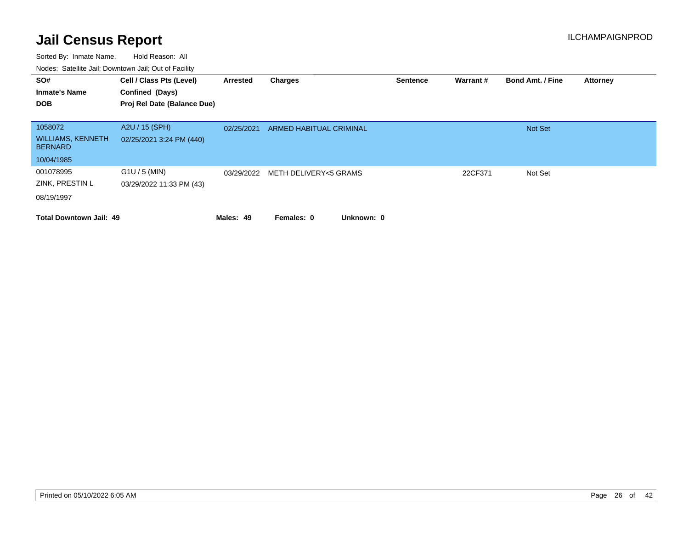| SO#<br><b>Inmate's Name</b><br><b>DOB</b>                           | Cell / Class Pts (Level)<br>Confined (Days)<br>Proj Rel Date (Balance Due) | Arrested   | Charges                  | <b>Sentence</b> | <b>Warrant#</b> | <b>Bond Amt. / Fine</b> | <b>Attorney</b> |
|---------------------------------------------------------------------|----------------------------------------------------------------------------|------------|--------------------------|-----------------|-----------------|-------------------------|-----------------|
| 1058072<br><b>WILLIAMS, KENNETH</b><br><b>BERNARD</b><br>10/04/1985 | A2U / 15 (SPH)<br>02/25/2021 3:24 PM (440)                                 | 02/25/2021 | ARMED HABITUAL CRIMINAL  |                 |                 | <b>Not Set</b>          |                 |
| 001078995<br>ZINK, PRESTIN L<br>08/19/1997                          | $G1U / 5$ (MIN)<br>03/29/2022 11:33 PM (43)                                | 03/29/2022 | METH DELIVERY<5 GRAMS    |                 | 22CF371         | Not Set                 |                 |
| <b>Total Downtown Jail: 49</b>                                      |                                                                            | Males: 49  | Unknown: 0<br>Females: 0 |                 |                 |                         |                 |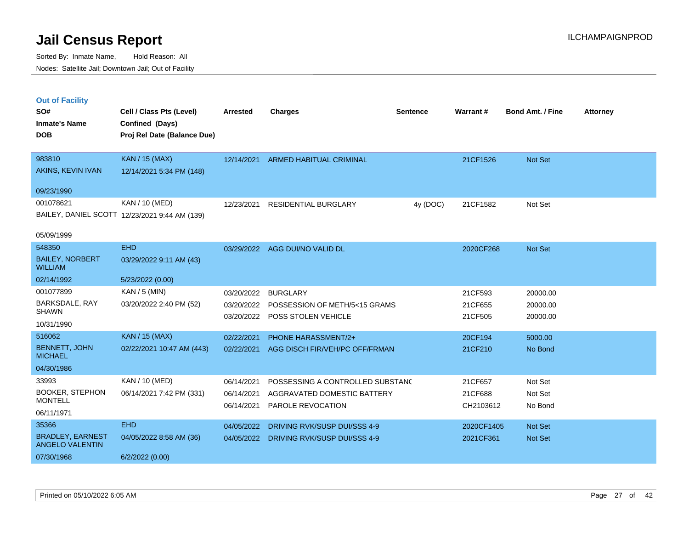|  | <b>Out of Facility</b> |  |
|--|------------------------|--|
|  |                        |  |
|  |                        |  |
|  |                        |  |

| SO#                                      | Cell / Class Pts (Level)                       | Arrested   | <b>Charges</b>                   | <b>Sentence</b> | Warrant#   | <b>Bond Amt. / Fine</b> | <b>Attorney</b> |
|------------------------------------------|------------------------------------------------|------------|----------------------------------|-----------------|------------|-------------------------|-----------------|
| <b>Inmate's Name</b><br><b>DOB</b>       | Confined (Days)<br>Proj Rel Date (Balance Due) |            |                                  |                 |            |                         |                 |
| 983810                                   | <b>KAN / 15 (MAX)</b>                          | 12/14/2021 | <b>ARMED HABITUAL CRIMINAL</b>   |                 | 21CF1526   | Not Set                 |                 |
| AKINS, KEVIN IVAN                        | 12/14/2021 5:34 PM (148)                       |            |                                  |                 |            |                         |                 |
| 09/23/1990                               |                                                |            |                                  |                 |            |                         |                 |
| 001078621                                | KAN / 10 (MED)                                 | 12/23/2021 | <b>RESIDENTIAL BURGLARY</b>      | 4y (DOC)        | 21CF1582   | Not Set                 |                 |
|                                          | BAILEY, DANIEL SCOTT 12/23/2021 9:44 AM (139)  |            |                                  |                 |            |                         |                 |
| 05/09/1999                               |                                                |            |                                  |                 |            |                         |                 |
| 548350                                   | <b>EHD</b>                                     |            | 03/29/2022 AGG DUI/NO VALID DL   |                 | 2020CF268  | Not Set                 |                 |
| <b>BAILEY, NORBERT</b><br><b>WILLIAM</b> | 03/29/2022 9:11 AM (43)                        |            |                                  |                 |            |                         |                 |
| 02/14/1992                               | 5/23/2022 (0.00)                               |            |                                  |                 |            |                         |                 |
| 001077899                                | $KAN / 5$ (MIN)                                | 03/20/2022 | <b>BURGLARY</b>                  |                 | 21CF593    | 20000.00                |                 |
| BARKSDALE, RAY<br><b>SHAWN</b>           | 03/20/2022 2:40 PM (52)                        | 03/20/2022 | POSSESSION OF METH/5<15 GRAMS    |                 | 21CF655    | 20000.00                |                 |
| 10/31/1990                               |                                                | 03/20/2022 | POSS STOLEN VEHICLE              |                 | 21CF505    | 20000.00                |                 |
| 516062                                   | <b>KAN / 15 (MAX)</b>                          | 02/22/2021 | PHONE HARASSMENT/2+              |                 | 20CF194    | 5000.00                 |                 |
| <b>BENNETT, JOHN</b><br><b>MICHAEL</b>   | 02/22/2021 10:47 AM (443)                      | 02/22/2021 | AGG DISCH FIR/VEH/PC OFF/FRMAN   |                 | 21CF210    | No Bond                 |                 |
| 04/30/1986                               |                                                |            |                                  |                 |            |                         |                 |
| 33993                                    | KAN / 10 (MED)                                 | 06/14/2021 | POSSESSING A CONTROLLED SUBSTANC |                 | 21CF657    | Not Set                 |                 |
| <b>BOOKER, STEPHON</b><br><b>MONTELL</b> | 06/14/2021 7:42 PM (331)                       | 06/14/2021 | AGGRAVATED DOMESTIC BATTERY      |                 | 21CF688    | Not Set                 |                 |
| 06/11/1971                               |                                                | 06/14/2021 | PAROLE REVOCATION                |                 | CH2103612  | No Bond                 |                 |
| 35366                                    | <b>EHD</b>                                     | 04/05/2022 | DRIVING RVK/SUSP DUI/SSS 4-9     |                 | 2020CF1405 | Not Set                 |                 |
| <b>BRADLEY, EARNEST</b>                  | 04/05/2022 8:58 AM (36)                        | 04/05/2022 | DRIVING RVK/SUSP DUI/SSS 4-9     |                 | 2021CF361  | Not Set                 |                 |
| <b>ANGELO VALENTIN</b>                   |                                                |            |                                  |                 |            |                         |                 |
| 07/30/1968                               | 6/2/2022(0.00)                                 |            |                                  |                 |            |                         |                 |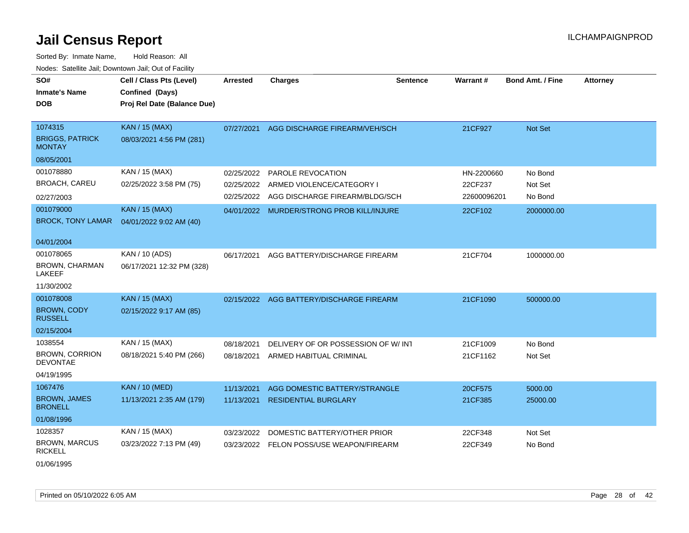Sorted By: Inmate Name, Hold Reason: All Nodes: Satellite Jail; Downtown Jail; Out of Facility

| SO#<br><b>Inmate's Name</b><br><b>DOB</b>                                                | Cell / Class Pts (Level)<br>Confined (Days)<br>Proj Rel Date (Balance Due)                    | <b>Arrested</b>                                      | <b>Charges</b>                                                                                                     | <b>Sentence</b> | Warrant#                                        | <b>Bond Amt. / Fine</b>                     | <b>Attorney</b> |
|------------------------------------------------------------------------------------------|-----------------------------------------------------------------------------------------------|------------------------------------------------------|--------------------------------------------------------------------------------------------------------------------|-----------------|-------------------------------------------------|---------------------------------------------|-----------------|
| 1074315<br><b>BRIGGS, PATRICK</b><br><b>MONTAY</b><br>08/05/2001                         | <b>KAN / 15 (MAX)</b><br>08/03/2021 4:56 PM (281)                                             | 07/27/2021                                           | AGG DISCHARGE FIREARM/VEH/SCH                                                                                      |                 | 21CF927                                         | Not Set                                     |                 |
| 001078880<br><b>BROACH, CAREU</b><br>02/27/2003<br>001079000<br><b>BROCK, TONY LAMAR</b> | KAN / 15 (MAX)<br>02/25/2022 3:58 PM (75)<br><b>KAN / 15 (MAX)</b><br>04/01/2022 9:02 AM (40) | 02/25/2022<br>02/25/2022<br>02/25/2022<br>04/01/2022 | PAROLE REVOCATION<br>ARMED VIOLENCE/CATEGORY I<br>AGG DISCHARGE FIREARM/BLDG/SCH<br>MURDER/STRONG PROB KILL/INJURE |                 | HN-2200660<br>22CF237<br>22600096201<br>22CF102 | No Bond<br>Not Set<br>No Bond<br>2000000.00 |                 |
| 04/01/2004<br>001078065<br>BROWN, CHARMAN<br><b>LAKEEF</b><br>11/30/2002                 | KAN / 10 (ADS)<br>06/17/2021 12:32 PM (328)                                                   | 06/17/2021                                           | AGG BATTERY/DISCHARGE FIREARM                                                                                      |                 | 21CF704                                         | 1000000.00                                  |                 |
| 001078008<br><b>BROWN, CODY</b><br><b>RUSSELL</b><br>02/15/2004                          | <b>KAN / 15 (MAX)</b><br>02/15/2022 9:17 AM (85)                                              |                                                      | 02/15/2022 AGG BATTERY/DISCHARGE FIREARM                                                                           |                 | 21CF1090                                        | 500000.00                                   |                 |
| 1038554<br><b>BROWN, CORRION</b><br><b>DEVONTAE</b><br>04/19/1995                        | KAN / 15 (MAX)<br>08/18/2021 5:40 PM (266)                                                    | 08/18/2021<br>08/18/2021                             | DELIVERY OF OR POSSESSION OF W/INT<br>ARMED HABITUAL CRIMINAL                                                      |                 | 21CF1009<br>21CF1162                            | No Bond<br>Not Set                          |                 |
| 1067476<br><b>BROWN, JAMES</b><br><b>BRONELL</b><br>01/08/1996                           | <b>KAN / 10 (MED)</b><br>11/13/2021 2:35 AM (179)                                             | 11/13/2021<br>11/13/2021                             | AGG DOMESTIC BATTERY/STRANGLE<br><b>RESIDENTIAL BURGLARY</b>                                                       |                 | 20CF575<br>21CF385                              | 5000.00<br>25000.00                         |                 |
| 1028357<br><b>BROWN, MARCUS</b><br><b>RICKELL</b>                                        | KAN / 15 (MAX)<br>03/23/2022 7:13 PM (49)                                                     | 03/23/2022<br>03/23/2022                             | DOMESTIC BATTERY/OTHER PRIOR<br>FELON POSS/USE WEAPON/FIREARM                                                      |                 | 22CF348<br>22CF349                              | Not Set<br>No Bond                          |                 |

01/06/1995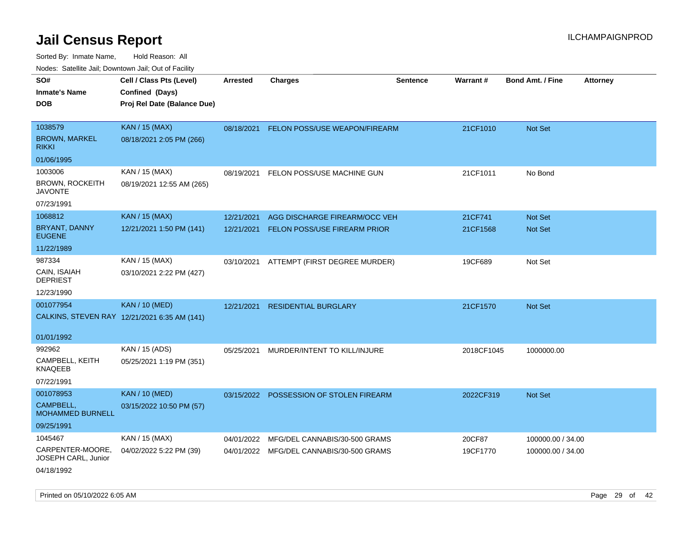| Noues. Salemie Jan, Downtown Jan, Out of Facility |                                              |                 |                                          |                 |            |                         |                 |
|---------------------------------------------------|----------------------------------------------|-----------------|------------------------------------------|-----------------|------------|-------------------------|-----------------|
| SO#                                               | Cell / Class Pts (Level)                     | <b>Arrested</b> | <b>Charges</b>                           | <b>Sentence</b> | Warrant#   | <b>Bond Amt. / Fine</b> | <b>Attorney</b> |
| <b>Inmate's Name</b>                              | Confined (Days)                              |                 |                                          |                 |            |                         |                 |
| <b>DOB</b>                                        | Proj Rel Date (Balance Due)                  |                 |                                          |                 |            |                         |                 |
|                                                   |                                              |                 |                                          |                 |            |                         |                 |
| 1038579                                           | <b>KAN / 15 (MAX)</b>                        | 08/18/2021      | FELON POSS/USE WEAPON/FIREARM            |                 | 21CF1010   | Not Set                 |                 |
| <b>BROWN, MARKEL</b><br><b>RIKKI</b>              | 08/18/2021 2:05 PM (266)                     |                 |                                          |                 |            |                         |                 |
| 01/06/1995                                        |                                              |                 |                                          |                 |            |                         |                 |
| 1003006                                           | KAN / 15 (MAX)                               | 08/19/2021      | FELON POSS/USE MACHINE GUN               |                 | 21CF1011   | No Bond                 |                 |
| <b>BROWN, ROCKEITH</b><br><b>JAVONTE</b>          | 08/19/2021 12:55 AM (265)                    |                 |                                          |                 |            |                         |                 |
| 07/23/1991                                        |                                              |                 |                                          |                 |            |                         |                 |
| 1068812                                           | <b>KAN / 15 (MAX)</b>                        | 12/21/2021      | AGG DISCHARGE FIREARM/OCC VEH            |                 | 21CF741    | Not Set                 |                 |
| <b>BRYANT, DANNY</b><br><b>EUGENE</b>             | 12/21/2021 1:50 PM (141)                     | 12/21/2021      | <b>FELON POSS/USE FIREARM PRIOR</b>      |                 | 21CF1568   | <b>Not Set</b>          |                 |
| 11/22/1989                                        |                                              |                 |                                          |                 |            |                         |                 |
| 987334                                            | KAN / 15 (MAX)                               | 03/10/2021      | ATTEMPT (FIRST DEGREE MURDER)            |                 | 19CF689    | Not Set                 |                 |
| CAIN, ISAIAH<br><b>DEPRIEST</b>                   | 03/10/2021 2:22 PM (427)                     |                 |                                          |                 |            |                         |                 |
| 12/23/1990                                        |                                              |                 |                                          |                 |            |                         |                 |
| 001077954                                         | <b>KAN / 10 (MED)</b>                        | 12/21/2021      | <b>RESIDENTIAL BURGLARY</b>              |                 | 21CF1570   | Not Set                 |                 |
|                                                   | CALKINS, STEVEN RAY 12/21/2021 6:35 AM (141) |                 |                                          |                 |            |                         |                 |
| 01/01/1992                                        |                                              |                 |                                          |                 |            |                         |                 |
| 992962                                            | KAN / 15 (ADS)                               | 05/25/2021      | MURDER/INTENT TO KILL/INJURE             |                 | 2018CF1045 | 1000000.00              |                 |
| CAMPBELL, KEITH<br><b>KNAQEEB</b>                 | 05/25/2021 1:19 PM (351)                     |                 |                                          |                 |            |                         |                 |
| 07/22/1991                                        |                                              |                 |                                          |                 |            |                         |                 |
| 001078953                                         | <b>KAN / 10 (MED)</b>                        |                 | 03/15/2022 POSSESSION OF STOLEN FIREARM  |                 | 2022CF319  | Not Set                 |                 |
| CAMPBELL,<br><b>MOHAMMED BURNELL</b>              | 03/15/2022 10:50 PM (57)                     |                 |                                          |                 |            |                         |                 |
| 09/25/1991                                        |                                              |                 |                                          |                 |            |                         |                 |
| 1045467                                           | KAN / 15 (MAX)                               | 04/01/2022      | MFG/DEL CANNABIS/30-500 GRAMS            |                 | 20CF87     | 100000.00 / 34.00       |                 |
| CARPENTER-MOORE,<br>JOSEPH CARL, Junior           | 04/02/2022 5:22 PM (39)                      |                 | 04/01/2022 MFG/DEL CANNABIS/30-500 GRAMS |                 | 19CF1770   | 100000.00 / 34.00       |                 |
| 04/18/1992                                        |                                              |                 |                                          |                 |            |                         |                 |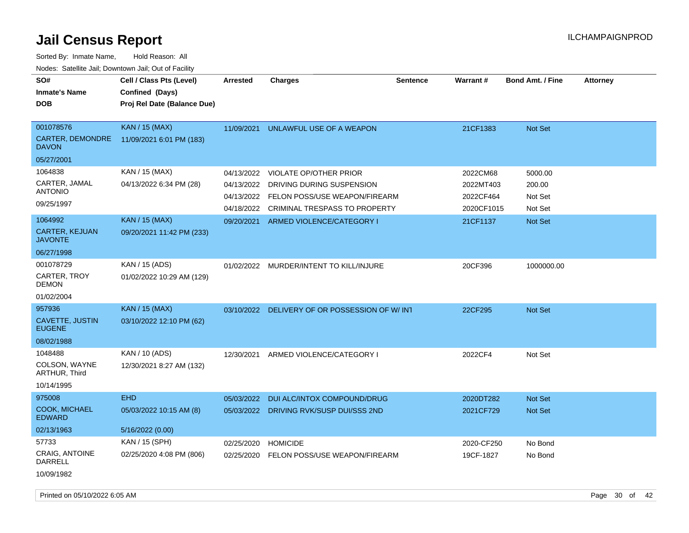Sorted By: Inmate Name, Hold Reason: All

| Nodes: Satellite Jail; Downtown Jail; Out of Facility |                             |                 |                                               |                 |            |                         |                 |  |  |
|-------------------------------------------------------|-----------------------------|-----------------|-----------------------------------------------|-----------------|------------|-------------------------|-----------------|--|--|
| SO#                                                   | Cell / Class Pts (Level)    | <b>Arrested</b> | <b>Charges</b>                                | <b>Sentence</b> | Warrant#   | <b>Bond Amt. / Fine</b> | <b>Attorney</b> |  |  |
| <b>Inmate's Name</b>                                  | Confined (Days)             |                 |                                               |                 |            |                         |                 |  |  |
| <b>DOB</b>                                            | Proj Rel Date (Balance Due) |                 |                                               |                 |            |                         |                 |  |  |
|                                                       |                             |                 |                                               |                 |            |                         |                 |  |  |
| 001078576                                             | <b>KAN / 15 (MAX)</b>       | 11/09/2021      | UNLAWFUL USE OF A WEAPON                      |                 | 21CF1383   | Not Set                 |                 |  |  |
| CARTER, DEMONDRE<br><b>DAVON</b>                      | 11/09/2021 6:01 PM (183)    |                 |                                               |                 |            |                         |                 |  |  |
| 05/27/2001                                            |                             |                 |                                               |                 |            |                         |                 |  |  |
| 1064838                                               | KAN / 15 (MAX)              | 04/13/2022      | <b>VIOLATE OP/OTHER PRIOR</b>                 |                 | 2022CM68   | 5000.00                 |                 |  |  |
| CARTER, JAMAL                                         | 04/13/2022 6:34 PM (28)     | 04/13/2022      | DRIVING DURING SUSPENSION                     |                 | 2022MT403  | 200.00                  |                 |  |  |
| <b>ANTONIO</b>                                        |                             | 04/13/2022      | FELON POSS/USE WEAPON/FIREARM                 |                 | 2022CF464  | Not Set                 |                 |  |  |
| 09/25/1997                                            |                             | 04/18/2022      | CRIMINAL TRESPASS TO PROPERTY                 |                 | 2020CF1015 | Not Set                 |                 |  |  |
| 1064992                                               | <b>KAN / 15 (MAX)</b>       | 09/20/2021      | ARMED VIOLENCE/CATEGORY I                     |                 | 21CF1137   | Not Set                 |                 |  |  |
| <b>CARTER, KEJUAN</b><br><b>JAVONTE</b>               | 09/20/2021 11:42 PM (233)   |                 |                                               |                 |            |                         |                 |  |  |
| 06/27/1998                                            |                             |                 |                                               |                 |            |                         |                 |  |  |
| 001078729                                             | KAN / 15 (ADS)              |                 | 01/02/2022 MURDER/INTENT TO KILL/INJURE       |                 | 20CF396    | 1000000.00              |                 |  |  |
| CARTER, TROY<br><b>DEMON</b>                          | 01/02/2022 10:29 AM (129)   |                 |                                               |                 |            |                         |                 |  |  |
| 01/02/2004                                            |                             |                 |                                               |                 |            |                         |                 |  |  |
| 957936                                                | <b>KAN / 15 (MAX)</b>       |                 | 03/10/2022 DELIVERY OF OR POSSESSION OF W/INT |                 | 22CF295    | Not Set                 |                 |  |  |
| <b>CAVETTE, JUSTIN</b><br><b>EUGENE</b>               | 03/10/2022 12:10 PM (62)    |                 |                                               |                 |            |                         |                 |  |  |
| 08/02/1988                                            |                             |                 |                                               |                 |            |                         |                 |  |  |
| 1048488                                               | KAN / 10 (ADS)              | 12/30/2021      | ARMED VIOLENCE/CATEGORY I                     |                 | 2022CF4    | Not Set                 |                 |  |  |
| COLSON, WAYNE<br>ARTHUR, Third                        | 12/30/2021 8:27 AM (132)    |                 |                                               |                 |            |                         |                 |  |  |
| 10/14/1995                                            |                             |                 |                                               |                 |            |                         |                 |  |  |
| 975008                                                | <b>EHD</b>                  | 05/03/2022      | DUI ALC/INTOX COMPOUND/DRUG                   |                 | 2020DT282  | Not Set                 |                 |  |  |
| COOK, MICHAEL<br><b>EDWARD</b>                        | 05/03/2022 10:15 AM (8)     |                 | 05/03/2022 DRIVING RVK/SUSP DUI/SSS 2ND       |                 | 2021CF729  | <b>Not Set</b>          |                 |  |  |
| 02/13/1963                                            | 5/16/2022 (0.00)            |                 |                                               |                 |            |                         |                 |  |  |
| 57733                                                 | KAN / 15 (SPH)              | 02/25/2020      | <b>HOMICIDE</b>                               |                 | 2020-CF250 | No Bond                 |                 |  |  |
| <b>CRAIG, ANTOINE</b><br><b>DARRELL</b>               | 02/25/2020 4:08 PM (806)    | 02/25/2020      | FELON POSS/USE WEAPON/FIREARM                 |                 | 19CF-1827  | No Bond                 |                 |  |  |
| 10/09/1982                                            |                             |                 |                                               |                 |            |                         |                 |  |  |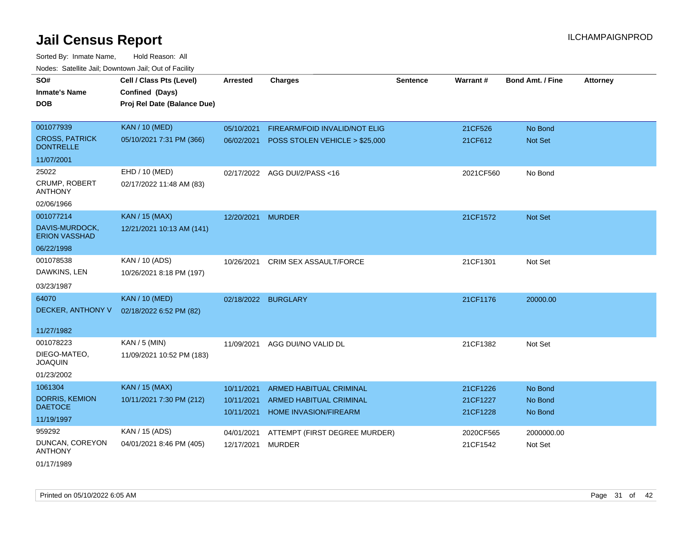| SO#                                       | Cell / Class Pts (Level)    | <b>Arrested</b>     | <b>Charges</b>                 | <b>Sentence</b> | Warrant#  | <b>Bond Amt. / Fine</b> | <b>Attorney</b> |
|-------------------------------------------|-----------------------------|---------------------|--------------------------------|-----------------|-----------|-------------------------|-----------------|
| <b>Inmate's Name</b>                      | Confined (Days)             |                     |                                |                 |           |                         |                 |
| DOB                                       | Proj Rel Date (Balance Due) |                     |                                |                 |           |                         |                 |
|                                           |                             |                     |                                |                 |           |                         |                 |
| 001077939                                 | <b>KAN / 10 (MED)</b>       | 05/10/2021          | FIREARM/FOID INVALID/NOT ELIG  |                 | 21CF526   | No Bond                 |                 |
| <b>CROSS, PATRICK</b><br><b>DONTRELLE</b> | 05/10/2021 7:31 PM (366)    | 06/02/2021          | POSS STOLEN VEHICLE > \$25,000 |                 | 21CF612   | Not Set                 |                 |
| 11/07/2001                                |                             |                     |                                |                 |           |                         |                 |
| 25022                                     | EHD / 10 (MED)              |                     | 02/17/2022 AGG DUI/2/PASS<16   |                 | 2021CF560 | No Bond                 |                 |
| CRUMP, ROBERT<br><b>ANTHONY</b>           | 02/17/2022 11:48 AM (83)    |                     |                                |                 |           |                         |                 |
| 02/06/1966                                |                             |                     |                                |                 |           |                         |                 |
| 001077214                                 | <b>KAN / 15 (MAX)</b>       | 12/20/2021          | <b>MURDER</b>                  |                 | 21CF1572  | Not Set                 |                 |
| DAVIS-MURDOCK,<br><b>ERION VASSHAD</b>    | 12/21/2021 10:13 AM (141)   |                     |                                |                 |           |                         |                 |
| 06/22/1998                                |                             |                     |                                |                 |           |                         |                 |
| 001078538                                 | KAN / 10 (ADS)              | 10/26/2021          | <b>CRIM SEX ASSAULT/FORCE</b>  |                 | 21CF1301  | Not Set                 |                 |
| DAWKINS, LEN                              | 10/26/2021 8:18 PM (197)    |                     |                                |                 |           |                         |                 |
| 03/23/1987                                |                             |                     |                                |                 |           |                         |                 |
| 64070                                     | <b>KAN / 10 (MED)</b>       | 02/18/2022 BURGLARY |                                |                 | 21CF1176  | 20000.00                |                 |
| DECKER, ANTHONY V                         | 02/18/2022 6:52 PM (82)     |                     |                                |                 |           |                         |                 |
| 11/27/1982                                |                             |                     |                                |                 |           |                         |                 |
| 001078223                                 | $KAN / 5$ (MIN)             | 11/09/2021          | AGG DUI/NO VALID DL            |                 | 21CF1382  | Not Set                 |                 |
| DIEGO-MATEO,<br><b>JOAQUIN</b>            | 11/09/2021 10:52 PM (183)   |                     |                                |                 |           |                         |                 |
| 01/23/2002                                |                             |                     |                                |                 |           |                         |                 |
| 1061304                                   | <b>KAN / 15 (MAX)</b>       | 10/11/2021          | <b>ARMED HABITUAL CRIMINAL</b> |                 | 21CF1226  | No Bond                 |                 |
| DORRIS, KEMION                            | 10/11/2021 7:30 PM (212)    | 10/11/2021          | ARMED HABITUAL CRIMINAL        |                 | 21CF1227  | No Bond                 |                 |
| <b>DAETOCE</b>                            |                             | 10/11/2021          | <b>HOME INVASION/FIREARM</b>   |                 | 21CF1228  | No Bond                 |                 |
| 11/19/1997                                |                             |                     |                                |                 |           |                         |                 |
| 959292                                    | KAN / 15 (ADS)              | 04/01/2021          | ATTEMPT (FIRST DEGREE MURDER)  |                 | 2020CF565 | 2000000.00              |                 |
| DUNCAN, COREYON<br><b>ANTHONY</b>         | 04/01/2021 8:46 PM (405)    | 12/17/2021          | <b>MURDER</b>                  |                 | 21CF1542  | Not Set                 |                 |
| 01/17/1989                                |                             |                     |                                |                 |           |                         |                 |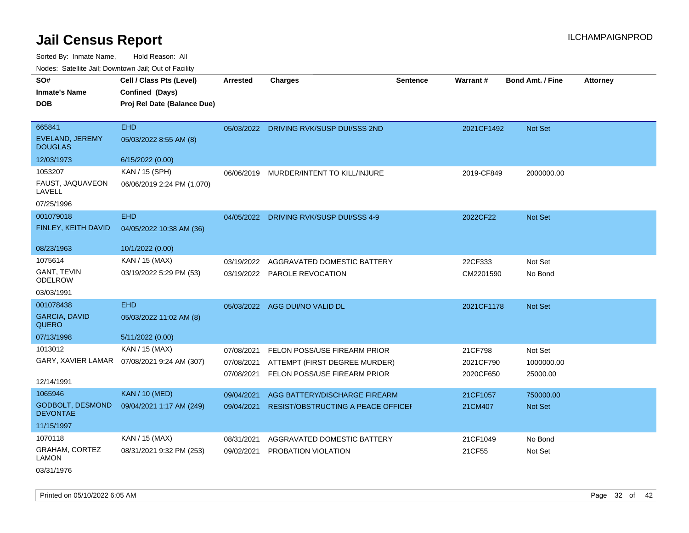Sorted By: Inmate Name, Hold Reason: All

Nodes: Satellite Jail; Downtown Jail; Out of Facility

| SO#<br><b>Inmate's Name</b>                | Cell / Class Pts (Level)<br>Confined (Days) | <b>Arrested</b> | <b>Charges</b>                          | <b>Sentence</b> | Warrant#   | <b>Bond Amt. / Fine</b> | <b>Attorney</b> |
|--------------------------------------------|---------------------------------------------|-----------------|-----------------------------------------|-----------------|------------|-------------------------|-----------------|
| <b>DOB</b>                                 | Proj Rel Date (Balance Due)                 |                 |                                         |                 |            |                         |                 |
| 665841                                     | <b>EHD</b>                                  |                 | 05/03/2022 DRIVING RVK/SUSP DUI/SSS 2ND |                 | 2021CF1492 | Not Set                 |                 |
| <b>EVELAND, JEREMY</b><br><b>DOUGLAS</b>   | 05/03/2022 8:55 AM (8)                      |                 |                                         |                 |            |                         |                 |
| 12/03/1973                                 | 6/15/2022 (0.00)                            |                 |                                         |                 |            |                         |                 |
| 1053207                                    | KAN / 15 (SPH)                              |                 | 06/06/2019 MURDER/INTENT TO KILL/INJURE |                 | 2019-CF849 | 2000000.00              |                 |
| FAUST, JAQUAVEON<br>LAVELL                 | 06/06/2019 2:24 PM (1,070)                  |                 |                                         |                 |            |                         |                 |
| 07/25/1996                                 |                                             |                 |                                         |                 |            |                         |                 |
| 001079018                                  | <b>EHD</b>                                  |                 | 04/05/2022 DRIVING RVK/SUSP DUI/SSS 4-9 |                 | 2022CF22   | Not Set                 |                 |
| FINLEY, KEITH DAVID                        | 04/05/2022 10:38 AM (36)                    |                 |                                         |                 |            |                         |                 |
| 08/23/1963                                 | 10/1/2022 (0.00)                            |                 |                                         |                 |            |                         |                 |
| 1075614                                    | KAN / 15 (MAX)                              | 03/19/2022      | AGGRAVATED DOMESTIC BATTERY             |                 | 22CF333    | Not Set                 |                 |
| GANT, TEVIN<br><b>ODELROW</b>              | 03/19/2022 5:29 PM (53)                     |                 | 03/19/2022 PAROLE REVOCATION            |                 | CM2201590  | No Bond                 |                 |
| 03/03/1991                                 |                                             |                 |                                         |                 |            |                         |                 |
| 001078438                                  | <b>EHD</b>                                  |                 | 05/03/2022 AGG DUI/NO VALID DL          |                 | 2021CF1178 | Not Set                 |                 |
| <b>GARCIA, DAVID</b><br><b>QUERO</b>       | 05/03/2022 11:02 AM (8)                     |                 |                                         |                 |            |                         |                 |
| 07/13/1998                                 | 5/11/2022 (0.00)                            |                 |                                         |                 |            |                         |                 |
| 1013012                                    | KAN / 15 (MAX)                              | 07/08/2021      | FELON POSS/USE FIREARM PRIOR            |                 | 21CF798    | Not Set                 |                 |
| GARY, XAVIER LAMAR                         | 07/08/2021 9:24 AM (307)                    | 07/08/2021      | ATTEMPT (FIRST DEGREE MURDER)           |                 | 2021CF790  | 1000000.00              |                 |
| 12/14/1991                                 |                                             | 07/08/2021      | FELON POSS/USE FIREARM PRIOR            |                 | 2020CF650  | 25000.00                |                 |
| 1065946                                    | <b>KAN / 10 (MED)</b>                       | 09/04/2021      | AGG BATTERY/DISCHARGE FIREARM           |                 | 21CF1057   | 750000.00               |                 |
| <b>GODBOLT, DESMOND</b><br><b>DEVONTAE</b> | 09/04/2021 1:17 AM (249)                    | 09/04/2021      | RESIST/OBSTRUCTING A PEACE OFFICEI      |                 | 21CM407    | Not Set                 |                 |
| 11/15/1997                                 |                                             |                 |                                         |                 |            |                         |                 |
| 1070118                                    | KAN / 15 (MAX)                              | 08/31/2021      | AGGRAVATED DOMESTIC BATTERY             |                 | 21CF1049   | No Bond                 |                 |
| GRAHAM, CORTEZ<br><b>LAMON</b>             | 08/31/2021 9:32 PM (253)                    | 09/02/2021      | PROBATION VIOLATION                     |                 | 21CF55     | Not Set                 |                 |

03/31/1976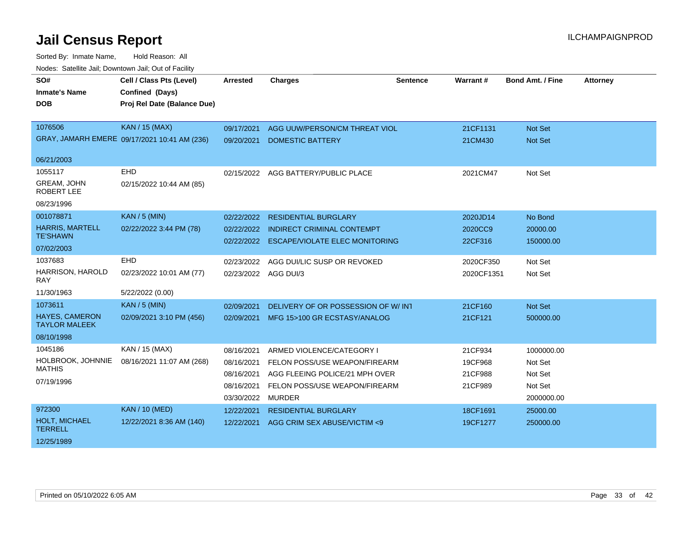| SO#                                           | Cell / Class Pts (Level)                     | <b>Arrested</b>      | <b>Charges</b>                        | <b>Sentence</b> | Warrant#   | <b>Bond Amt. / Fine</b> | <b>Attorney</b> |
|-----------------------------------------------|----------------------------------------------|----------------------|---------------------------------------|-----------------|------------|-------------------------|-----------------|
| <b>Inmate's Name</b>                          | Confined (Days)                              |                      |                                       |                 |            |                         |                 |
| <b>DOB</b>                                    | Proj Rel Date (Balance Due)                  |                      |                                       |                 |            |                         |                 |
|                                               |                                              |                      |                                       |                 |            |                         |                 |
| 1076506                                       | <b>KAN / 15 (MAX)</b>                        | 09/17/2021           | AGG UUW/PERSON/CM THREAT VIOL         |                 | 21CF1131   | <b>Not Set</b>          |                 |
|                                               | GRAY, JAMARH EMERE 09/17/2021 10:41 AM (236) | 09/20/2021           | <b>DOMESTIC BATTERY</b>               |                 | 21CM430    | Not Set                 |                 |
| 06/21/2003                                    |                                              |                      |                                       |                 |            |                         |                 |
| 1055117                                       | <b>EHD</b>                                   |                      | 02/15/2022 AGG BATTERY/PUBLIC PLACE   |                 | 2021CM47   | Not Set                 |                 |
| GREAM, JOHN<br><b>ROBERT LEE</b>              | 02/15/2022 10:44 AM (85)                     |                      |                                       |                 |            |                         |                 |
| 08/23/1996                                    |                                              |                      |                                       |                 |            |                         |                 |
| 001078871                                     | <b>KAN / 5 (MIN)</b>                         | 02/22/2022           | <b>RESIDENTIAL BURGLARY</b>           |                 | 2020JD14   | No Bond                 |                 |
| <b>HARRIS, MARTELL</b>                        | 02/22/2022 3:44 PM (78)                      | 02/22/2022           | <b>INDIRECT CRIMINAL CONTEMPT</b>     |                 | 2020CC9    | 20000.00                |                 |
| <b>TE'SHAWN</b>                               |                                              | 02/22/2022           | <b>ESCAPE/VIOLATE ELEC MONITORING</b> |                 | 22CF316    | 150000.00               |                 |
| 07/02/2003                                    |                                              |                      |                                       |                 |            |                         |                 |
| 1037683                                       | <b>EHD</b>                                   | 02/23/2022           | AGG DUI/LIC SUSP OR REVOKED           |                 | 2020CF350  | Not Set                 |                 |
| HARRISON, HAROLD<br><b>RAY</b>                | 02/23/2022 10:01 AM (77)                     | 02/23/2022 AGG DUI/3 |                                       |                 | 2020CF1351 | Not Set                 |                 |
| 11/30/1963                                    | 5/22/2022 (0.00)                             |                      |                                       |                 |            |                         |                 |
| 1073611                                       | <b>KAN / 5 (MIN)</b>                         | 02/09/2021           | DELIVERY OF OR POSSESSION OF W/INT    |                 | 21CF160    | Not Set                 |                 |
| <b>HAYES, CAMERON</b><br><b>TAYLOR MALEEK</b> | 02/09/2021 3:10 PM (456)                     | 02/09/2021           | MFG 15>100 GR ECSTASY/ANALOG          |                 | 21CF121    | 500000.00               |                 |
| 08/10/1998                                    |                                              |                      |                                       |                 |            |                         |                 |
| 1045186                                       | KAN / 15 (MAX)                               | 08/16/2021           | ARMED VIOLENCE/CATEGORY I             |                 | 21CF934    | 1000000.00              |                 |
| HOLBROOK, JOHNNIE                             | 08/16/2021 11:07 AM (268)                    | 08/16/2021           | FELON POSS/USE WEAPON/FIREARM         |                 | 19CF968    | Not Set                 |                 |
| <b>MATHIS</b>                                 |                                              | 08/16/2021           | AGG FLEEING POLICE/21 MPH OVER        |                 | 21CF988    | Not Set                 |                 |
| 07/19/1996                                    |                                              | 08/16/2021           | FELON POSS/USE WEAPON/FIREARM         |                 | 21CF989    | Not Set                 |                 |
|                                               |                                              | 03/30/2022           | <b>MURDER</b>                         |                 |            | 2000000.00              |                 |
| 972300                                        | <b>KAN / 10 (MED)</b>                        | 12/22/2021           | <b>RESIDENTIAL BURGLARY</b>           |                 | 18CF1691   | 25000.00                |                 |
| HOLT, MICHAEL<br><b>TERRELL</b>               | 12/22/2021 8:36 AM (140)                     | 12/22/2021           | AGG CRIM SEX ABUSE/VICTIM <9          |                 | 19CF1277   | 250000.00               |                 |
| 12/25/1989                                    |                                              |                      |                                       |                 |            |                         |                 |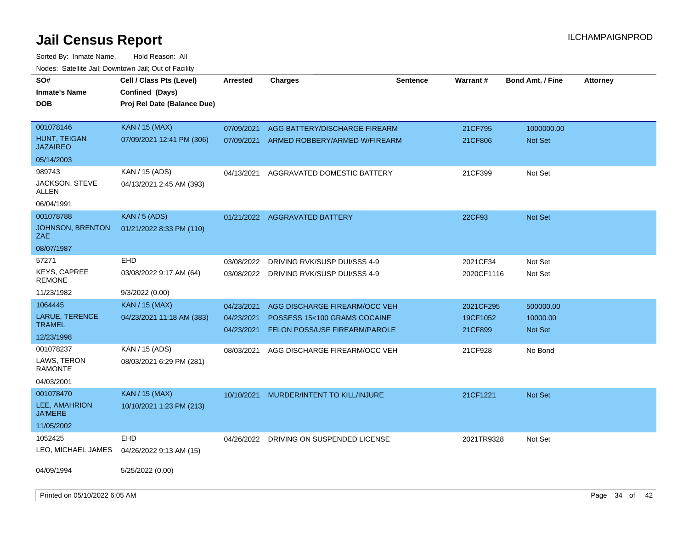| SO#<br><b>Inmate's Name</b><br><b>DOB</b>                         | Cell / Class Pts (Level)<br>Confined (Days)<br>Proj Rel Date (Balance Due) | <b>Arrested</b>                        | Charges                                                                                        | <b>Sentence</b> | Warrant#                         | <b>Bond Amt. / Fine</b>          | <b>Attorney</b> |  |
|-------------------------------------------------------------------|----------------------------------------------------------------------------|----------------------------------------|------------------------------------------------------------------------------------------------|-----------------|----------------------------------|----------------------------------|-----------------|--|
| 001078146<br>HUNT, TEIGAN<br><b>JAZAIREO</b>                      | <b>KAN / 15 (MAX)</b><br>07/09/2021 12:41 PM (306)                         | 07/09/2021<br>07/09/2021               | AGG BATTERY/DISCHARGE FIREARM<br>ARMED ROBBERY/ARMED W/FIREARM                                 |                 | 21CF795<br>21CF806               | 1000000.00<br><b>Not Set</b>     |                 |  |
| 05/14/2003                                                        |                                                                            |                                        |                                                                                                |                 |                                  |                                  |                 |  |
| 989743<br><b>JACKSON, STEVE</b><br>ALLEN                          | KAN / 15 (ADS)<br>04/13/2021 2:45 AM (393)                                 | 04/13/2021                             | AGGRAVATED DOMESTIC BATTERY                                                                    |                 | 21CF399                          | Not Set                          |                 |  |
| 06/04/1991                                                        |                                                                            |                                        |                                                                                                |                 |                                  |                                  |                 |  |
| 001078788<br><b>JOHNSON, BRENTON</b><br>ZAE.                      | KAN / 5 (ADS)<br>01/21/2022 8:33 PM (110)                                  |                                        | 01/21/2022 AGGRAVATED BATTERY                                                                  |                 | 22CF93                           | <b>Not Set</b>                   |                 |  |
| 08/07/1987                                                        |                                                                            |                                        |                                                                                                |                 |                                  |                                  |                 |  |
| 57271<br><b>KEYS, CAPREE</b><br><b>REMONE</b>                     | EHD<br>03/08/2022 9:17 AM (64)                                             | 03/08/2022<br>03/08/2022               | DRIVING RVK/SUSP DUI/SSS 4-9<br>DRIVING RVK/SUSP DUI/SSS 4-9                                   |                 | 2021CF34<br>2020CF1116           | Not Set<br>Not Set               |                 |  |
| 11/23/1982                                                        | 9/3/2022 (0.00)                                                            |                                        |                                                                                                |                 |                                  |                                  |                 |  |
| 1064445<br>LARUE, TERENCE<br><b>TRAMEL</b><br>12/23/1998          | <b>KAN / 15 (MAX)</b><br>04/23/2021 11:18 AM (383)                         | 04/23/2021<br>04/23/2021<br>04/23/2021 | AGG DISCHARGE FIREARM/OCC VEH<br>POSSESS 15<100 GRAMS COCAINE<br>FELON POSS/USE FIREARM/PAROLE |                 | 2021CF295<br>19CF1052<br>21CF899 | 500000.00<br>10000.00<br>Not Set |                 |  |
| 001078237<br>LAWS, TERON<br>RAMONTE<br>04/03/2001                 | KAN / 15 (ADS)<br>08/03/2021 6:29 PM (281)                                 | 08/03/2021                             | AGG DISCHARGE FIREARM/OCC VEH                                                                  |                 | 21CF928                          | No Bond                          |                 |  |
| 001078470<br><b>LEE, AMAHRION</b><br><b>JA'MERE</b><br>11/05/2002 | <b>KAN / 15 (MAX)</b><br>10/10/2021 1:23 PM (213)                          | 10/10/2021                             | MURDER/INTENT TO KILL/INJURE                                                                   |                 | 21CF1221                         | <b>Not Set</b>                   |                 |  |
| 1052425<br>LEO, MICHAEL JAMES                                     | <b>EHD</b><br>04/26/2022 9:13 AM (15)                                      | 04/26/2022                             | DRIVING ON SUSPENDED LICENSE                                                                   |                 | 2021TR9328                       | Not Set                          |                 |  |
| 04/09/1994<br>Printed on 05/10/2022 6:05 AM                       | 5/25/2022 (0.00)                                                           |                                        |                                                                                                |                 |                                  |                                  | Page 34 of 42   |  |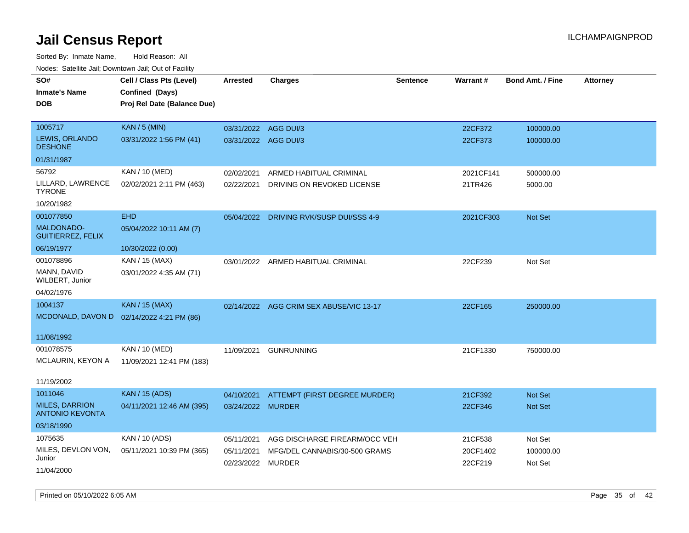| rougs. Calcing Jan, Downtown Jan, Out of Facility |                                           |                      |                                         |                 |           |                         |                 |
|---------------------------------------------------|-------------------------------------------|----------------------|-----------------------------------------|-----------------|-----------|-------------------------|-----------------|
| SO#                                               | Cell / Class Pts (Level)                  | <b>Arrested</b>      | <b>Charges</b>                          | <b>Sentence</b> | Warrant#  | <b>Bond Amt. / Fine</b> | <b>Attorney</b> |
| <b>Inmate's Name</b>                              | Confined (Days)                           |                      |                                         |                 |           |                         |                 |
| <b>DOB</b>                                        | Proj Rel Date (Balance Due)               |                      |                                         |                 |           |                         |                 |
|                                                   |                                           |                      |                                         |                 |           |                         |                 |
| 1005717                                           | <b>KAN / 5 (MIN)</b>                      | 03/31/2022 AGG DUI/3 |                                         |                 | 22CF372   | 100000.00               |                 |
| LEWIS, ORLANDO<br><b>DESHONE</b>                  | 03/31/2022 1:56 PM (41)                   | 03/31/2022 AGG DUI/3 |                                         |                 | 22CF373   | 100000.00               |                 |
| 01/31/1987                                        |                                           |                      |                                         |                 |           |                         |                 |
| 56792                                             | <b>KAN / 10 (MED)</b>                     | 02/02/2021           | ARMED HABITUAL CRIMINAL                 |                 | 2021CF141 | 500000.00               |                 |
| LILLARD, LAWRENCE<br><b>TYRONE</b>                | 02/02/2021 2:11 PM (463)                  | 02/22/2021           | DRIVING ON REVOKED LICENSE              |                 | 21TR426   | 5000.00                 |                 |
| 10/20/1982                                        |                                           |                      |                                         |                 |           |                         |                 |
| 001077850                                         | <b>EHD</b>                                |                      | 05/04/2022 DRIVING RVK/SUSP DUI/SSS 4-9 |                 | 2021CF303 | Not Set                 |                 |
| <b>MALDONADO-</b><br><b>GUITIERREZ, FELIX</b>     | 05/04/2022 10:11 AM (7)                   |                      |                                         |                 |           |                         |                 |
| 06/19/1977                                        | 10/30/2022 (0.00)                         |                      |                                         |                 |           |                         |                 |
| 001078896                                         | KAN / 15 (MAX)                            |                      | 03/01/2022 ARMED HABITUAL CRIMINAL      |                 | 22CF239   | Not Set                 |                 |
| MANN, DAVID<br>WILBERT, Junior                    | 03/01/2022 4:35 AM (71)                   |                      |                                         |                 |           |                         |                 |
| 04/02/1976                                        |                                           |                      |                                         |                 |           |                         |                 |
| 1004137                                           | <b>KAN / 15 (MAX)</b>                     |                      | 02/14/2022 AGG CRIM SEX ABUSE/VIC 13-17 |                 | 22CF165   | 250000.00               |                 |
|                                                   | MCDONALD, DAVON D 02/14/2022 4:21 PM (86) |                      |                                         |                 |           |                         |                 |
|                                                   |                                           |                      |                                         |                 |           |                         |                 |
| 11/08/1992                                        |                                           |                      |                                         |                 |           |                         |                 |
| 001078575                                         | KAN / 10 (MED)                            | 11/09/2021           | <b>GUNRUNNING</b>                       |                 | 21CF1330  | 750000.00               |                 |
| MCLAURIN, KEYON A                                 | 11/09/2021 12:41 PM (183)                 |                      |                                         |                 |           |                         |                 |
| 11/19/2002                                        |                                           |                      |                                         |                 |           |                         |                 |
| 1011046                                           | <b>KAN / 15 (ADS)</b>                     | 04/10/2021           | ATTEMPT (FIRST DEGREE MURDER)           |                 | 21CF392   | <b>Not Set</b>          |                 |
| <b>MILES, DARRION</b><br><b>ANTONIO KEVONTA</b>   | 04/11/2021 12:46 AM (395)                 | 03/24/2022 MURDER    |                                         |                 | 22CF346   | Not Set                 |                 |
| 03/18/1990                                        |                                           |                      |                                         |                 |           |                         |                 |
| 1075635                                           | KAN / 10 (ADS)                            | 05/11/2021           | AGG DISCHARGE FIREARM/OCC VEH           |                 | 21CF538   | Not Set                 |                 |
| MILES, DEVLON VON,                                | 05/11/2021 10:39 PM (365)                 | 05/11/2021           | MFG/DEL CANNABIS/30-500 GRAMS           |                 | 20CF1402  | 100000.00               |                 |
| Junior                                            |                                           | 02/23/2022 MURDER    |                                         |                 | 22CF219   | Not Set                 |                 |
| 11/04/2000                                        |                                           |                      |                                         |                 |           |                         |                 |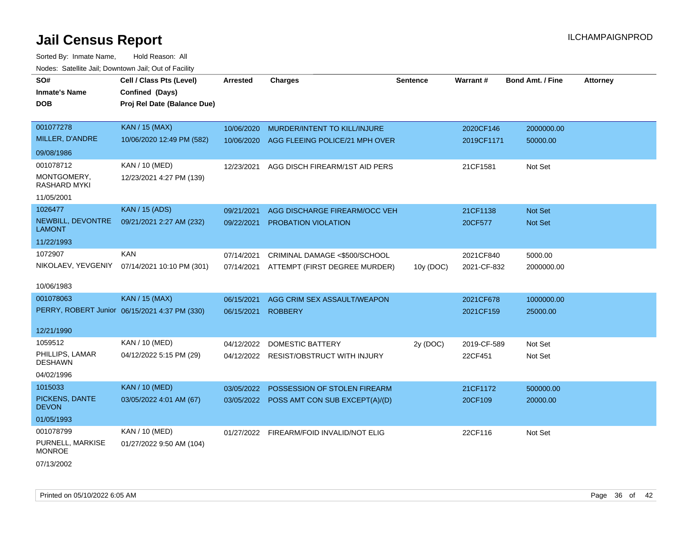Sorted By: Inmate Name, Hold Reason: All Nodes: Satellite Jail; Downtown Jail; Out of Facility

| SO#<br><b>Inmate's Name</b><br><b>DOB</b>                                   | Cell / Class Pts (Level)<br>Confined (Days)<br>Proj Rel Date (Balance Due) | <b>Arrested</b>          | <b>Charges</b>                                                            | <b>Sentence</b> | Warrant#                 | <b>Bond Amt. / Fine</b>   | <b>Attorney</b> |
|-----------------------------------------------------------------------------|----------------------------------------------------------------------------|--------------------------|---------------------------------------------------------------------------|-----------------|--------------------------|---------------------------|-----------------|
| 001077278<br>MILLER, D'ANDRE                                                | <b>KAN / 15 (MAX)</b><br>10/06/2020 12:49 PM (582)                         | 10/06/2020<br>10/06/2020 | MURDER/INTENT TO KILL/INJURE<br>AGG FLEEING POLICE/21 MPH OVER            |                 | 2020CF146<br>2019CF1171  | 2000000.00<br>50000.00    |                 |
| 09/08/1986<br>001078712<br>MONTGOMERY,<br><b>RASHARD MYKI</b><br>11/05/2001 | KAN / 10 (MED)<br>12/23/2021 4:27 PM (139)                                 | 12/23/2021               | AGG DISCH FIREARM/1ST AID PERS                                            |                 | 21CF1581                 | Not Set                   |                 |
| 1026477<br>NEWBILL, DEVONTRE<br><b>LAMONT</b><br>11/22/1993                 | <b>KAN / 15 (ADS)</b><br>09/21/2021 2:27 AM (232)                          | 09/21/2021<br>09/22/2021 | AGG DISCHARGE FIREARM/OCC VEH<br>PROBATION VIOLATION                      |                 | 21CF1138<br>20CF577      | <b>Not Set</b><br>Not Set |                 |
| 1072907<br>NIKOLAEV, YEVGENIY<br>10/06/1983                                 | <b>KAN</b><br>07/14/2021 10:10 PM (301)                                    | 07/14/2021<br>07/14/2021 | CRIMINAL DAMAGE <\$500/SCHOOL<br>ATTEMPT (FIRST DEGREE MURDER)            | 10y (DOC)       | 2021CF840<br>2021-CF-832 | 5000.00<br>2000000.00     |                 |
| 001078063<br>12/21/1990                                                     | <b>KAN / 15 (MAX)</b><br>PERRY, ROBERT Junior 06/15/2021 4:37 PM (330)     | 06/15/2021<br>06/15/2021 | AGG CRIM SEX ASSAULT/WEAPON<br><b>ROBBERY</b>                             |                 | 2021CF678<br>2021CF159   | 1000000.00<br>25000.00    |                 |
| 1059512<br>PHILLIPS, LAMAR<br><b>DESHAWN</b><br>04/02/1996                  | <b>KAN / 10 (MED)</b><br>04/12/2022 5:15 PM (29)                           | 04/12/2022               | <b>DOMESTIC BATTERY</b><br>04/12/2022 RESIST/OBSTRUCT WITH INJURY         | 2y (DOC)        | 2019-CF-589<br>22CF451   | Not Set<br>Not Set        |                 |
| 1015033<br>PICKENS, DANTE<br><b>DEVON</b><br>01/05/1993                     | <b>KAN / 10 (MED)</b><br>03/05/2022 4:01 AM (67)                           | 03/05/2022               | POSSESSION OF STOLEN FIREARM<br>03/05/2022 POSS AMT CON SUB EXCEPT(A)/(D) |                 | 21CF1172<br>20CF109      | 500000.00<br>20000.00     |                 |
| 001078799<br>PURNELL, MARKISE<br><b>MONROE</b>                              | KAN / 10 (MED)<br>01/27/2022 9:50 AM (104)                                 |                          | 01/27/2022 FIREARM/FOID INVALID/NOT ELIG                                  |                 | 22CF116                  | Not Set                   |                 |

07/13/2002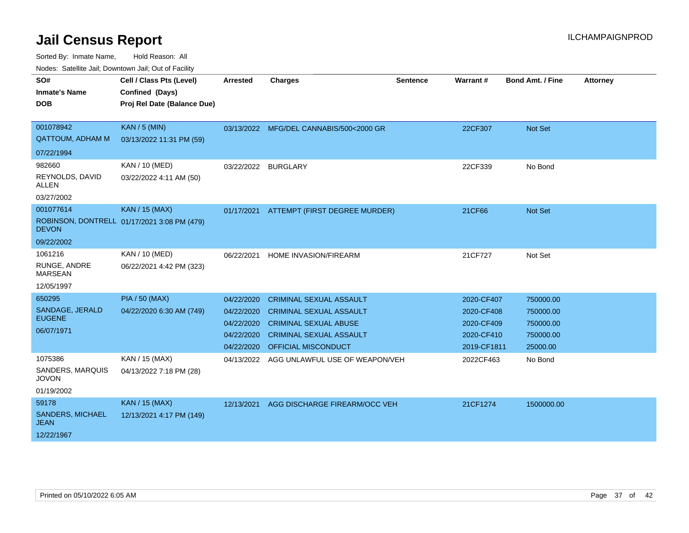| SO#                                    | Cell / Class Pts (Level)                       | <b>Arrested</b>     | <b>Charges</b>                          | <b>Sentence</b> | Warrant#    | <b>Bond Amt. / Fine</b> | <b>Attorney</b> |
|----------------------------------------|------------------------------------------------|---------------------|-----------------------------------------|-----------------|-------------|-------------------------|-----------------|
| <b>Inmate's Name</b><br><b>DOB</b>     | Confined (Days)<br>Proj Rel Date (Balance Due) |                     |                                         |                 |             |                         |                 |
|                                        |                                                |                     |                                         |                 |             |                         |                 |
| 001078942                              | <b>KAN / 5 (MIN)</b>                           |                     | 03/13/2022 MFG/DEL CANNABIS/500<2000 GR |                 | 22CF307     | Not Set                 |                 |
| <b>QATTOUM, ADHAM M</b>                | 03/13/2022 11:31 PM (59)                       |                     |                                         |                 |             |                         |                 |
| 07/22/1994                             |                                                |                     |                                         |                 |             |                         |                 |
| 982660                                 | KAN / 10 (MED)                                 | 03/22/2022 BURGLARY |                                         |                 | 22CF339     | No Bond                 |                 |
| REYNOLDS, DAVID<br><b>ALLEN</b>        | 03/22/2022 4:11 AM (50)                        |                     |                                         |                 |             |                         |                 |
| 03/27/2002                             |                                                |                     |                                         |                 |             |                         |                 |
| 001077614                              | <b>KAN / 15 (MAX)</b>                          | 01/17/2021          | ATTEMPT (FIRST DEGREE MURDER)           |                 | 21CF66      | Not Set                 |                 |
| <b>DEVON</b>                           | ROBINSON, DONTRELL 01/17/2021 3:08 PM (479)    |                     |                                         |                 |             |                         |                 |
| 09/22/2002                             |                                                |                     |                                         |                 |             |                         |                 |
| 1061216                                | KAN / 10 (MED)                                 | 06/22/2021          | HOME INVASION/FIREARM                   |                 | 21CF727     | Not Set                 |                 |
| RUNGE, ANDRE<br><b>MARSEAN</b>         | 06/22/2021 4:42 PM (323)                       |                     |                                         |                 |             |                         |                 |
| 12/05/1997                             |                                                |                     |                                         |                 |             |                         |                 |
| 650295                                 | <b>PIA / 50 (MAX)</b>                          | 04/22/2020          | <b>CRIMINAL SEXUAL ASSAULT</b>          |                 | 2020-CF407  | 750000.00               |                 |
| SANDAGE, JERALD                        | 04/22/2020 6:30 AM (749)                       | 04/22/2020          | <b>CRIMINAL SEXUAL ASSAULT</b>          |                 | 2020-CF408  | 750000.00               |                 |
| <b>EUGENE</b>                          |                                                | 04/22/2020          | <b>CRIMINAL SEXUAL ABUSE</b>            |                 | 2020-CF409  | 750000.00               |                 |
| 06/07/1971                             |                                                | 04/22/2020          | <b>CRIMINAL SEXUAL ASSAULT</b>          |                 | 2020-CF410  | 750000.00               |                 |
|                                        |                                                | 04/22/2020          | <b>OFFICIAL MISCONDUCT</b>              |                 | 2019-CF1811 | 25000.00                |                 |
| 1075386                                | KAN / 15 (MAX)                                 | 04/13/2022          | AGG UNLAWFUL USE OF WEAPON/VEH          |                 | 2022CF463   | No Bond                 |                 |
| SANDERS, MARQUIS<br><b>JOVON</b>       | 04/13/2022 7:18 PM (28)                        |                     |                                         |                 |             |                         |                 |
| 01/19/2002                             |                                                |                     |                                         |                 |             |                         |                 |
| 59178                                  | <b>KAN / 15 (MAX)</b>                          | 12/13/2021          | AGG DISCHARGE FIREARM/OCC VEH           |                 | 21CF1274    | 1500000.00              |                 |
| <b>SANDERS, MICHAEL</b><br><b>JEAN</b> | 12/13/2021 4:17 PM (149)                       |                     |                                         |                 |             |                         |                 |
| 12/22/1967                             |                                                |                     |                                         |                 |             |                         |                 |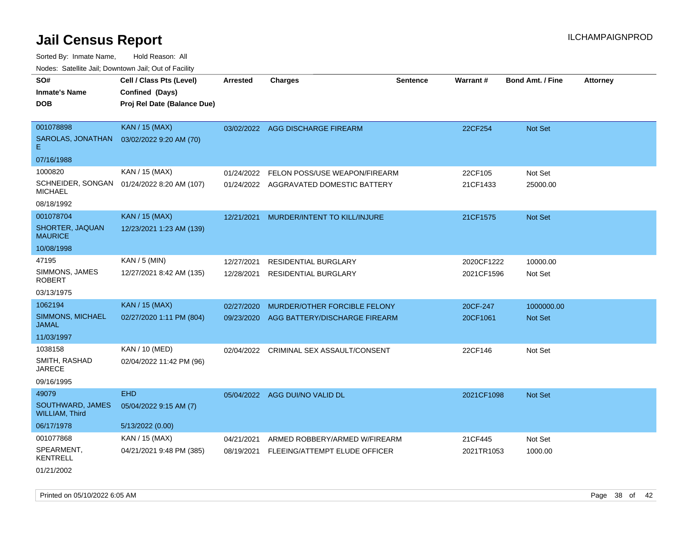| roaco. Catolino dall, Downtown dall, Out of Fability |                             |                 |                                         |                 |            |                         |                 |
|------------------------------------------------------|-----------------------------|-----------------|-----------------------------------------|-----------------|------------|-------------------------|-----------------|
| SO#                                                  | Cell / Class Pts (Level)    | <b>Arrested</b> | <b>Charges</b>                          | <b>Sentence</b> | Warrant#   | <b>Bond Amt. / Fine</b> | <b>Attorney</b> |
| <b>Inmate's Name</b>                                 | Confined (Days)             |                 |                                         |                 |            |                         |                 |
| <b>DOB</b>                                           | Proj Rel Date (Balance Due) |                 |                                         |                 |            |                         |                 |
|                                                      |                             |                 |                                         |                 |            |                         |                 |
| 001078898                                            | <b>KAN / 15 (MAX)</b>       |                 | 03/02/2022 AGG DISCHARGE FIREARM        |                 | 22CF254    | Not Set                 |                 |
| SAROLAS, JONATHAN<br>Е                               | 03/02/2022 9:20 AM (70)     |                 |                                         |                 |            |                         |                 |
| 07/16/1988                                           |                             |                 |                                         |                 |            |                         |                 |
| 1000820                                              | KAN / 15 (MAX)              | 01/24/2022      | FELON POSS/USE WEAPON/FIREARM           |                 | 22CF105    | Not Set                 |                 |
| SCHNEIDER, SONGAN<br><b>MICHAEL</b>                  | 01/24/2022 8:20 AM (107)    |                 | 01/24/2022 AGGRAVATED DOMESTIC BATTERY  |                 | 21CF1433   | 25000.00                |                 |
| 08/18/1992                                           |                             |                 |                                         |                 |            |                         |                 |
| 001078704                                            | <b>KAN / 15 (MAX)</b>       | 12/21/2021      | MURDER/INTENT TO KILL/INJURE            |                 | 21CF1575   | Not Set                 |                 |
| SHORTER, JAQUAN<br><b>MAURICE</b>                    | 12/23/2021 1:23 AM (139)    |                 |                                         |                 |            |                         |                 |
| 10/08/1998                                           |                             |                 |                                         |                 |            |                         |                 |
| 47195                                                | $KAN / 5$ (MIN)             | 12/27/2021      | RESIDENTIAL BURGLARY                    |                 | 2020CF1222 | 10000.00                |                 |
| SIMMONS, JAMES<br><b>ROBERT</b>                      | 12/27/2021 8:42 AM (135)    | 12/28/2021      | <b>RESIDENTIAL BURGLARY</b>             |                 | 2021CF1596 | Not Set                 |                 |
| 03/13/1975                                           |                             |                 |                                         |                 |            |                         |                 |
| 1062194                                              | <b>KAN / 15 (MAX)</b>       | 02/27/2020      | MURDER/OTHER FORCIBLE FELONY            |                 | 20CF-247   | 1000000.00              |                 |
| SIMMONS, MICHAEL<br><b>JAMAL</b>                     | 02/27/2020 1:11 PM (804)    | 09/23/2020      | AGG BATTERY/DISCHARGE FIREARM           |                 | 20CF1061   | Not Set                 |                 |
| 11/03/1997                                           |                             |                 |                                         |                 |            |                         |                 |
| 1038158                                              | KAN / 10 (MED)              |                 | 02/04/2022 CRIMINAL SEX ASSAULT/CONSENT |                 | 22CF146    | Not Set                 |                 |
| SMITH, RASHAD<br><b>JARECE</b>                       | 02/04/2022 11:42 PM (96)    |                 |                                         |                 |            |                         |                 |
| 09/16/1995                                           |                             |                 |                                         |                 |            |                         |                 |
| 49079                                                | <b>EHD</b>                  |                 | 05/04/2022 AGG DUI/NO VALID DL          |                 | 2021CF1098 | Not Set                 |                 |
| SOUTHWARD, JAMES<br><b>WILLIAM, Third</b>            | 05/04/2022 9:15 AM (7)      |                 |                                         |                 |            |                         |                 |
| 06/17/1978                                           | 5/13/2022 (0.00)            |                 |                                         |                 |            |                         |                 |
| 001077868                                            | KAN / 15 (MAX)              | 04/21/2021      | ARMED ROBBERY/ARMED W/FIREARM           |                 | 21CF445    | Not Set                 |                 |
| SPEARMENT,<br><b>KENTRELL</b>                        | 04/21/2021 9:48 PM (385)    | 08/19/2021      | FLEEING/ATTEMPT ELUDE OFFICER           |                 | 2021TR1053 | 1000.00                 |                 |
| 01/21/2002                                           |                             |                 |                                         |                 |            |                         |                 |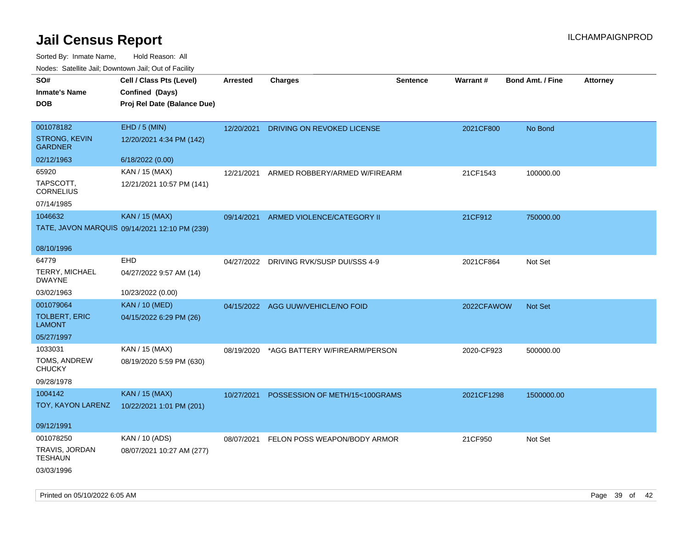| roacs. Calcinic Jan, Downtown Jan, Out of Facility |                                               |                 |                                         |                 |            |                         |          |
|----------------------------------------------------|-----------------------------------------------|-----------------|-----------------------------------------|-----------------|------------|-------------------------|----------|
| SO#                                                | Cell / Class Pts (Level)                      | <b>Arrested</b> | <b>Charges</b>                          | <b>Sentence</b> | Warrant#   | <b>Bond Amt. / Fine</b> | Attorney |
| <b>Inmate's Name</b>                               | Confined (Days)                               |                 |                                         |                 |            |                         |          |
| <b>DOB</b>                                         | Proj Rel Date (Balance Due)                   |                 |                                         |                 |            |                         |          |
|                                                    |                                               |                 |                                         |                 |            |                         |          |
| 001078182                                          | EHD / 5 (MIN)                                 | 12/20/2021      | DRIVING ON REVOKED LICENSE              |                 | 2021CF800  | No Bond                 |          |
| <b>STRONG, KEVIN</b><br><b>GARDNER</b>             | 12/20/2021 4:34 PM (142)                      |                 |                                         |                 |            |                         |          |
| 02/12/1963                                         | 6/18/2022 (0.00)                              |                 |                                         |                 |            |                         |          |
| 65920                                              | KAN / 15 (MAX)                                | 12/21/2021      | ARMED ROBBERY/ARMED W/FIREARM           |                 | 21CF1543   | 100000.00               |          |
| TAPSCOTT,<br><b>CORNELIUS</b>                      | 12/21/2021 10:57 PM (141)                     |                 |                                         |                 |            |                         |          |
| 07/14/1985                                         |                                               |                 |                                         |                 |            |                         |          |
| 1046632                                            | <b>KAN / 15 (MAX)</b>                         | 09/14/2021      | ARMED VIOLENCE/CATEGORY II              |                 | 21CF912    | 750000.00               |          |
|                                                    | TATE, JAVON MARQUIS 09/14/2021 12:10 PM (239) |                 |                                         |                 |            |                         |          |
|                                                    |                                               |                 |                                         |                 |            |                         |          |
| 08/10/1996                                         |                                               |                 |                                         |                 |            |                         |          |
| 64779                                              | <b>EHD</b>                                    | 04/27/2022      | DRIVING RVK/SUSP DUI/SSS 4-9            |                 | 2021CF864  | Not Set                 |          |
| TERRY, MICHAEL<br><b>DWAYNE</b>                    | 04/27/2022 9:57 AM (14)                       |                 |                                         |                 |            |                         |          |
| 03/02/1963                                         | 10/23/2022 (0.00)                             |                 |                                         |                 |            |                         |          |
| 001079064                                          | <b>KAN / 10 (MED)</b>                         |                 | 04/15/2022 AGG UUW/VEHICLE/NO FOID      |                 | 2022CFAWOW | Not Set                 |          |
| <b>TOLBERT, ERIC</b><br><b>LAMONT</b>              | 04/15/2022 6:29 PM (26)                       |                 |                                         |                 |            |                         |          |
| 05/27/1997                                         |                                               |                 |                                         |                 |            |                         |          |
| 1033031                                            | KAN / 15 (MAX)                                | 08/19/2020      | *AGG BATTERY W/FIREARM/PERSON           |                 | 2020-CF923 | 500000.00               |          |
| TOMS, ANDREW<br><b>CHUCKY</b>                      | 08/19/2020 5:59 PM (630)                      |                 |                                         |                 |            |                         |          |
| 09/28/1978                                         |                                               |                 |                                         |                 |            |                         |          |
| 1004142                                            | <b>KAN / 15 (MAX)</b>                         | 10/27/2021      | POSSESSION OF METH/15<100GRAMS          |                 | 2021CF1298 | 1500000.00              |          |
| TOY, KAYON LARENZ                                  | 10/22/2021 1:01 PM (201)                      |                 |                                         |                 |            |                         |          |
|                                                    |                                               |                 |                                         |                 |            |                         |          |
| 09/12/1991                                         |                                               |                 |                                         |                 |            |                         |          |
| 001078250                                          | KAN / 10 (ADS)                                |                 | 08/07/2021 FELON POSS WEAPON/BODY ARMOR |                 | 21CF950    | Not Set                 |          |
| TRAVIS, JORDAN<br><b>TESHAUN</b>                   | 08/07/2021 10:27 AM (277)                     |                 |                                         |                 |            |                         |          |
| 03/03/1996                                         |                                               |                 |                                         |                 |            |                         |          |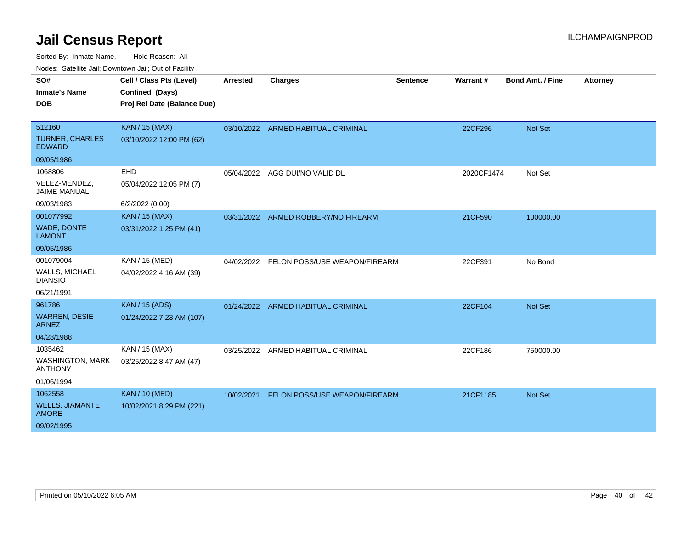Sorted By: Inmate Name, Hold Reason: All

|  |  |  | Nodes: Satellite Jail; Downtown Jail; Out of Facility |
|--|--|--|-------------------------------------------------------|
|--|--|--|-------------------------------------------------------|

| SO#<br><b>Inmate's Name</b><br><b>DOB</b>                          | Cell / Class Pts (Level)<br>Confined (Days)<br>Proj Rel Date (Balance Due) | <b>Arrested</b> | <b>Charges</b>                     | <b>Sentence</b> | Warrant#   | Bond Amt. / Fine | <b>Attorney</b> |
|--------------------------------------------------------------------|----------------------------------------------------------------------------|-----------------|------------------------------------|-----------------|------------|------------------|-----------------|
| 512160<br><b>TURNER, CHARLES</b><br><b>EDWARD</b>                  | <b>KAN / 15 (MAX)</b><br>03/10/2022 12:00 PM (62)                          |                 | 03/10/2022 ARMED HABITUAL CRIMINAL |                 | 22CF296    | Not Set          |                 |
| 09/05/1986                                                         |                                                                            |                 |                                    |                 |            |                  |                 |
| 1068806<br>VELEZ-MENDEZ,<br><b>JAIME MANUAL</b>                    | EHD<br>05/04/2022 12:05 PM (7)                                             | 05/04/2022      | AGG DUI/NO VALID DL                |                 | 2020CF1474 | Not Set          |                 |
| 09/03/1983                                                         | 6/2/2022 (0.00)                                                            |                 |                                    |                 |            |                  |                 |
| 001077992<br>WADE, DONTE<br><b>LAMONT</b><br>09/05/1986            | <b>KAN / 15 (MAX)</b><br>03/31/2022 1:25 PM (41)                           | 03/31/2022      | ARMED ROBBERY/NO FIREARM           |                 | 21CF590    | 100000.00        |                 |
| 001079004<br>WALLS, MICHAEL<br><b>DIANSIO</b><br>06/21/1991        | KAN / 15 (MED)<br>04/02/2022 4:16 AM (39)                                  | 04/02/2022      | FELON POSS/USE WEAPON/FIREARM      |                 | 22CF391    | No Bond          |                 |
| 961786<br><b>WARREN, DESIE</b><br><b>ARNEZ</b><br>04/28/1988       | <b>KAN / 15 (ADS)</b><br>01/24/2022 7:23 AM (107)                          |                 | 01/24/2022 ARMED HABITUAL CRIMINAL |                 | 22CF104    | Not Set          |                 |
| 1035462<br><b>WASHINGTON, MARK</b><br><b>ANTHONY</b><br>01/06/1994 | KAN / 15 (MAX)<br>03/25/2022 8:47 AM (47)                                  |                 | 03/25/2022 ARMED HABITUAL CRIMINAL |                 | 22CF186    | 750000.00        |                 |
| 1062558<br><b>WELLS, JIAMANTE</b><br><b>AMORE</b><br>09/02/1995    | <b>KAN / 10 (MED)</b><br>10/02/2021 8:29 PM (221)                          | 10/02/2021      | FELON POSS/USE WEAPON/FIREARM      |                 | 21CF1185   | Not Set          |                 |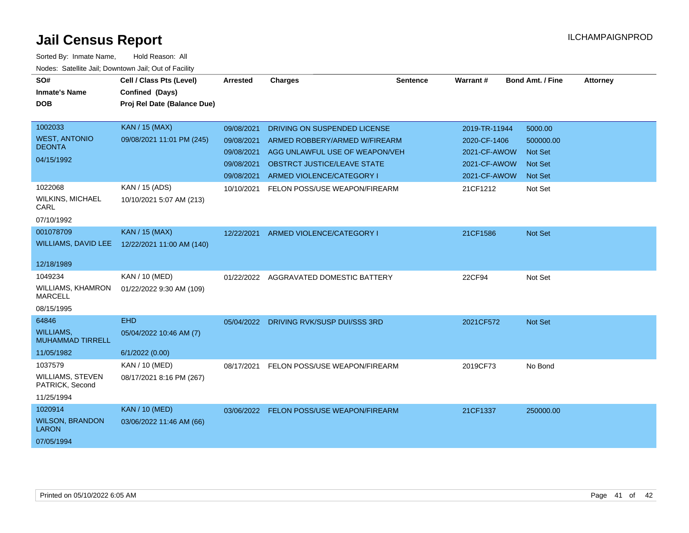| SO#<br><b>Inmate's Name</b>                                         | Cell / Class Pts (Level)<br>Confined (Days)             | <b>Arrested</b>                                                    | <b>Charges</b>                                                                                                                                              | <b>Sentence</b> | Warrant#                                                                      | <b>Bond Amt. / Fine</b>                                             | <b>Attorney</b> |
|---------------------------------------------------------------------|---------------------------------------------------------|--------------------------------------------------------------------|-------------------------------------------------------------------------------------------------------------------------------------------------------------|-----------------|-------------------------------------------------------------------------------|---------------------------------------------------------------------|-----------------|
| <b>DOB</b>                                                          | Proj Rel Date (Balance Due)                             |                                                                    |                                                                                                                                                             |                 |                                                                               |                                                                     |                 |
| 1002033<br><b>WEST, ANTONIO</b><br><b>DEONTA</b><br>04/15/1992      | <b>KAN / 15 (MAX)</b><br>09/08/2021 11:01 PM (245)      | 09/08/2021<br>09/08/2021<br>09/08/2021<br>09/08/2021<br>09/08/2021 | DRIVING ON SUSPENDED LICENSE<br>ARMED ROBBERY/ARMED W/FIREARM<br>AGG UNLAWFUL USE OF WEAPON/VEH<br>OBSTRCT JUSTICE/LEAVE STATE<br>ARMED VIOLENCE/CATEGORY I |                 | 2019-TR-11944<br>2020-CF-1406<br>2021-CF-AWOW<br>2021-CF-AWOW<br>2021-CF-AWOW | 5000.00<br>500000.00<br><b>Not Set</b><br>Not Set<br><b>Not Set</b> |                 |
| 1022068<br><b>WILKINS, MICHAEL</b><br>CARL<br>07/10/1992            | KAN / 15 (ADS)<br>10/10/2021 5:07 AM (213)              | 10/10/2021                                                         | FELON POSS/USE WEAPON/FIREARM                                                                                                                               |                 | 21CF1212                                                                      | Not Set                                                             |                 |
| 001078709<br>WILLIAMS, DAVID LEE<br>12/18/1989                      | <b>KAN / 15 (MAX)</b><br>12/22/2021 11:00 AM (140)      | 12/22/2021                                                         | ARMED VIOLENCE/CATEGORY I                                                                                                                                   |                 | 21CF1586                                                                      | Not Set                                                             |                 |
| 1049234<br>WILLIAMS, KHAMRON<br><b>MARCELL</b><br>08/15/1995        | KAN / 10 (MED)<br>01/22/2022 9:30 AM (109)              |                                                                    | 01/22/2022 AGGRAVATED DOMESTIC BATTERY                                                                                                                      |                 | 22CF94                                                                        | Not Set                                                             |                 |
| 64846<br><b>WILLIAMS,</b><br><b>MUHAMMAD TIRRELL</b><br>11/05/1982  | <b>EHD</b><br>05/04/2022 10:46 AM (7)<br>6/1/2022(0.00) |                                                                    | 05/04/2022 DRIVING RVK/SUSP DUI/SSS 3RD                                                                                                                     |                 | 2021CF572                                                                     | Not Set                                                             |                 |
| 1037579<br><b>WILLIAMS, STEVEN</b><br>PATRICK, Second<br>11/25/1994 | KAN / 10 (MED)<br>08/17/2021 8:16 PM (267)              | 08/17/2021                                                         | FELON POSS/USE WEAPON/FIREARM                                                                                                                               |                 | 2019CF73                                                                      | No Bond                                                             |                 |
| 1020914<br><b>WILSON, BRANDON</b><br><b>LARON</b><br>07/05/1994     | <b>KAN / 10 (MED)</b><br>03/06/2022 11:46 AM (66)       |                                                                    | 03/06/2022 FELON POSS/USE WEAPON/FIREARM                                                                                                                    |                 | 21CF1337                                                                      | 250000.00                                                           |                 |